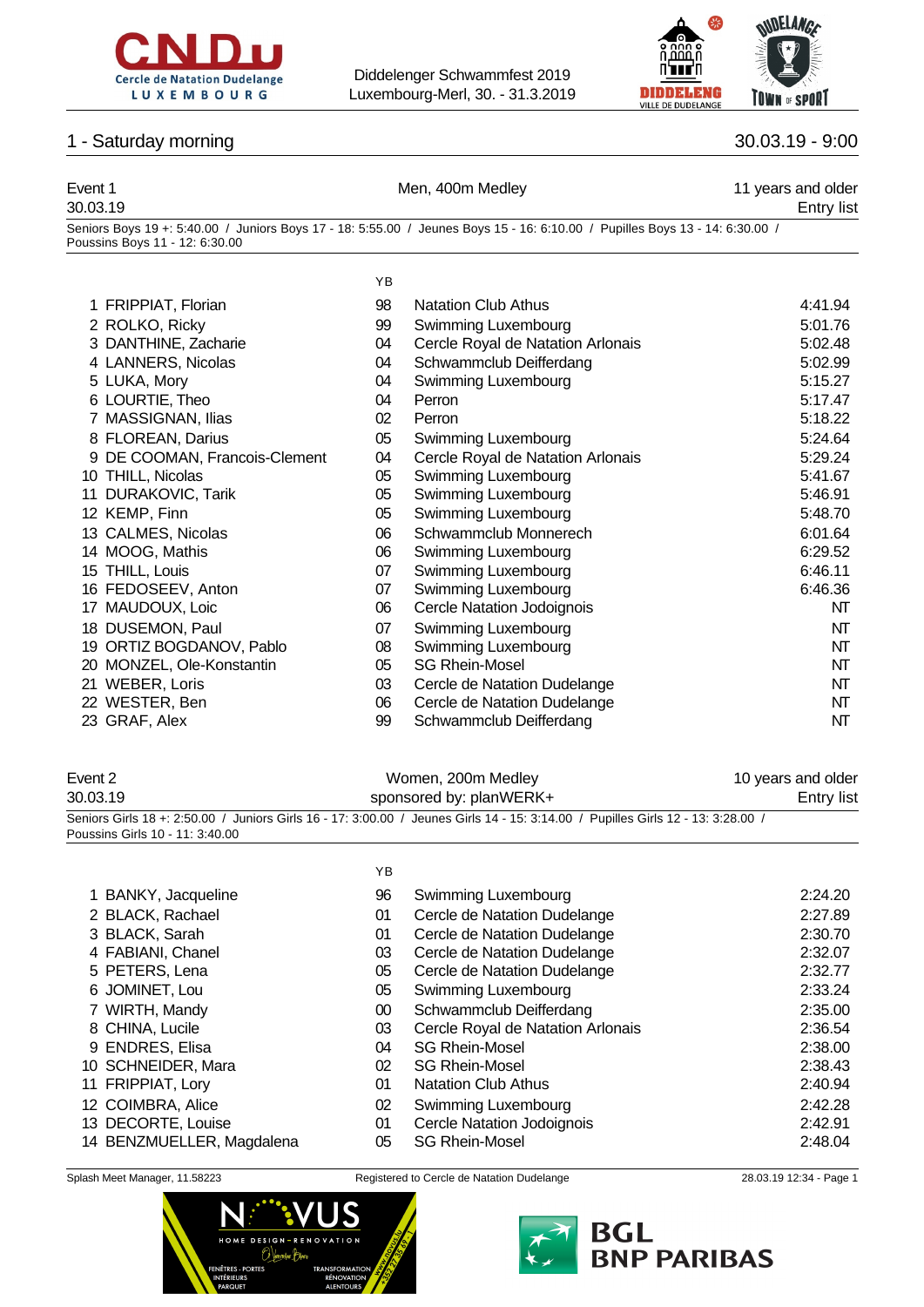



### 1 - Saturday morning 30.03.19 - 9:00

### Event 1 **Event 1** Men, 400m Medley **11** years and older 30.03.19 Entry list Seniors Boys 19 +: 5:40.00 / Juniors Boys 17 - 18: 5:55.00 / Jeunes Boys 15 - 16: 6:10.00 / Pupilles Boys 13 - 14: 6:30.00 / Poussins Boys 11 - 12: 6:30.00 YB 1 FRIPPIAT, Florian 2 ROLKO, Ricky 3 DANTHINE, Zacharie 4 LANNERS, Nicolas 5 LUKA, Mory 6 LOURTIE, Theo 7 MASSIGNAN, Ilias 8 FLOREAN, Darius

- 9 DE COOMAN, Francois-Clement
- 10 THILL, Nicolas
- 11 DURAKOVIC, Tarik
- 12 KEMP, Finn
- 13 CALMES, Nicolas
- 14 MOOG, Mathis
- 15 THILL, Louis
- 16 FEDOSEEV, Anton
- 17 MAUDOUX, Loic
- 18 DUSEMON, Paul
- 19 ORTIZ BOGDANOV, Pablo
- 20 MONZEL, Ole-Konstantin
- 21 WEBER, Loris
- 
- 

# Event 2 Nomen, 200m Medley 10 years and older the U.S. Common Medley 10 years and older 30.03.19 sponsored by: planWERK+ Entry list

Seniors Girls 18 +: 2:50.00 / Juniors Girls 16 - 17: 3:00.00 / Jeunes Girls 14 - 15: 3:14.00 / Pupilles Girls 12 - 13: 3:28.00 / Poussins Girls 10 - 11: 3:40.00

|                           | YB     |                                   |         |
|---------------------------|--------|-----------------------------------|---------|
| 1 BANKY, Jacqueline       | 96     | Swimming Luxembourg               | 2:24.20 |
| 2 BLACK, Rachael          | 01     | Cercle de Natation Dudelange      | 2:27.89 |
| 3 BLACK, Sarah            | 01     | Cercle de Natation Dudelange      | 2:30.70 |
| 4 FABIANI, Chanel         | 03     | Cercle de Natation Dudelange      | 2:32.07 |
| 5 PETERS, Lena            | 05     | Cercle de Natation Dudelange      | 2:32.77 |
| 6 JOMINET, Lou            | 05     | Swimming Luxembourg               | 2:33.24 |
| 7 WIRTH, Mandy            | $00\,$ | Schwammclub Deifferdang           | 2:35.00 |
| 8 CHINA, Lucile           | 03     | Cercle Royal de Natation Arlonais | 2:36.54 |
| 9 ENDRES, Elisa           | 04     | <b>SG Rhein-Mosel</b>             | 2:38.00 |
| 10 SCHNEIDER, Mara        | 02     | <b>SG Rhein-Mosel</b>             | 2:38.43 |
| 11 FRIPPIAT, Lory         | 01     | <b>Natation Club Athus</b>        | 2:40.94 |
| 12 COIMBRA, Alice         | 02     | Swimming Luxembourg               | 2:42.28 |
| 13 DECORTE, Louise        | 01     | <b>Cercle Natation Jodoignois</b> | 2:42.91 |
| 14 BENZMUELLER, Magdalena | 05     | <b>SG Rhein-Mosel</b>             | 2:48.04 |
|                           |        |                                   |         |





| 1 FRIPPIAT, Florian           | 98 | <b>Natation Club Athus</b>        | 4:41.94 |
|-------------------------------|----|-----------------------------------|---------|
| 2 ROLKO, Ricky                | 99 | Swimming Luxembourg               | 5:01.76 |
| 3 DANTHINE, Zacharie          | 04 | Cercle Royal de Natation Arlonais | 5:02.48 |
| 4 LANNERS, Nicolas            | 04 | Schwammclub Deifferdang           | 5:02.99 |
| 5 LUKA, Mory                  | 04 | Swimming Luxembourg               | 5:15.27 |
| 6 LOURTIE, Theo               | 04 | Perron                            | 5:17.47 |
| 7 MASSIGNAN, Ilias            | 02 | Perron                            | 5:18.22 |
| 8 FLOREAN, Darius             | 05 | Swimming Luxembourg               | 5:24.64 |
| 9 DE COOMAN, Francois-Clement | 04 | Cercle Royal de Natation Arlonais | 5:29.24 |
| 10 THILL, Nicolas             | 05 | Swimming Luxembourg               | 5:41.67 |
| 11 DURAKOVIC, Tarik           | 05 | Swimming Luxembourg               | 5:46.91 |
| 12 KEMP, Finn                 | 05 | Swimming Luxembourg               | 5:48.70 |
| 13 CALMES, Nicolas            | 06 | Schwammclub Monnerech             | 6:01.64 |
| 14 MOOG, Mathis               | 06 | Swimming Luxembourg               | 6:29.52 |
| 15 THILL, Louis               | 07 | Swimming Luxembourg               | 6:46.11 |
| 16 FEDOSEEV, Anton            | 07 | Swimming Luxembourg               | 6:46.36 |
| 17 MAUDOUX, Loic              | 06 | Cercle Natation Jodoignois        | NT      |
| 18 DUSEMON, Paul              | 07 | Swimming Luxembourg               | NT      |
| 19 ORTIZ BOGDANOV, Pablo      | 08 | Swimming Luxembourg               | NT      |
| 20 MONZEL, Ole-Konstantin     | 05 | <b>SG Rhein-Mosel</b>             | NT      |
| 21 WEBER, Loris               | 03 | Cercle de Natation Dudelange      | NT      |
| 22 WESTER, Ben                | 06 | Cercle de Natation Dudelange      | NT      |

- 23 GRAF, Alex 09 Schwammclub Deifferdang
	-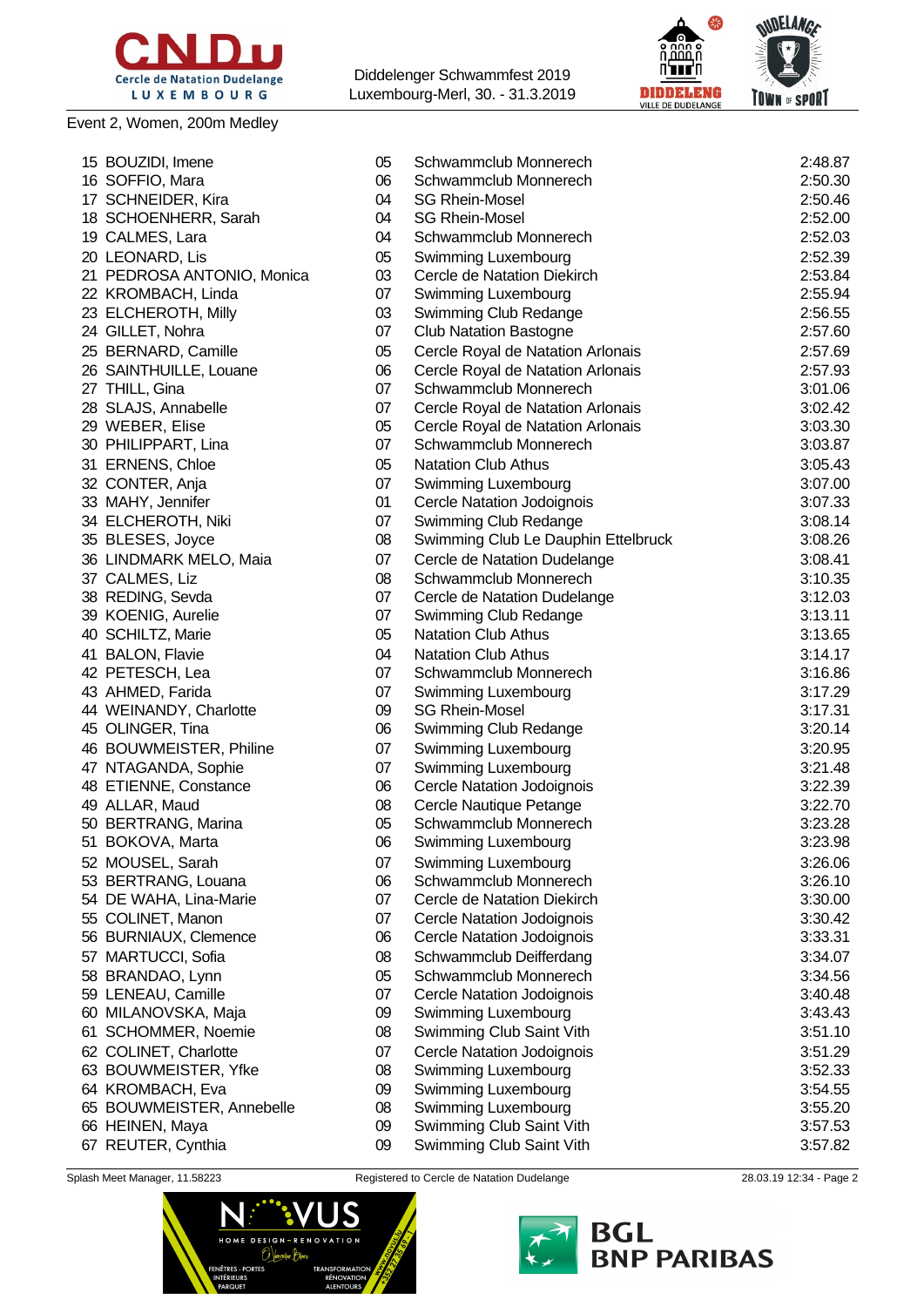

### Event 2, Women, 200m Medley

Diddelenger Schwammfest 2019 Luxembourg-Merl, 30. - 31.3.2019



|    | 15 BOUZIDI, Imene          | 05 | Schwammclub Monnerech               | 2:48.87 |
|----|----------------------------|----|-------------------------------------|---------|
|    | 16 SOFFIO, Mara            | 06 | Schwammclub Monnerech               | 2:50.30 |
|    | 17 SCHNEIDER, Kira         | 04 | <b>SG Rhein-Mosel</b>               | 2:50.46 |
|    | 18 SCHOENHERR, Sarah       | 04 | <b>SG Rhein-Mosel</b>               | 2:52.00 |
|    | 19 CALMES, Lara            | 04 | Schwammclub Monnerech               | 2:52.03 |
|    | 20 LEONARD, Lis            | 05 | Swimming Luxembourg                 | 2:52.39 |
|    | 21 PEDROSA ANTONIO, Monica | 03 | Cercle de Natation Diekirch         | 2:53.84 |
|    | 22 KROMBACH, Linda         | 07 | Swimming Luxembourg                 | 2:55.94 |
|    | 23 ELCHEROTH, Milly        | 03 | Swimming Club Redange               | 2:56.55 |
|    | 24 GILLET, Nohra           | 07 | <b>Club Natation Bastogne</b>       | 2:57.60 |
|    | 25 BERNARD, Camille        | 05 | Cercle Royal de Natation Arlonais   | 2:57.69 |
|    | 26 SAINTHUILLE, Louane     | 06 | Cercle Royal de Natation Arlonais   | 2:57.93 |
|    | 27 THILL, Gina             | 07 | Schwammclub Monnerech               | 3:01.06 |
|    | 28 SLAJS, Annabelle        | 07 | Cercle Royal de Natation Arlonais   | 3:02.42 |
|    | 29 WEBER, Elise            | 05 | Cercle Royal de Natation Arlonais   | 3:03.30 |
|    | 30 PHILIPPART, Lina        | 07 | Schwammclub Monnerech               | 3:03.87 |
|    |                            |    |                                     |         |
|    | 31 ERNENS, Chloe           | 05 | <b>Natation Club Athus</b>          | 3:05.43 |
|    | 32 CONTER, Anja            | 07 | Swimming Luxembourg                 | 3:07.00 |
|    | 33 MAHY, Jennifer          | 01 | <b>Cercle Natation Jodoignois</b>   | 3:07.33 |
|    | 34 ELCHEROTH, Niki         | 07 | Swimming Club Redange               | 3:08.14 |
|    | 35 BLESES, Joyce           | 08 | Swimming Club Le Dauphin Ettelbruck | 3:08.26 |
|    | 36 LINDMARK MELO, Maia     | 07 | Cercle de Natation Dudelange        | 3:08.41 |
|    | 37 CALMES, Liz             | 08 | Schwammclub Monnerech               | 3:10.35 |
|    | 38 REDING, Sevda           | 07 | Cercle de Natation Dudelange        | 3:12.03 |
|    | 39 KOENIG, Aurelie         | 07 | Swimming Club Redange               | 3:13.11 |
|    | 40 SCHILTZ, Marie          | 05 | <b>Natation Club Athus</b>          | 3:13.65 |
|    | 41 BALON, Flavie           | 04 | <b>Natation Club Athus</b>          | 3:14.17 |
|    | 42 PETESCH, Lea            | 07 | Schwammclub Monnerech               | 3:16.86 |
|    | 43 AHMED, Farida           | 07 | Swimming Luxembourg                 | 3:17.29 |
|    | 44 WEINANDY, Charlotte     | 09 | <b>SG Rhein-Mosel</b>               | 3:17.31 |
|    | 45 OLINGER, Tina           | 06 | Swimming Club Redange               | 3:20.14 |
|    | 46 BOUWMEISTER, Philine    | 07 | Swimming Luxembourg                 | 3:20.95 |
|    | 47 NTAGANDA, Sophie        | 07 | Swimming Luxembourg                 | 3:21.48 |
|    | 48 ETIENNE, Constance      | 06 | Cercle Natation Jodoignois          | 3:22.39 |
|    | 49 ALLAR, Maud             | 08 | Cercle Nautique Petange             | 3:22.70 |
|    | 50 BERTRANG, Marina        | 05 | Schwammclub Monnerech               | 3:23.28 |
|    | 51 BOKOVA, Marta           | 06 | Swimming Luxembourg                 | 3:23.98 |
|    | 52 MOUSEL, Sarah           | 07 | Swimming Luxembourg                 | 3:26.06 |
|    | 53 BERTRANG, Louana        | 06 | Schwammclub Monnerech               | 3:26.10 |
|    | 54 DE WAHA, Lina-Marie     | 07 | Cercle de Natation Diekirch         | 3:30.00 |
|    | 55 COLINET, Manon          | 07 | Cercle Natation Jodoignois          | 3:30.42 |
|    | 56 BURNIAUX, Clemence      | 06 | Cercle Natation Jodoignois          | 3:33.31 |
|    | 57 MARTUCCI, Sofia         | 08 | Schwammclub Deifferdang             | 3:34.07 |
|    | 58 BRANDAO, Lynn           | 05 | Schwammclub Monnerech               | 3:34.56 |
|    | 59 LENEAU, Camille         | 07 | Cercle Natation Jodoignois          | 3:40.48 |
|    | 60 MILANOVSKA, Maja        | 09 | Swimming Luxembourg                 | 3:43.43 |
| 61 | <b>SCHOMMER, Noemie</b>    | 08 | Swimming Club Saint Vith            | 3:51.10 |
|    |                            |    |                                     |         |
| 62 | COLINET, Charlotte         | 07 | Cercle Natation Jodoignois          | 3:51.29 |
|    | 63 BOUWMEISTER, Yfke       | 08 | Swimming Luxembourg                 | 3:52.33 |
|    | 64 KROMBACH, Eva           | 09 | Swimming Luxembourg                 | 3:54.55 |
|    | 65 BOUWMEISTER, Annebelle  | 08 | Swimming Luxembourg                 | 3:55.20 |
|    | 66 HEINEN, Maya            | 09 | Swimming Club Saint Vith            | 3:57.53 |
|    | 67 REUTER, Cynthia         | 09 | Swimming Club Saint Vith            | 3:57.82 |



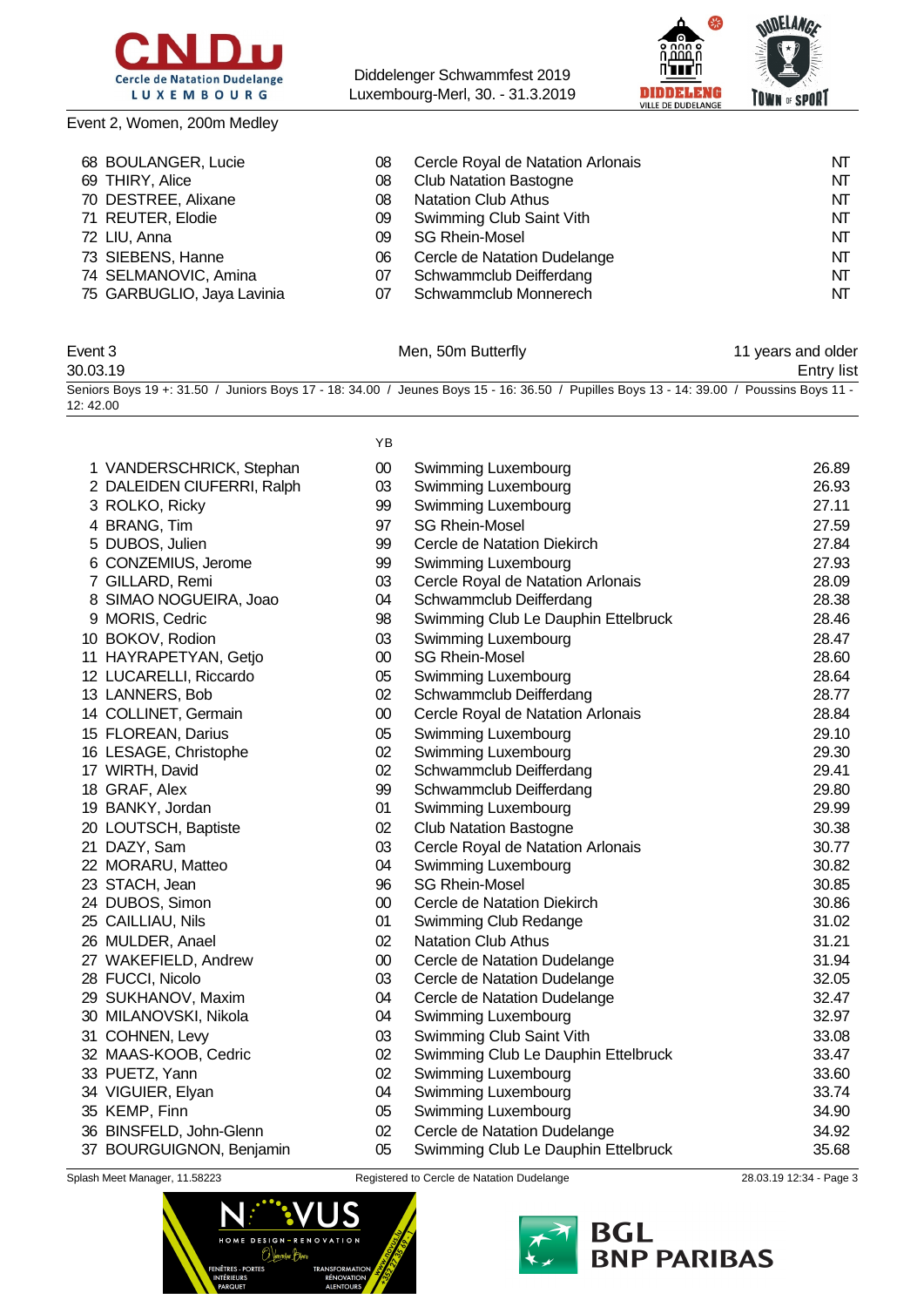

Event 2, Women, 200m Medley

Diddelenger Schwammfest 2019 Luxembourg-Merl, 30. - 31.3.2019



### 68 BOULANGER, Lucie 68 O8 Cercle Royal de Natation Arlonais 69 NT 69 THIRY, Alice **CREATE:** 08 Club Natation Bastogne **NT** NT DESTREE, Alixane 08 Natation Club Athus NT 71 REUTER, Elodie **1988 CONTER, Elodie** 1999 Swimming Club Saint Vith 1999 Swimming Club Saint Vith 1999 1999 NT LIU, Anna 09 SG Rhein-Mosel NT SIEBENS, Hanne 06 Cercle de Natation Dudelange NT 74 SELMANOVIC, Amina **07** Schwammclub Deifferdang **NT** 75 GARBUGLIO, Jaya Lavinia Schwammclub Monnerech NT

| Event 3  | Men, 50m Butterfly                                                                                                                      | 11 years and older |
|----------|-----------------------------------------------------------------------------------------------------------------------------------------|--------------------|
| 30.03.19 |                                                                                                                                         | Entry list         |
|          | Seniors Boys 19 +: 31.50 / Juniors Boys 17 - 18: 34.00 / Jeunes Boys 15 - 16: 36.50 / Pupilles Boys 13 - 14: 39.00 / Poussins Boys 11 - |                    |
| 12:42.00 |                                                                                                                                         |                    |

|                            | ΥB     |                                     |       |
|----------------------------|--------|-------------------------------------|-------|
| 1 VANDERSCHRICK, Stephan   | $00\,$ | Swimming Luxembourg                 | 26.89 |
| 2 DALEIDEN CIUFERRI, Ralph | 03     | Swimming Luxembourg                 | 26.93 |
| 3 ROLKO, Ricky             | 99     | Swimming Luxembourg                 | 27.11 |
| 4 BRANG, Tim               | 97     | <b>SG Rhein-Mosel</b>               | 27.59 |
| 5 DUBOS, Julien            | 99     | Cercle de Natation Diekirch         | 27.84 |
| 6 CONZEMIUS, Jerome        | 99     | Swimming Luxembourg                 | 27.93 |
| 7 GILLARD, Remi            | 03     | Cercle Royal de Natation Arlonais   | 28.09 |
| 8 SIMAO NOGUEIRA, Joao     | 04     | Schwammclub Deifferdang             | 28.38 |
| 9 MORIS, Cedric            | 98     | Swimming Club Le Dauphin Ettelbruck | 28.46 |
| 10 BOKOV, Rodion           | 03     | Swimming Luxembourg                 | 28.47 |
| 11 HAYRAPETYAN, Getjo      | $00\,$ | <b>SG Rhein-Mosel</b>               | 28.60 |
| 12 LUCARELLI, Riccardo     | 05     | Swimming Luxembourg                 | 28.64 |
| 13 LANNERS, Bob            | 02     | Schwammclub Deifferdang             | 28.77 |
| 14 COLLINET, Germain       | $00\,$ | Cercle Royal de Natation Arlonais   | 28.84 |
| 15 FLOREAN, Darius         | 05     | Swimming Luxembourg                 | 29.10 |
| 16 LESAGE, Christophe      | 02     | Swimming Luxembourg                 | 29.30 |
| 17 WIRTH, David            | 02     | Schwammclub Deifferdang             | 29.41 |
| 18 GRAF, Alex              | 99     | Schwammclub Deifferdang             | 29.80 |
| 19 BANKY, Jordan           | 01     | Swimming Luxembourg                 | 29.99 |
| 20 LOUTSCH, Baptiste       | 02     | <b>Club Natation Bastogne</b>       | 30.38 |
| 21 DAZY, Sam               | 03     | Cercle Royal de Natation Arlonais   | 30.77 |
| 22 MORARU, Matteo          | 04     | Swimming Luxembourg                 | 30.82 |
| 23 STACH, Jean             | 96     | <b>SG Rhein-Mosel</b>               | 30.85 |
| 24 DUBOS, Simon            | $00\,$ | Cercle de Natation Diekirch         | 30.86 |
| 25 CAILLIAU, Nils          | 01     | Swimming Club Redange               | 31.02 |
| 26 MULDER, Anael           | 02     | <b>Natation Club Athus</b>          | 31.21 |
| 27 WAKEFIELD, Andrew       | $00\,$ | Cercle de Natation Dudelange        | 31.94 |
| 28 FUCCI, Nicolo           | 03     | Cercle de Natation Dudelange        | 32.05 |
| 29 SUKHANOV, Maxim         | 04     | Cercle de Natation Dudelange        | 32.47 |
| 30 MILANOVSKI, Nikola      | 04     | Swimming Luxembourg                 | 32.97 |
| 31 COHNEN, Levy            | 03     | Swimming Club Saint Vith            | 33.08 |
| 32 MAAS-KOOB, Cedric       | 02     | Swimming Club Le Dauphin Ettelbruck | 33.47 |
| 33 PUETZ, Yann             | 02     | Swimming Luxembourg                 | 33.60 |
| 34 VIGUIER, Elyan          | 04     | Swimming Luxembourg                 | 33.74 |
| 35 KEMP, Finn              | 05     | Swimming Luxembourg                 | 34.90 |
| 36 BINSFELD, John-Glenn    | 02     | Cercle de Natation Dudelange        | 34.92 |
| 37 BOURGUIGNON, Benjamin   | 05     | Swimming Club Le Dauphin Ettelbruck | 35.68 |
|                            |        |                                     |       |



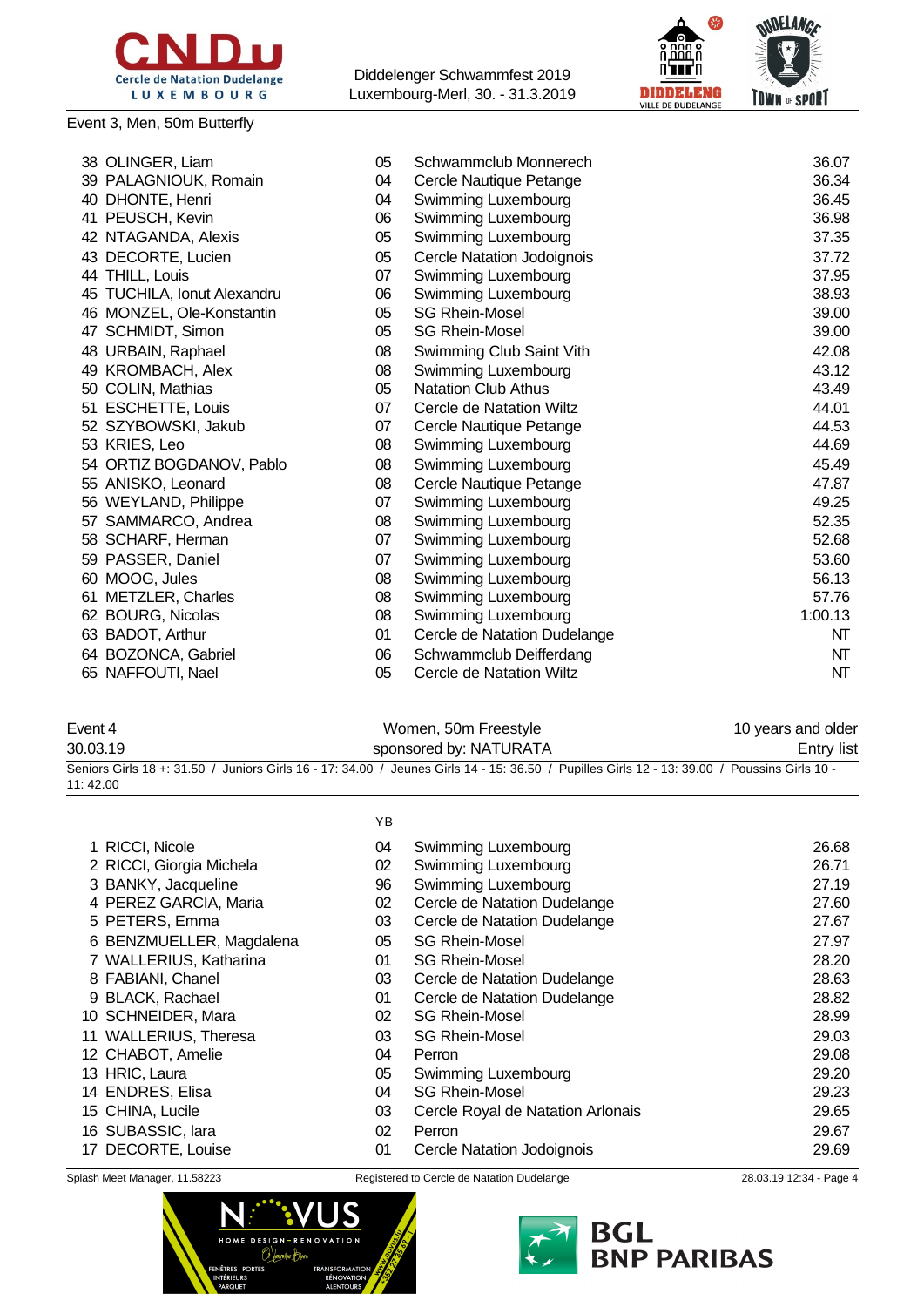

### Event 3, Men, 50m Butterfly



| 38 OLINGER, Liam             | 05 | Schwammclub Monnerech             | 36.07   |
|------------------------------|----|-----------------------------------|---------|
| 39 PALAGNIOUK, Romain        | 04 | Cercle Nautique Petange           | 36.34   |
| 40 DHONTE, Henri             | 04 | Swimming Luxembourg               | 36.45   |
| 41 PEUSCH, Kevin             | 06 | Swimming Luxembourg               | 36.98   |
| 42 NTAGANDA, Alexis          | 05 | Swimming Luxembourg               | 37.35   |
| 43 DECORTE, Lucien           | 05 | <b>Cercle Natation Jodoignois</b> | 37.72   |
| 44 THILL, Louis              | 07 | Swimming Luxembourg               | 37.95   |
| 45 TUCHILA, Ionut Alexandru  | 06 | Swimming Luxembourg               | 38.93   |
| 46 MONZEL, Ole-Konstantin    | 05 | <b>SG Rhein-Mosel</b>             | 39.00   |
| 47 SCHMIDT, Simon            | 05 | <b>SG Rhein-Mosel</b>             | 39.00   |
| 48 URBAIN, Raphael           | 08 | Swimming Club Saint Vith          | 42.08   |
| 49 KROMBACH, Alex            | 08 | Swimming Luxembourg               | 43.12   |
| COLIN, Mathias<br>50         | 05 | <b>Natation Club Athus</b>        | 43.49   |
| <b>ESCHETTE, Louis</b><br>51 | 07 | Cercle de Natation Wiltz          | 44.01   |
| 52 SZYBOWSKI, Jakub          | 07 | Cercle Nautique Petange           | 44.53   |
| 53 KRIES, Leo                | 08 | Swimming Luxembourg               | 44.69   |
| 54 ORTIZ BOGDANOV, Pablo     | 08 | Swimming Luxembourg               | 45.49   |
| 55 ANISKO, Leonard           | 08 | Cercle Nautique Petange           | 47.87   |
| 56 WEYLAND, Philippe         | 07 | Swimming Luxembourg               | 49.25   |
| 57 SAMMARCO, Andrea          | 08 | Swimming Luxembourg               | 52.35   |
| SCHARF, Herman<br>58         | 07 | Swimming Luxembourg               | 52.68   |
| 59 PASSER, Daniel            | 07 | Swimming Luxembourg               | 53.60   |
| 60 MOOG, Jules               | 08 | Swimming Luxembourg               | 56.13   |
| METZLER, Charles<br>61       | 08 | Swimming Luxembourg               | 57.76   |
| 62 BOURG, Nicolas            | 08 | Swimming Luxembourg               | 1:00.13 |
| 63 BADOT, Arthur             | 01 | Cercle de Natation Dudelange      | NT      |
| 64 BOZONCA, Gabriel          | 06 | Schwammclub Deifferdang           | NT      |
| 65 NAFFOUTI, Nael            | 05 | Cercle de Natation Wiltz          | NT      |
|                              |    |                                   |         |

| Event 4  | Women, 50m Freestyle                                                                                                                         | 10 years and older |
|----------|----------------------------------------------------------------------------------------------------------------------------------------------|--------------------|
| 30.03.19 | sponsored by: NATURATA                                                                                                                       | Entry list         |
|          | Seniors Girls 18 +: 31.50 / Juniors Girls 16 - 17: 34.00 / Jeunes Girls 14 - 15: 36.50 / Pupilles Girls 12 - 13: 39.00 / Poussins Girls 10 - |                    |
| 11:42.00 |                                                                                                                                              |                    |

#### YB

| 1 RICCI, Nicole          | 04 | Swimming Luxembourg               | 26.68 |
|--------------------------|----|-----------------------------------|-------|
| 2 RICCI, Giorgia Michela | 02 | Swimming Luxembourg               | 26.71 |
| 3 BANKY, Jacqueline      | 96 | Swimming Luxembourg               | 27.19 |
| 4 PEREZ GARCIA, Maria    | 02 | Cercle de Natation Dudelange      | 27.60 |
| 5 PETERS, Emma           | 03 | Cercle de Natation Dudelange      | 27.67 |
| 6 BENZMUELLER, Magdalena | 05 | <b>SG Rhein-Mosel</b>             | 27.97 |
| 7 WALLERIUS, Katharina   | 01 | <b>SG Rhein-Mosel</b>             | 28.20 |
| 8 FABIANI, Chanel        | 03 | Cercle de Natation Dudelange      | 28.63 |
| 9 BLACK, Rachael         | 01 | Cercle de Natation Dudelange      | 28.82 |
| 10 SCHNEIDER, Mara       | 02 | <b>SG Rhein-Mosel</b>             | 28.99 |
| 11 WALLERIUS, Theresa    | 03 | <b>SG Rhein-Mosel</b>             | 29.03 |
| 12 CHABOT, Amelie        | 04 | Perron                            | 29.08 |
| 13 HRIC, Laura           | 05 | Swimming Luxembourg               | 29.20 |
| 14 ENDRES, Elisa         | 04 | <b>SG Rhein-Mosel</b>             | 29.23 |
| 15 CHINA, Lucile         | 03 | Cercle Royal de Natation Arlonais | 29.65 |
| 16 SUBASSIC, lara        | 02 | Perron                            | 29.67 |
| 17 DECORTE, Louise       | 01 | Cercle Natation Jodoignois        | 29.69 |
|                          |    |                                   |       |



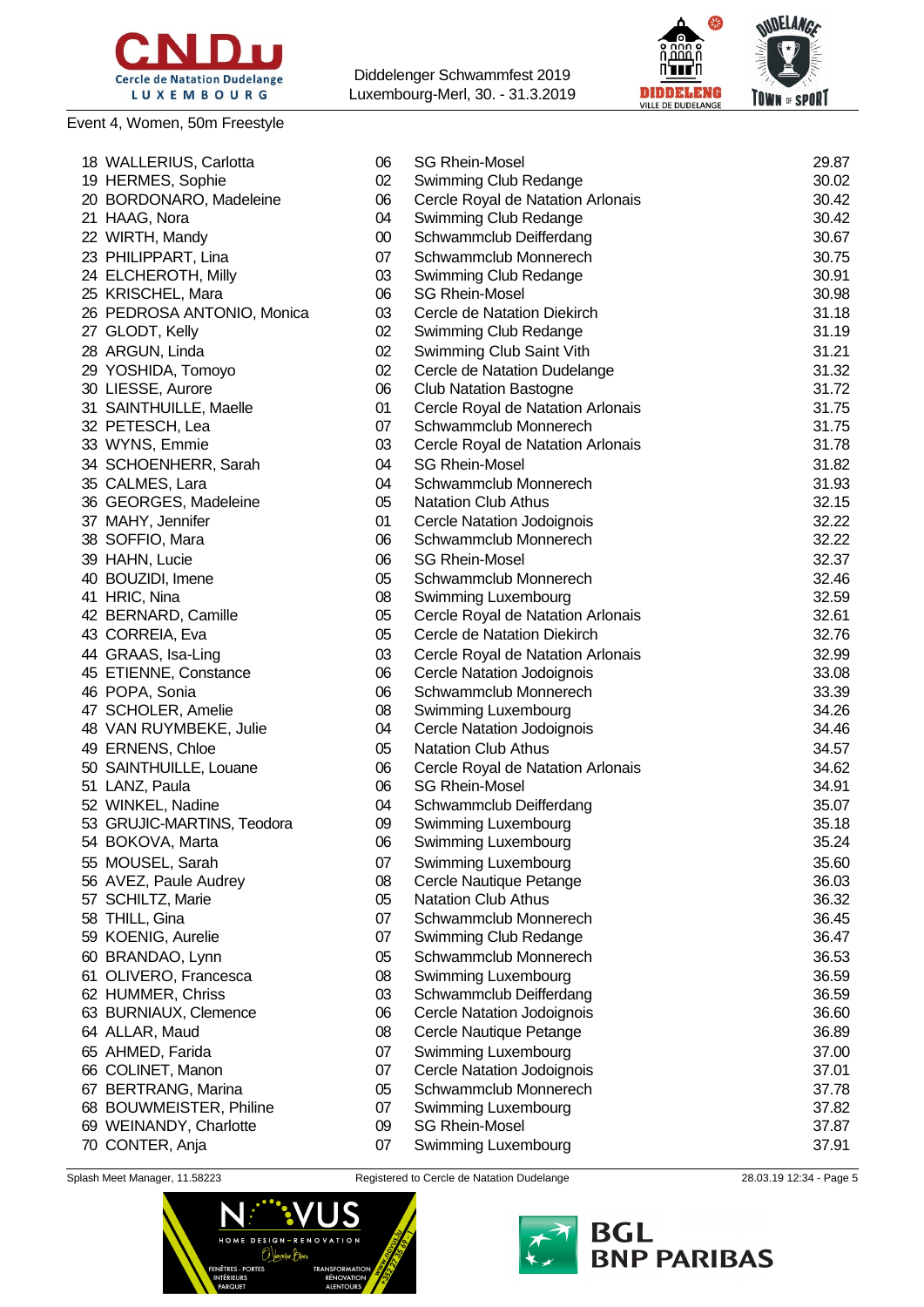

### Event 4, Women, 50m Freestyle

Diddelenger Schwammfest 2019 Luxembourg-Merl, 30. - 31.3.2019



| 18 WALLERIUS, Carlotta              | 06       | <b>SG Rhein-Mosel</b>                                      | 29.87          |
|-------------------------------------|----------|------------------------------------------------------------|----------------|
| 19 HERMES, Sophie                   | 02       | Swimming Club Redange                                      | 30.02          |
| 20 BORDONARO, Madeleine             | 06       | Cercle Royal de Natation Arlonais                          | 30.42          |
| 21 HAAG, Nora                       | 04       | Swimming Club Redange                                      | 30.42          |
| 22 WIRTH, Mandy                     | $00\,$   | Schwammclub Deifferdang                                    | 30.67          |
| 23 PHILIPPART, Lina                 | 07       | Schwammclub Monnerech                                      | 30.75          |
| 24 ELCHEROTH, Milly                 | 03       | Swimming Club Redange                                      | 30.91          |
| 25 KRISCHEL, Mara                   | 06       | <b>SG Rhein-Mosel</b>                                      | 30.98          |
| 26 PEDROSA ANTONIO, Monica          | 03       | Cercle de Natation Diekirch                                | 31.18          |
| 27 GLODT, Kelly                     | 02       | Swimming Club Redange                                      | 31.19          |
| 28 ARGUN, Linda                     | 02       | Swimming Club Saint Vith                                   | 31.21          |
| 29 YOSHIDA, Tomoyo                  | 02       | Cercle de Natation Dudelange                               | 31.32          |
| 30 LIESSE, Aurore                   | 06       | <b>Club Natation Bastogne</b>                              | 31.72          |
| 31 SAINTHUILLE, Maelle              | 01       | Cercle Royal de Natation Arlonais                          | 31.75          |
| 32 PETESCH, Lea                     | 07       | Schwammclub Monnerech                                      | 31.75          |
| 33 WYNS, Emmie                      | 03       | Cercle Royal de Natation Arlonais                          | 31.78          |
| 34 SCHOENHERR, Sarah                | 04       | <b>SG Rhein-Mosel</b>                                      | 31.82          |
| 35 CALMES, Lara                     | 04       | Schwammclub Monnerech                                      | 31.93          |
| 36 GEORGES, Madeleine               | 05       | <b>Natation Club Athus</b>                                 | 32.15          |
| 37 MAHY, Jennifer                   | 01       | <b>Cercle Natation Jodoignois</b>                          | 32.22          |
| 38 SOFFIO, Mara                     | 06       | Schwammclub Monnerech                                      | 32.22          |
| 39 HAHN, Lucie                      | 06       | <b>SG Rhein-Mosel</b>                                      | 32.37          |
| 40 BOUZIDI, Imene                   | 05       | Schwammclub Monnerech                                      | 32.46          |
| 41 HRIC, Nina                       | 08       | Swimming Luxembourg                                        | 32.59          |
| 42 BERNARD, Camille                 | 05       | Cercle Royal de Natation Arlonais                          | 32.61          |
| 43 CORREIA, Eva                     | 05       | Cercle de Natation Diekirch                                | 32.76          |
| 44 GRAAS, Isa-Ling                  | 03       | Cercle Royal de Natation Arlonais                          | 32.99          |
| 45 ETIENNE, Constance               | 06       | Cercle Natation Jodoignois                                 | 33.08          |
| 46 POPA, Sonia                      | 06       | Schwammclub Monnerech                                      | 33.39          |
| 47 SCHOLER, Amelie                  | 08       | Swimming Luxembourg                                        | 34.26          |
| 48 VAN RUYMBEKE, Julie              | 04       | Cercle Natation Jodoignois                                 | 34.46          |
| 49 ERNENS, Chloe                    | 05       | <b>Natation Club Athus</b>                                 | 34.57          |
|                                     |          |                                                            | 34.62          |
| 50 SAINTHUILLE, Louane              | 06       | Cercle Royal de Natation Arlonais<br><b>SG Rhein-Mosel</b> | 34.91          |
| 51 LANZ, Paula<br>52 WINKEL, Nadine | 06<br>04 | Schwammclub Deifferdang                                    | 35.07          |
| 53 GRUJIC-MARTINS, Teodora          | 09       |                                                            | 35.18          |
| 54 BOKOVA, Marta                    | 06       | Swimming Luxembourg                                        | 35.24          |
| 55 MOUSEL, Sarah                    |          | Swimming Luxembourg                                        |                |
| 56 AVEZ, Paule Audrey               | 07       | Swimming Luxembourg                                        | 35.60          |
|                                     | 08<br>05 | Cercle Nautique Petange<br><b>Natation Club Athus</b>      | 36.03<br>36.32 |
| 57 SCHILTZ, Marie<br>58 THILL, Gina | 07       | Schwammclub Monnerech                                      | 36.45          |
| 59 KOENIG, Aurelie                  | 07       | Swimming Club Redange                                      | 36.47          |
|                                     |          |                                                            |                |
| 60 BRANDAO, Lynn                    | 05       | Schwammclub Monnerech                                      | 36.53          |
| 61 OLIVERO, Francesca               | 08       | Swimming Luxembourg                                        | 36.59          |
| 62 HUMMER, Chriss                   | 03       | Schwammclub Deifferdang                                    | 36.59          |
| 63 BURNIAUX, Clemence               | 06<br>08 | Cercle Natation Jodoignois<br>Cercle Nautique Petange      | 36.60          |
| 64 ALLAR, Maud                      |          |                                                            | 36.89          |
| 65 AHMED, Farida                    | 07       | Swimming Luxembourg                                        | 37.00          |
| 66 COLINET, Manon                   | 07       | <b>Cercle Natation Jodoignois</b>                          | 37.01          |
| 67 BERTRANG, Marina                 | 05       | Schwammclub Monnerech                                      | 37.78          |
| 68 BOUWMEISTER, Philine             | 07       | Swimming Luxembourg                                        | 37.82          |
| 69 WEINANDY, Charlotte              | 09       | <b>SG Rhein-Mosel</b>                                      | 37.87          |
| 70 CONTER, Anja                     | 07       | Swimming Luxembourg                                        | 37.91          |



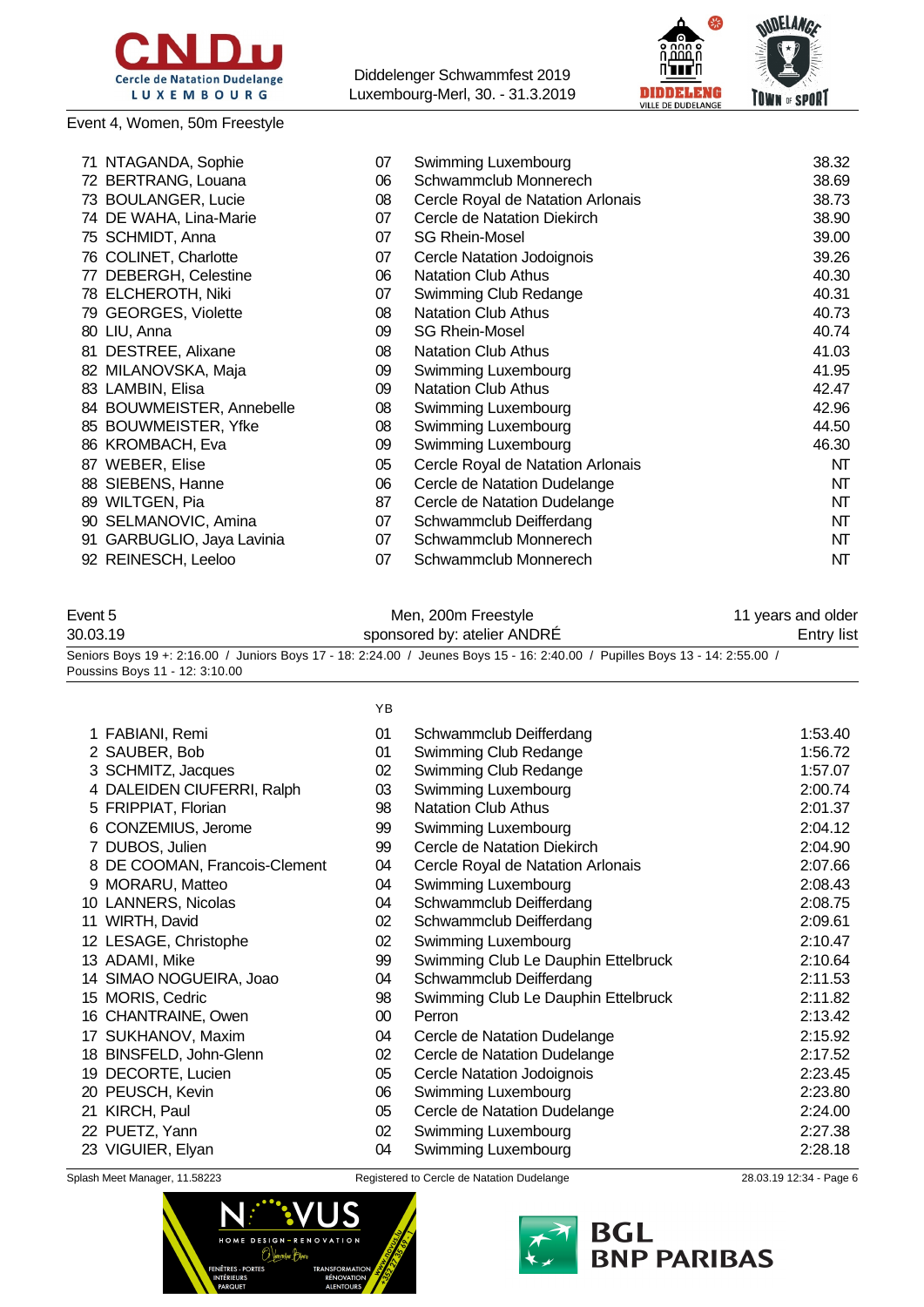

Event 4, Women, 50m Freestyle

Diddelenger Schwammfest 2019 Luxembourg-Merl, 30. - 31.3.2019



|    | 71 NTAGANDA, Sophie       | 07 | Swimming Luxembourg               | 38.32 |
|----|---------------------------|----|-----------------------------------|-------|
|    | 72 BERTRANG, Louana       | 06 | Schwammclub Monnerech             | 38.69 |
|    | 73 BOULANGER, Lucie       | 08 | Cercle Royal de Natation Arlonais | 38.73 |
|    | 74 DE WAHA, Lina-Marie    | 07 | Cercle de Natation Diekirch       | 38.90 |
|    | 75 SCHMIDT, Anna          | 07 | <b>SG Rhein-Mosel</b>             | 39.00 |
|    | 76 COLINET, Charlotte     | 07 | Cercle Natation Jodoignois        | 39.26 |
|    | 77 DEBERGH, Celestine     | 06 | <b>Natation Club Athus</b>        | 40.30 |
|    | 78 ELCHEROTH, Niki        | 07 | Swimming Club Redange             | 40.31 |
|    | 79 GEORGES, Violette      | 08 | <b>Natation Club Athus</b>        | 40.73 |
|    | 80 LIU, Anna              | 09 | <b>SG Rhein-Mosel</b>             | 40.74 |
|    | 81 DESTREE, Alixane       | 08 | <b>Natation Club Athus</b>        | 41.03 |
|    | 82 MILANOVSKA, Maja       | 09 | Swimming Luxembourg               | 41.95 |
|    | 83 LAMBIN, Elisa          | 09 | <b>Natation Club Athus</b>        | 42.47 |
|    | 84 BOUWMEISTER, Annebelle | 08 | Swimming Luxembourg               | 42.96 |
|    | 85 BOUWMEISTER, Yfke      | 08 | Swimming Luxembourg               | 44.50 |
|    | 86 KROMBACH, Eva          | 09 | Swimming Luxembourg               | 46.30 |
|    | 87 WEBER, Elise           | 05 | Cercle Royal de Natation Arlonais | NT    |
|    | 88 SIEBENS, Hanne         | 06 | Cercle de Natation Dudelange      | NT    |
|    | 89 WILTGEN, Pia           | 87 | Cercle de Natation Dudelange      | NT    |
|    | 90 SELMANOVIC, Amina      | 07 | Schwammclub Deifferdang           | NT    |
| 91 | GARBUGLIO, Jaya Lavinia   | 07 | Schwammclub Monnerech             | NT    |
|    | 92 REINESCH, Leeloo       | 07 | Schwammclub Monnerech             | NT    |

### Event 5 **Men, 200m Freestyle** 11 years and older 30.03.19 Sponsored by: atelier ANDRÉ Entry list Seniors Boys 19 +: 2:16.00 / Juniors Boys 17 - 18: 2:24.00 / Jeunes Boys 15 - 16: 2:40.00 / Pupilles Boys 13 - 14: 2:55.00 / Poussins Boys 11 - 12: 3:10.00

|    |                               | YB              |                                     |         |
|----|-------------------------------|-----------------|-------------------------------------|---------|
|    | 1 FABIANI, Remi               | 01              | Schwammclub Deifferdang             | 1:53.40 |
|    | 2 SAUBER, Bob                 | 01              | Swimming Club Redange               | 1:56.72 |
|    | 3 SCHMITZ, Jacques            | 02              | Swimming Club Redange               | 1:57.07 |
|    | 4 DALEIDEN CIUFERRI, Ralph    | 03              | Swimming Luxembourg                 | 2:00.74 |
|    | 5 FRIPPIAT, Florian           | 98              | <b>Natation Club Athus</b>          | 2:01.37 |
|    | 6 CONZEMIUS, Jerome           | 99              | Swimming Luxembourg                 | 2:04.12 |
|    | 7 DUBOS, Julien               | 99              | Cercle de Natation Diekirch         | 2:04.90 |
|    | 8 DE COOMAN, Francois-Clement | 04              | Cercle Royal de Natation Arlonais   | 2:07.66 |
|    | 9 MORARU, Matteo              | 04              | Swimming Luxembourg                 | 2:08.43 |
|    | 10 LANNERS, Nicolas           | 04              | Schwammclub Deifferdang             | 2:08.75 |
|    | 11 WIRTH, David               | 02              | Schwammclub Deifferdang             | 2:09.61 |
|    | 12 LESAGE, Christophe         | 02              | Swimming Luxembourg                 | 2:10.47 |
|    | 13 ADAMI, Mike                | 99              | Swimming Club Le Dauphin Ettelbruck | 2:10.64 |
|    | 14 SIMAO NOGUEIRA, Joao       | 04              | Schwammclub Deifferdang             | 2:11.53 |
|    | 15 MORIS, Cedric              | 98              | Swimming Club Le Dauphin Ettelbruck | 2:11.82 |
| 16 | CHANTRAINE, Owen              | 00 <sup>°</sup> | Perron                              | 2:13.42 |
|    | 17 SUKHANOV, Maxim            | 04              | Cercle de Natation Dudelange        | 2:15.92 |
| 18 | BINSFELD, John-Glenn          | 02              | Cercle de Natation Dudelange        | 2:17.52 |
| 19 | DECORTE, Lucien               | 05              | Cercle Natation Jodoignois          | 2:23.45 |
| 20 | PEUSCH, Kevin                 | 06              | Swimming Luxembourg                 | 2:23.80 |
| 21 | KIRCH, Paul                   | 05              | Cercle de Natation Dudelange        | 2:24.00 |
|    | 22 PUETZ, Yann                | 02              | Swimming Luxembourg                 | 2:27.38 |
|    | 23 VIGUIER, Elyan             | 04              | Swimming Luxembourg                 | 2:28.18 |
|    |                               |                 |                                     |         |



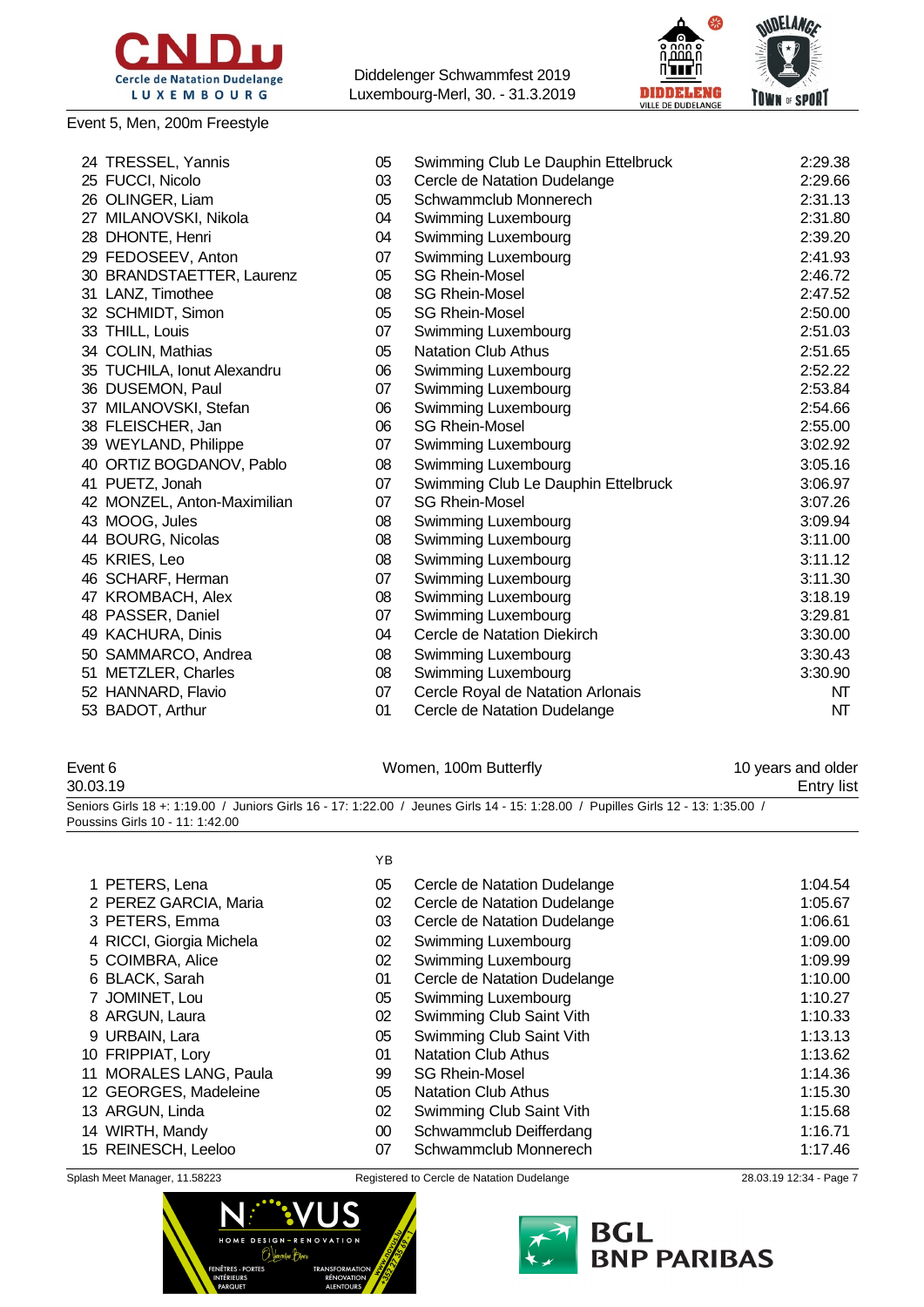

#### Event 5, Men, 200m Freestyle

Diddelenger Schwammfest 2019 Luxembourg-Merl, 30. - 31.3.2019



| 24 TRESSEL, Yannis          | 05 | Swimming Club Le Dauphin Ettelbruck | 2:29.38 |
|-----------------------------|----|-------------------------------------|---------|
| 25 FUCCI, Nicolo            | 03 | Cercle de Natation Dudelange        | 2:29.66 |
| 26 OLINGER, Liam            | 05 | Schwammclub Monnerech               | 2:31.13 |
| 27 MILANOVSKI, Nikola       | 04 | Swimming Luxembourg                 | 2:31.80 |
| 28 DHONTE, Henri            | 04 | Swimming Luxembourg                 | 2:39.20 |
| 29 FEDOSEEV, Anton          | 07 | Swimming Luxembourg                 | 2:41.93 |
| 30 BRANDSTAETTER, Laurenz   | 05 | <b>SG Rhein-Mosel</b>               | 2:46.72 |
| 31 LANZ, Timothee           | 08 | <b>SG Rhein-Mosel</b>               | 2:47.52 |
| 32 SCHMIDT, Simon           | 05 | <b>SG Rhein-Mosel</b>               | 2:50.00 |
| 33 THILL, Louis             | 07 | Swimming Luxembourg                 | 2:51.03 |
| 34 COLIN, Mathias           | 05 | <b>Natation Club Athus</b>          | 2:51.65 |
| 35 TUCHILA, Ionut Alexandru | 06 | Swimming Luxembourg                 | 2:52.22 |
| 36 DUSEMON, Paul            | 07 | Swimming Luxembourg                 | 2:53.84 |
| 37 MILANOVSKI, Stefan       | 06 | Swimming Luxembourg                 | 2:54.66 |
| 38 FLEISCHER, Jan           | 06 | <b>SG Rhein-Mosel</b>               | 2:55.00 |
| 39 WEYLAND, Philippe        | 07 | Swimming Luxembourg                 | 3:02.92 |
| 40 ORTIZ BOGDANOV, Pablo    | 08 | Swimming Luxembourg                 | 3:05.16 |
| 41 PUETZ, Jonah             | 07 | Swimming Club Le Dauphin Ettelbruck | 3:06.97 |
| 42 MONZEL, Anton-Maximilian | 07 | <b>SG Rhein-Mosel</b>               | 3:07.26 |
| 43 MOOG, Jules              | 08 | Swimming Luxembourg                 | 3:09.94 |
| 44 BOURG, Nicolas           | 08 | Swimming Luxembourg                 | 3:11.00 |
| 45 KRIES, Leo               | 08 | Swimming Luxembourg                 | 3:11.12 |
| 46 SCHARF, Herman           | 07 | Swimming Luxembourg                 | 3:11.30 |
| 47 KROMBACH, Alex           | 08 | Swimming Luxembourg                 | 3:18.19 |
| 48 PASSER, Daniel           | 07 | Swimming Luxembourg                 | 3:29.81 |
| 49 KACHURA, Dinis           | 04 | Cercle de Natation Diekirch         | 3:30.00 |
| 50 SAMMARCO, Andrea         | 08 | Swimming Luxembourg                 | 3:30.43 |
| 51 METZLER, Charles         | 08 | Swimming Luxembourg                 | 3:30.90 |
| 52 HANNARD, Flavio          | 07 | Cercle Royal de Natation Arlonais   | NT      |
| 53 BADOT, Arthur            | 01 | Cercle de Natation Dudelange        | NT      |
|                             |    |                                     |         |

## Event 6 **Event 6** Nomen, 100m Butterfly **10** years and older

30.03.19 Entry list Seniors Girls 18 +: 1:19.00 / Juniors Girls 16 - 17: 1:22.00 / Jeunes Girls 14 - 15: 1:28.00 / Pupilles Girls 12 - 13: 1:35.00 / Poussins Girls 10 - 11: 1:42.00

|                          | YB     |                              |         |
|--------------------------|--------|------------------------------|---------|
| 1 PETERS, Lena           | 05     | Cercle de Natation Dudelange | 1:04.54 |
| 2 PEREZ GARCIA, Maria    | 02     | Cercle de Natation Dudelange | 1:05.67 |
| 3 PETERS, Emma           | 03     | Cercle de Natation Dudelange | 1:06.61 |
| 4 RICCI, Giorgia Michela | 02     | Swimming Luxembourg          | 1:09.00 |
| 5 COIMBRA, Alice         | 02     | Swimming Luxembourg          | 1:09.99 |
| 6 BLACK, Sarah           | 01     | Cercle de Natation Dudelange | 1:10.00 |
| 7 JOMINET, Lou           | 05     | Swimming Luxembourg          | 1:10.27 |
| 8 ARGUN, Laura           | 02     | Swimming Club Saint Vith     | 1:10.33 |
| 9 URBAIN, Lara           | 05     | Swimming Club Saint Vith     | 1:13.13 |
| 10 FRIPPIAT, Lory        | 01     | <b>Natation Club Athus</b>   | 1:13.62 |
| 11 MORALES LANG, Paula   | 99     | <b>SG Rhein-Mosel</b>        | 1:14.36 |
| 12 GEORGES, Madeleine    | 05     | <b>Natation Club Athus</b>   | 1:15.30 |
| 13 ARGUN, Linda          | 02     | Swimming Club Saint Vith     | 1:15.68 |
| 14 WIRTH, Mandy          | $00\,$ | Schwammclub Deifferdang      | 1:16.71 |
| 15 REINESCH, Leeloo      | 07     | Schwammclub Monnerech        | 1:17.46 |



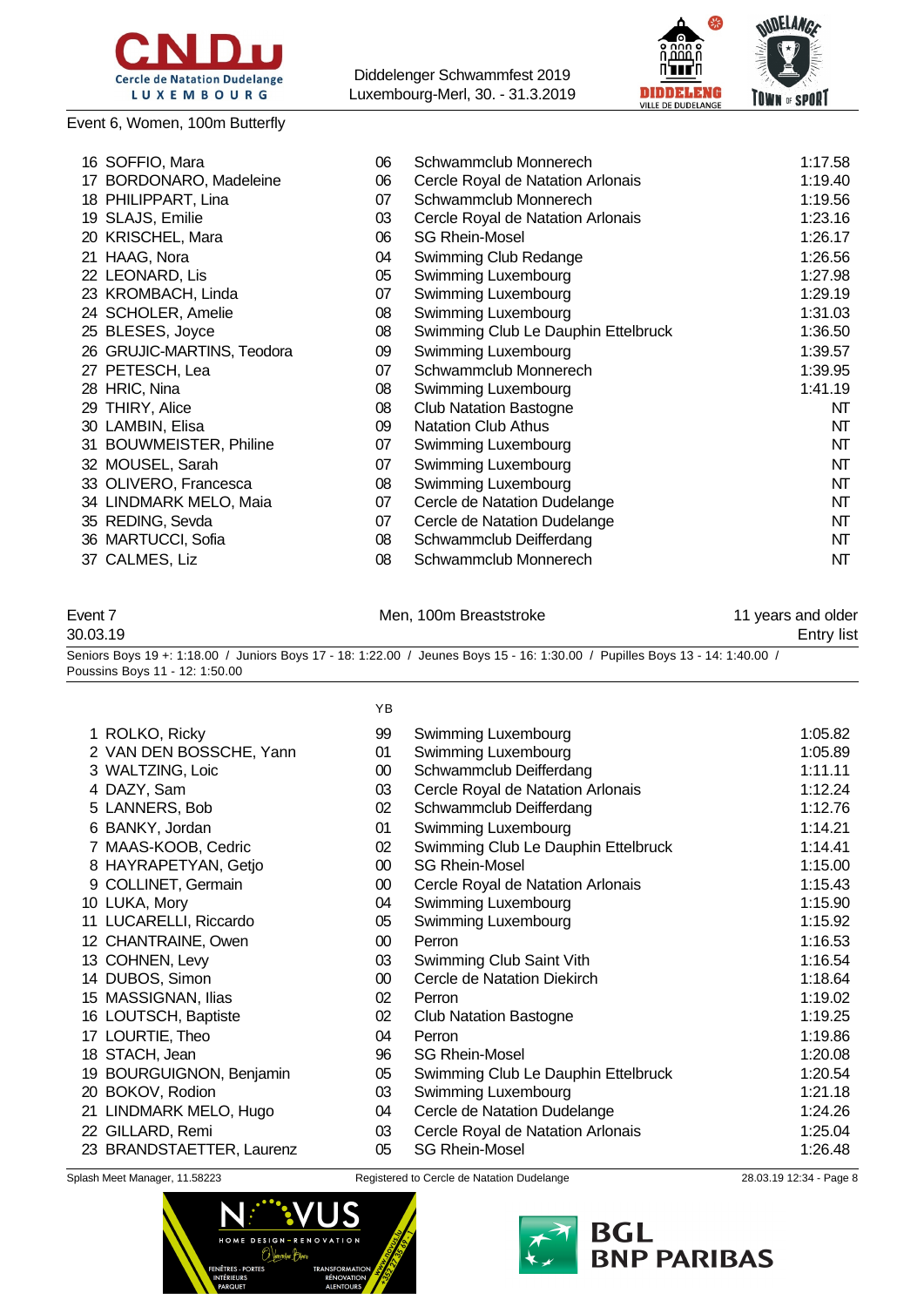

#### Event 6, Women, 100m Butterfly

Diddelenger Schwammfest 2019 Luxembourg-Merl, 30. - 31.3.2019



| 16 SOFFIO, Mara            | 06 | Schwammclub Monnerech               | 1:17.58 |
|----------------------------|----|-------------------------------------|---------|
| 17 BORDONARO, Madeleine    | 06 | Cercle Royal de Natation Arlonais   | 1:19.40 |
| 18 PHILIPPART, Lina        | 07 | Schwammclub Monnerech               | 1:19.56 |
| 19 SLAJS, Emilie           | 03 | Cercle Royal de Natation Arlonais   | 1:23.16 |
| 20 KRISCHEL, Mara          | 06 | <b>SG Rhein-Mosel</b>               | 1:26.17 |
| 21 HAAG, Nora              | 04 | Swimming Club Redange               | 1:26.56 |
| 22 LEONARD, Lis            | 05 | Swimming Luxembourg                 | 1:27.98 |
| 23 KROMBACH, Linda         | 07 | Swimming Luxembourg                 | 1:29.19 |
| 24 SCHOLER, Amelie         | 08 | Swimming Luxembourg                 | 1:31.03 |
| 25 BLESES, Joyce           | 08 | Swimming Club Le Dauphin Ettelbruck | 1:36.50 |
| 26 GRUJIC-MARTINS, Teodora | 09 | Swimming Luxembourg                 | 1:39.57 |
| 27 PETESCH, Lea            | 07 | Schwammclub Monnerech               | 1:39.95 |
| 28 HRIC, Nina              | 08 | Swimming Luxembourg                 | 1:41.19 |
| 29 THIRY, Alice            | 08 | <b>Club Natation Bastogne</b>       | NT      |
| 30 LAMBIN, Elisa           | 09 | <b>Natation Club Athus</b>          | NT      |
| 31 BOUWMEISTER, Philine    | 07 | Swimming Luxembourg                 | NT      |
| 32 MOUSEL, Sarah           | 07 | Swimming Luxembourg                 | NT      |
| 33 OLIVERO, Francesca      | 08 | Swimming Luxembourg                 | NT      |
| 34 LINDMARK MELO, Maia     | 07 | Cercle de Natation Dudelange        | NT      |
| 35 REDING, Sevda           | 07 | Cercle de Natation Dudelange        | NT      |
| 36 MARTUCCI, Sofia         | 08 | Schwammclub Deifferdang             | NT      |
| 37 CALMES, Liz             | 08 | Schwammclub Monnerech               | NT      |
|                            |    |                                     |         |

Event 7 The Communication of Men, 100m Breaststroke 11 years and older 30.03.19 Entry list Seniors Boys 19 +: 1:18.00 / Juniors Boys 17 - 18: 1:22.00 / Jeunes Boys 15 - 16: 1:30.00 / Pupilles Boys 13 - 14: 1:40.00 / Poussins Boys 11 - 12: 1:50.00

|                           | YB              |                                     |         |
|---------------------------|-----------------|-------------------------------------|---------|
| 1 ROLKO, Ricky            | 99              | Swimming Luxembourg                 | 1:05.82 |
| 2 VAN DEN BOSSCHE, Yann   | 01              | Swimming Luxembourg                 | 1:05.89 |
| 3 WALTZING, Loic          | 00              | Schwammclub Deifferdang             | 1:11.11 |
| 4 DAZY, Sam               | 03              | Cercle Royal de Natation Arlonais   | 1:12.24 |
| 5 LANNERS, Bob            | 02              | Schwammclub Deifferdang             | 1:12.76 |
| 6 BANKY, Jordan           | 01              | Swimming Luxembourg                 | 1:14.21 |
| 7 MAAS-KOOB, Cedric       | 02              | Swimming Club Le Dauphin Ettelbruck | 1:14.41 |
| 8 HAYRAPETYAN, Getjo      | 00 <sup>°</sup> | <b>SG Rhein-Mosel</b>               | 1:15.00 |
| 9 COLLINET, Germain       | 00              | Cercle Royal de Natation Arlonais   | 1:15.43 |
| 10 LUKA, Mory             | 04              | Swimming Luxembourg                 | 1:15.90 |
| LUCARELLI, Riccardo<br>11 | 05              | Swimming Luxembourg                 | 1:15.92 |
| 12 CHANTRAINE, Owen       | $00\,$          | Perron                              | 1:16.53 |
| 13 COHNEN, Levy           | 03              | Swimming Club Saint Vith            | 1:16.54 |
| 14 DUBOS, Simon           | 00 <sup>°</sup> | Cercle de Natation Diekirch         | 1:18.64 |
| 15 MASSIGNAN, Ilias       | 02 <sub>2</sub> | Perron                              | 1:19.02 |
| 16 LOUTSCH, Baptiste      | 02              | <b>Club Natation Bastogne</b>       | 1:19.25 |
| LOURTIE, Theo<br>17       | 04              | Perron                              | 1:19.86 |
| 18 STACH, Jean            | 96              | <b>SG Rhein-Mosel</b>               | 1:20.08 |
| 19 BOURGUIGNON, Benjamin  | 05              | Swimming Club Le Dauphin Ettelbruck | 1:20.54 |
| 20 BOKOV, Rodion          | 03              | Swimming Luxembourg                 | 1:21.18 |
| 21 LINDMARK MELO, Hugo    | 04              | Cercle de Natation Dudelange        | 1:24.26 |
| 22 GILLARD, Remi          | 03              | Cercle Royal de Natation Arlonais   | 1:25.04 |
| 23 BRANDSTAETTER, Laurenz | 05              | <b>SG Rhein-Mosel</b>               | 1:26.48 |



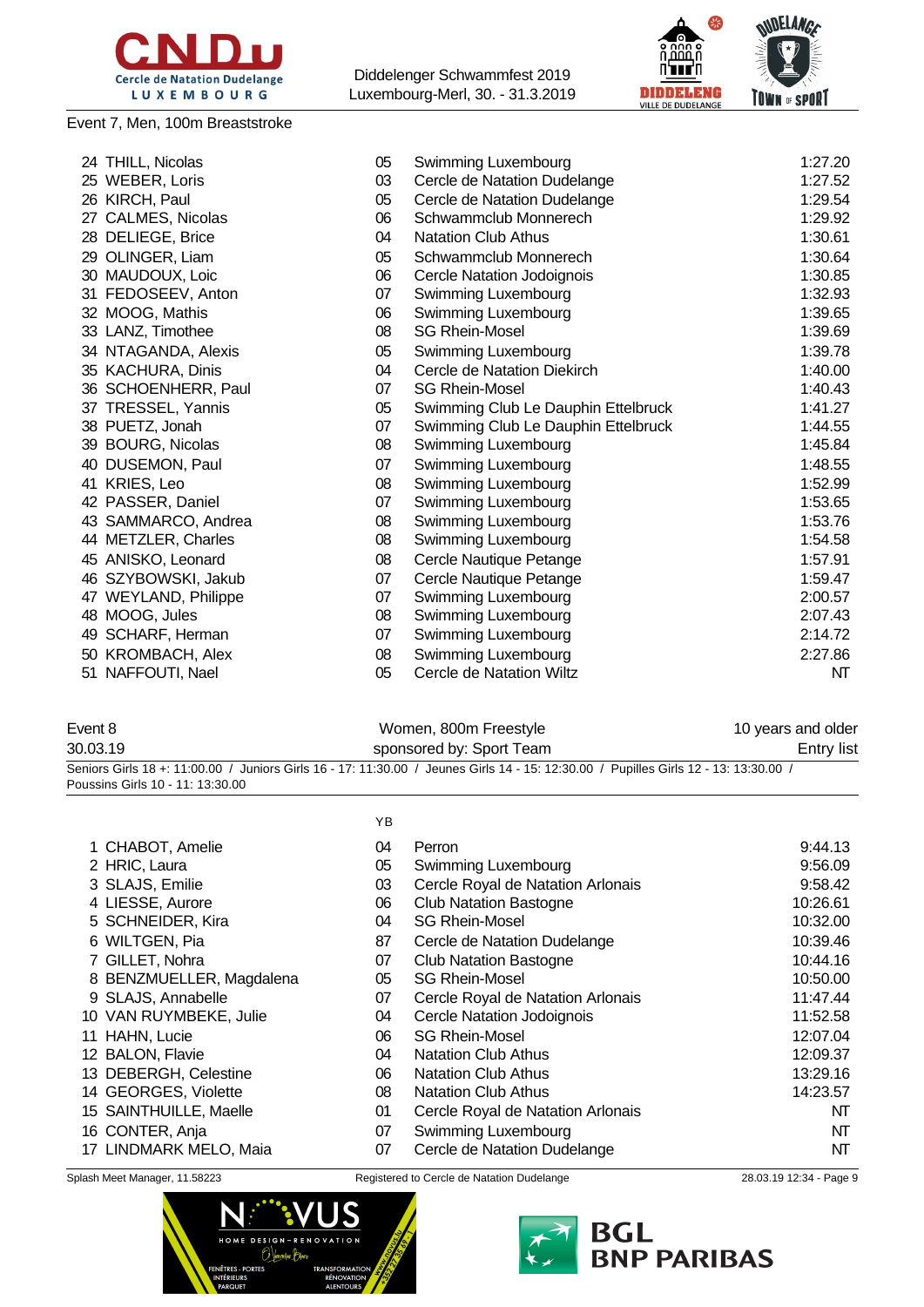

#### Event 7, Men, 100m Breaststroke

Diddelenger Schwammfest 2019 Luxembourg-Merl, 30. - 31.3.2019



|    | 24 THILL, Nicolas    | 05 | Swimming Luxembourg                 | 1:27.20 |
|----|----------------------|----|-------------------------------------|---------|
|    | 25 WEBER, Loris      | 03 | Cercle de Natation Dudelange        | 1:27.52 |
|    | 26 KIRCH, Paul       | 05 | Cercle de Natation Dudelange        | 1:29.54 |
|    | 27 CALMES, Nicolas   | 06 | Schwammclub Monnerech               | 1:29.92 |
|    | 28 DELIEGE, Brice    | 04 | <b>Natation Club Athus</b>          | 1:30.61 |
|    | 29 OLINGER, Liam     | 05 | Schwammclub Monnerech               | 1:30.64 |
|    | 30 MAUDOUX, Loic     | 06 | Cercle Natation Jodoignois          | 1:30.85 |
|    | 31 FEDOSEEV, Anton   | 07 | Swimming Luxembourg                 | 1:32.93 |
|    | 32 MOOG, Mathis      | 06 | Swimming Luxembourg                 | 1:39.65 |
|    | 33 LANZ, Timothee    | 08 | <b>SG Rhein-Mosel</b>               | 1:39.69 |
|    | 34 NTAGANDA, Alexis  | 05 | Swimming Luxembourg                 | 1:39.78 |
|    | 35 KACHURA, Dinis    | 04 | Cercle de Natation Diekirch         | 1:40.00 |
|    | 36 SCHOENHERR, Paul  | 07 | <b>SG Rhein-Mosel</b>               | 1:40.43 |
|    | 37 TRESSEL, Yannis   | 05 | Swimming Club Le Dauphin Ettelbruck | 1:41.27 |
|    | 38 PUETZ, Jonah      | 07 | Swimming Club Le Dauphin Ettelbruck | 1:44.55 |
|    | 39 BOURG, Nicolas    | 08 | Swimming Luxembourg                 | 1:45.84 |
|    | 40 DUSEMON, Paul     | 07 | Swimming Luxembourg                 | 1:48.55 |
|    | 41 KRIES, Leo        | 08 | Swimming Luxembourg                 | 1:52.99 |
|    | 42 PASSER, Daniel    | 07 | Swimming Luxembourg                 | 1:53.65 |
|    | 43 SAMMARCO, Andrea  | 08 | Swimming Luxembourg                 | 1:53.76 |
|    | 44 METZLER, Charles  | 08 | Swimming Luxembourg                 | 1:54.58 |
|    | 45 ANISKO, Leonard   | 08 | Cercle Nautique Petange             | 1:57.91 |
|    | 46 SZYBOWSKI, Jakub  | 07 | Cercle Nautique Petange             | 1:59.47 |
|    | 47 WEYLAND, Philippe | 07 | Swimming Luxembourg                 | 2:00.57 |
|    | 48 MOOG, Jules       | 08 | Swimming Luxembourg                 | 2:07.43 |
| 49 | SCHARF, Herman       | 07 | Swimming Luxembourg                 | 2:14.72 |
|    | 50 KROMBACH, Alex    | 08 | Swimming Luxembourg                 | 2:27.86 |
|    | 51 NAFFOUTI, Nael    | 05 | Cercle de Natation Wiltz            | NT      |
|    |                      |    |                                     |         |

| Event 8                          | Women, 800m Freestyle                                                                                                                | 10 years and older |
|----------------------------------|--------------------------------------------------------------------------------------------------------------------------------------|--------------------|
| 30.03.19                         | sponsored by: Sport Team                                                                                                             | Entry list         |
|                                  | Seniors Girls 18 +: 11:00.00 / Juniors Girls 16 - 17: 11:30.00 / Jeunes Girls 14 - 15: 12:30.00 / Pupilles Girls 12 - 13: 13:30.00 / |                    |
| Poussins Girls 10 - 11: 13:30.00 |                                                                                                                                      |                    |

|                          | YB |                                   |          |
|--------------------------|----|-----------------------------------|----------|
| 1 CHABOT, Amelie         | 04 | Perron                            | 9:44.13  |
| 2 HRIC, Laura            | 05 | Swimming Luxembourg               | 9:56.09  |
| 3 SLAJS, Emilie          | 03 | Cercle Royal de Natation Arlonais | 9:58.42  |
| 4 LIESSE, Aurore         | 06 | <b>Club Natation Bastogne</b>     | 10:26.61 |
| 5 SCHNEIDER, Kira        | 04 | <b>SG Rhein-Mosel</b>             | 10:32.00 |
| 6 WILTGEN, Pia           | 87 | Cercle de Natation Dudelange      | 10:39.46 |
| 7 GILLET, Nohra          | 07 | <b>Club Natation Bastogne</b>     | 10:44.16 |
| 8 BENZMUELLER, Magdalena | 05 | <b>SG Rhein-Mosel</b>             | 10:50.00 |
| 9 SLAJS, Annabelle       | 07 | Cercle Royal de Natation Arlonais | 11:47.44 |
| 10 VAN RUYMBEKE, Julie   | 04 | Cercle Natation Jodoignois        | 11:52.58 |
| 11 HAHN, Lucie           | 06 | <b>SG Rhein-Mosel</b>             | 12:07.04 |
| 12 BALON, Flavie         | 04 | <b>Natation Club Athus</b>        | 12:09.37 |
| 13 DEBERGH, Celestine    | 06 | <b>Natation Club Athus</b>        | 13:29.16 |
| 14 GEORGES, Violette     | 08 | <b>Natation Club Athus</b>        | 14:23.57 |
|                          |    |                                   |          |

- 15 SAINTHUILLE, Maelle 101 Cercle Royal de Natation Arlonais 15 SAINTHUILLE, Maelle
- 16 CONTER, Anja **16 CONTER, Anja 16 CONTER, Anja 16 CONTER**, Anja 1991 NT
- 17 LINDMARK MELO, Maia  $17$  Cercle de Natation Dudelange NT
- 



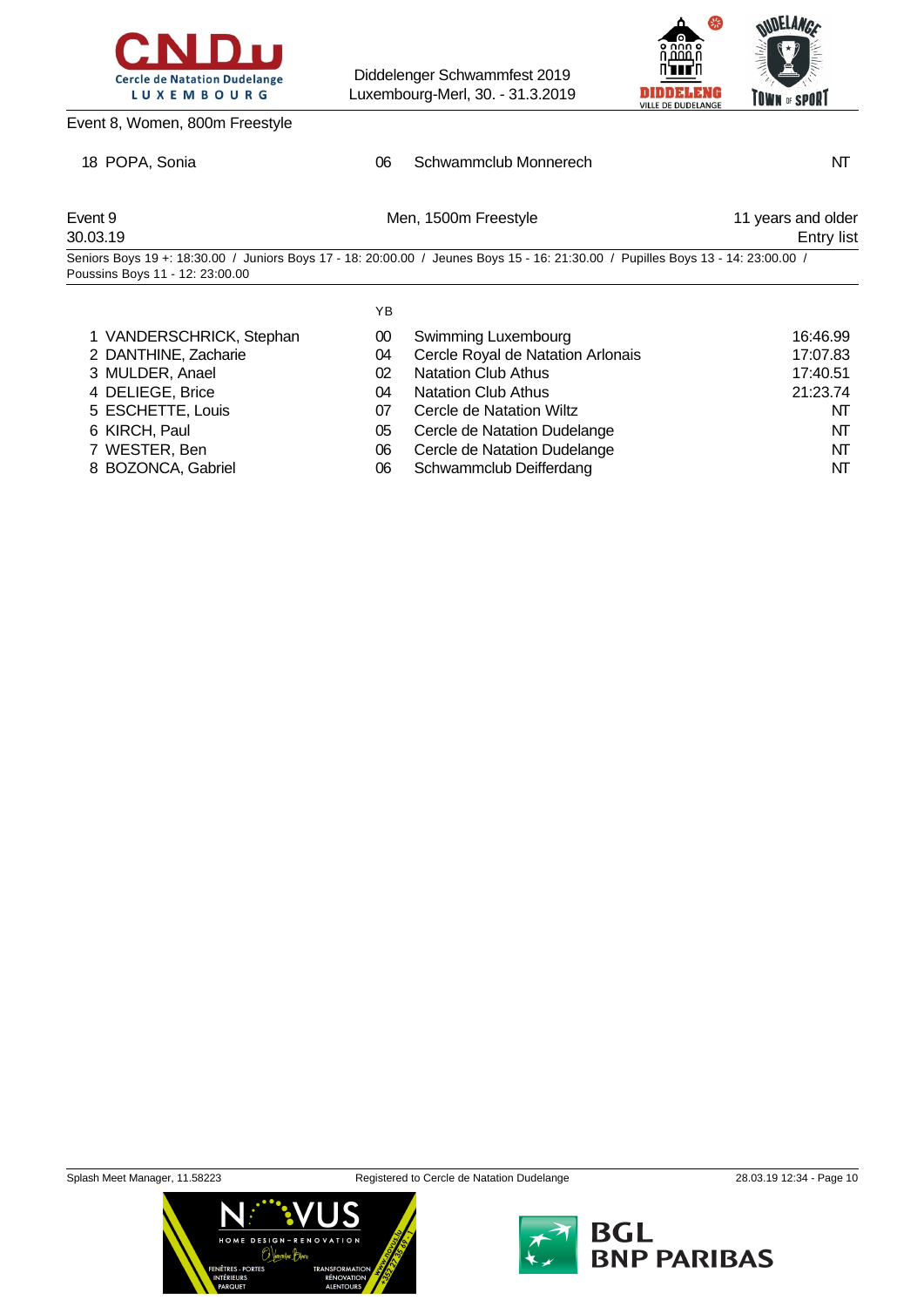



### Event 8, Women, 800m Freestyle

### 18 POPA, Sonia **NT** 06 Schwammclub Monnerech NT

| Event 9<br>30.03.19             | Men, 1500m Freestyle                                                                                                             | 11 years and older<br>Entry list |
|---------------------------------|----------------------------------------------------------------------------------------------------------------------------------|----------------------------------|
| Poussins Boys 11 - 12: 23:00.00 | Seniors Boys 19 +: 18:30.00 / Juniors Boys 17 - 18: 20:00.00 / Jeunes Boys 15 - 16: 21:30.00 / Pupilles Boys 13 - 14: 23:00.00 / |                                  |

YB

| 1 VANDERSCHRICK, Stephan | 00 | Swimming Luxembourg               | 16:46.99 |
|--------------------------|----|-----------------------------------|----------|
| 2 DANTHINE, Zacharie     | 04 | Cercle Royal de Natation Arlonais | 17:07.83 |
| 3 MULDER, Anael          | 02 | <b>Natation Club Athus</b>        | 17:40.51 |
| 4 DELIEGE, Brice         | 04 | <b>Natation Club Athus</b>        | 21:23.74 |
| 5 ESCHETTE, Louis        | 07 | Cercle de Natation Wiltz          | NT       |
| 6 KIRCH, Paul            | 05 | Cercle de Natation Dudelange      | NT       |
| 7 WESTER, Ben            | 06 | Cercle de Natation Dudelange      | NT       |
| 8 BOZONCA, Gabriel       | 06 | Schwammclub Deifferdang           | NT       |



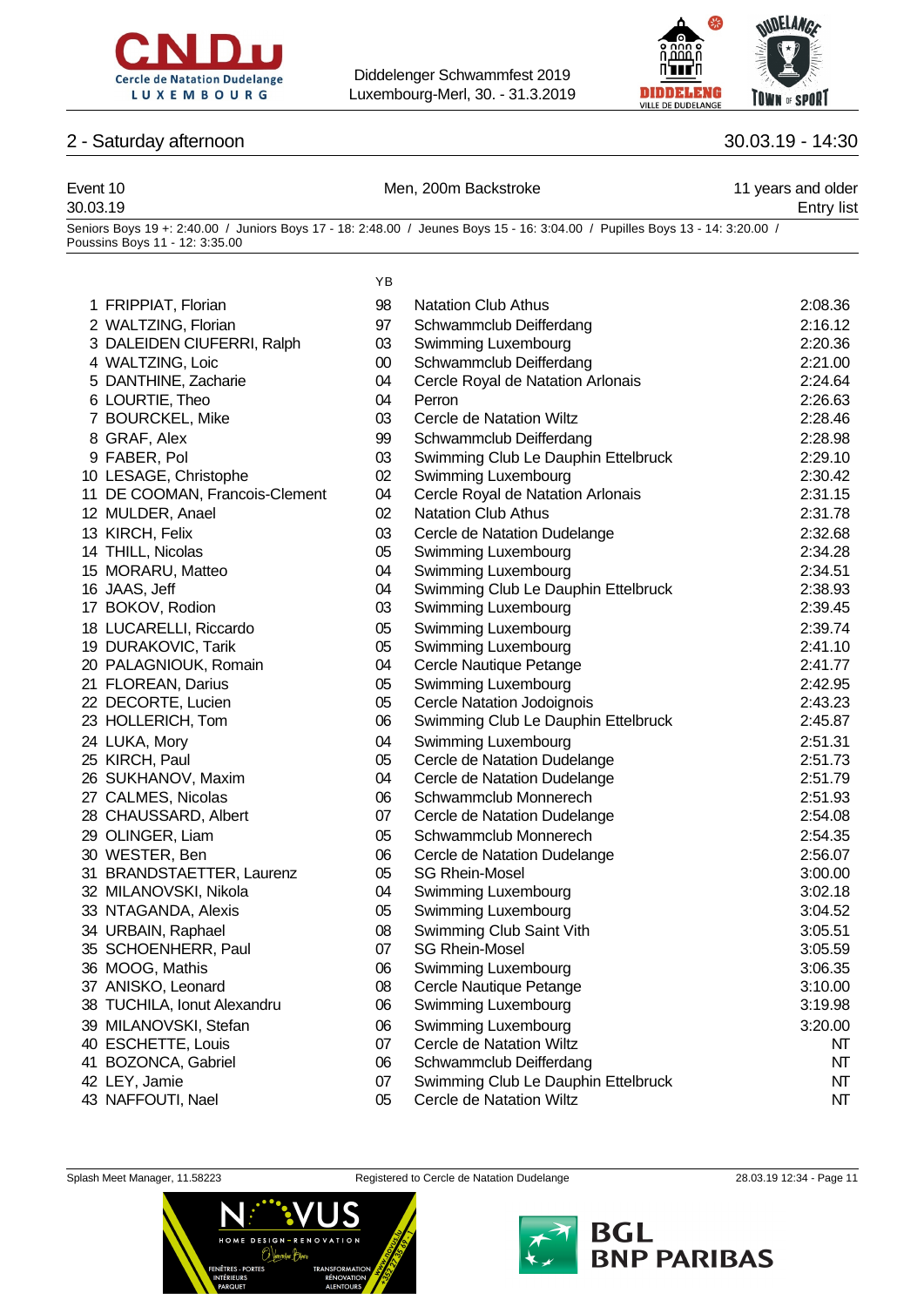



| 2 - Saturday afternoon         | 30.03.19 - 14:30 |                                                                                                                              |                                  |
|--------------------------------|------------------|------------------------------------------------------------------------------------------------------------------------------|----------------------------------|
| Event 10<br>30.03.19           |                  | Men, 200m Backstroke                                                                                                         | 11 years and older<br>Entry list |
| Poussins Boys 11 - 12: 3:35.00 |                  | Seniors Boys 19 +: 2:40.00 / Juniors Boys 17 - 18: 2:48.00 / Jeunes Boys 15 - 16: 3:04.00 / Pupilles Boys 13 - 14: 3:20.00 / |                                  |
|                                | YB               |                                                                                                                              |                                  |
| 1 FRIPPIAT, Florian            | 98               | <b>Natation Club Athus</b>                                                                                                   | 2:08.36                          |
| 2 WALTZING, Florian            | 97               | Schwammclub Deifferdang                                                                                                      | 2:16.12                          |
| 3 DALEIDEN CIUFERRI, Ralph     | 03               | Swimming Luxembourg                                                                                                          | 2:20.36                          |
| 4 WALTZING, Loic               | $00\,$           | Schwammclub Deifferdang                                                                                                      | 2:21.00                          |
| 5 DANTHINE, Zacharie           | 04               | Cercle Royal de Natation Arlonais                                                                                            | 2:24.64                          |
| 6 LOURTIE, Theo                | 04               | Perron                                                                                                                       | 2:26.63                          |
| 7 BOURCKEL, Mike               | 03               | Cercle de Natation Wiltz                                                                                                     | 2:28.46                          |
| 8 GRAF, Alex                   | 99               | Schwammclub Deifferdang                                                                                                      | 2:28.98                          |
| 9 FABER, Pol                   | 03               | Swimming Club Le Dauphin Ettelbruck                                                                                          | 2:29.10                          |
| 10 LESAGE, Christophe          | 02               | Swimming Luxembourg                                                                                                          | 2:30.42                          |
| 11 DE COOMAN, Francois-Clement | 04               | Cercle Royal de Natation Arlonais                                                                                            | 2:31.15                          |
| 12 MULDER, Anael               | 02               | <b>Natation Club Athus</b>                                                                                                   | 2:31.78                          |
| 13 KIRCH, Felix                | 03               | Cercle de Natation Dudelange                                                                                                 | 2:32.68                          |
| 14 THILL, Nicolas              | 05               | Swimming Luxembourg                                                                                                          | 2:34.28                          |
| 15 MORARU, Matteo              | 04               | Swimming Luxembourg                                                                                                          | 2:34.51                          |
| 16 JAAS, Jeff                  | 04               | Swimming Club Le Dauphin Ettelbruck                                                                                          | 2:38.93                          |
| 17 BOKOV, Rodion               | 03               | Swimming Luxembourg                                                                                                          | 2:39.45                          |
| 18 LUCARELLI, Riccardo         | 05               | Swimming Luxembourg                                                                                                          | 2:39.74                          |
| 19 DURAKOVIC, Tarik            | 05               | Swimming Luxembourg                                                                                                          | 2:41.10                          |
| 20 PALAGNIOUK, Romain          | 04               | Cercle Nautique Petange                                                                                                      | 2:41.77                          |
| 21 FLOREAN, Darius             | 05               | Swimming Luxembourg                                                                                                          | 2:42.95                          |
| 22 DECORTE, Lucien             | 05               | Cercle Natation Jodoignois                                                                                                   | 2:43.23                          |
| 23 HOLLERICH, Tom              | 06               | Swimming Club Le Dauphin Ettelbruck                                                                                          | 2:45.87                          |
| 24 LUKA, Mory                  | 04               | Swimming Luxembourg                                                                                                          | 2:51.31                          |

- KIRCH, Paul 05 Cercle de Natation Dudelange 2:51.73
- SUKHANOV, Maxim 04 Cercle de Natation Dudelange 2:51.79
- CALMES, Nicolas 06 Schwammclub Monnerech 2:51.93
- CHAUSSARD, Albert 07 Cercle de Natation Dudelange 2:54.08
- OLINGER, Liam 05 Schwammclub Monnerech 2:54.35
- WESTER, Ben 06 Cercle de Natation Dudelange 2:56.07
- BRANDSTAETTER, Laurenz 05 SG Rhein-Mosel 3:00.00
- MILANOVSKI, Nikola 04 Swimming Luxembourg 3:02.18
- NTAGANDA, Alexis 05 Swimming Luxembourg 3:04.52
- URBAIN, Raphael 08 Swimming Club Saint Vith 3:05.51
- SCHOENHERR, Paul 07 SG Rhein-Mosel 3:05.59
- MOOG, Mathis 06 Swimming Luxembourg 3:06.35
- 37 ANISKO, Leonard **3:10.00** O8 Cercle Nautique Petange 3:10.00
- TUCHILA, Ionut Alexandru 06 Swimming Luxembourg 3:19.98
- MILANOVSKI, Stefan 06 Swimming Luxembourg 3:20.00
- ESCHETTE, Louis 07 Cercle de Natation Wiltz NT
- BOZONCA, Gabriel 06 Schwammclub Deifferdang NT
- 42 LEY, Jamie **18 Community 19 Community Club Le Dauphin Ettelbruck** 19 Communisty Club Le Dauphin Ettelbruck 19 Communisty NT
- 43 NAFFOUTI, Nael 05 Cercle de Natation Wiltz CHAPT NT





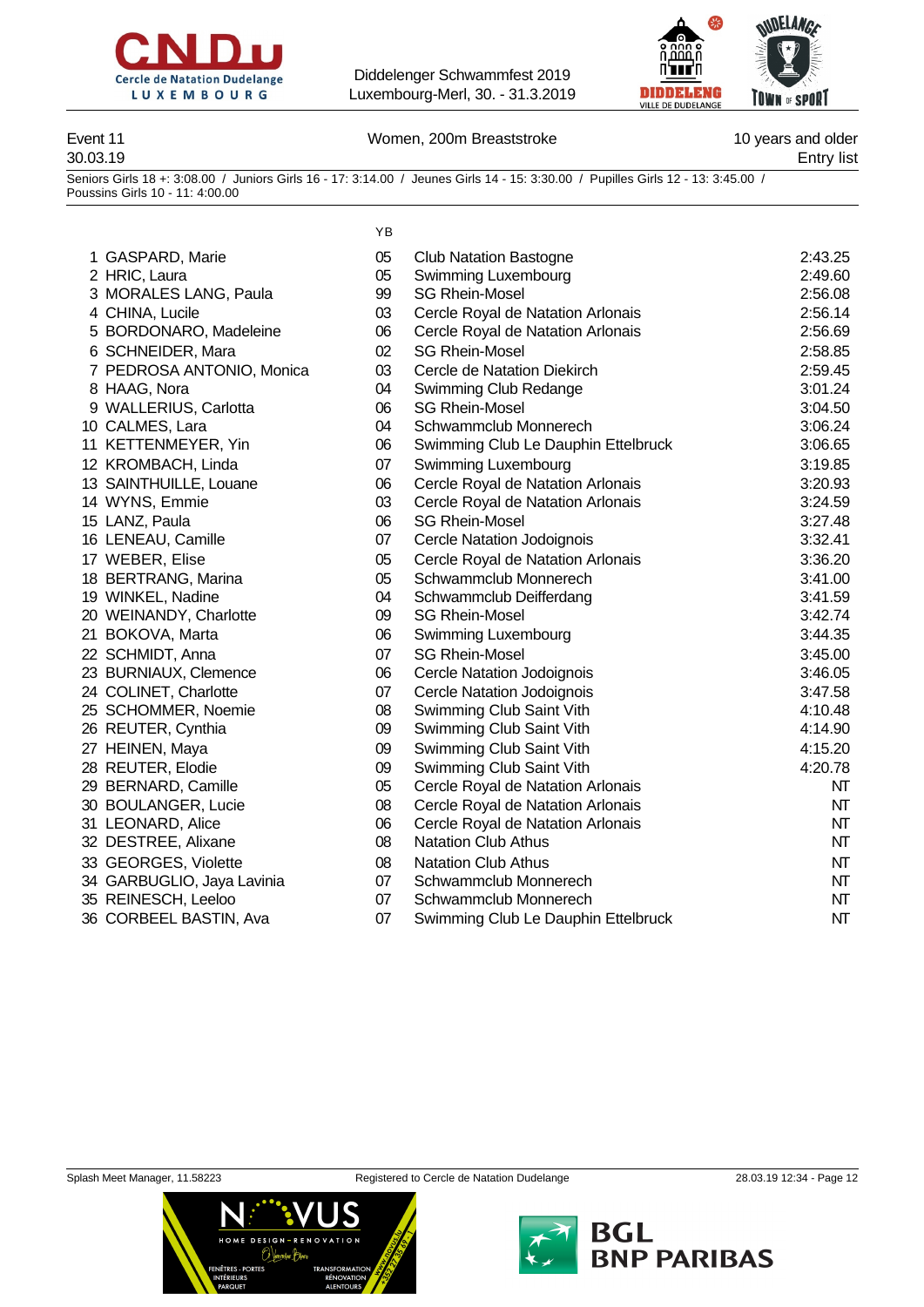



Event 11 **Event 11** Nomen, 200m Breaststroke **10** years and older

30.03.19 Entry list

Seniors Girls 18 +: 3:08.00 / Juniors Girls 16 - 17: 3:14.00 / Jeunes Girls 14 - 15: 3:30.00 / Pupilles Girls 12 - 13: 3:45.00 / Poussins Girls 10 - 11: 4:00.00

|                            | ΥB |                                     |         |
|----------------------------|----|-------------------------------------|---------|
| 1 GASPARD, Marie           | 05 | <b>Club Natation Bastogne</b>       | 2:43.25 |
| 2 HRIC, Laura              | 05 | Swimming Luxembourg                 | 2:49.60 |
| 3 MORALES LANG, Paula      | 99 | <b>SG Rhein-Mosel</b>               | 2:56.08 |
| 4 CHINA, Lucile            | 03 | Cercle Royal de Natation Arlonais   | 2:56.14 |
| 5 BORDONARO, Madeleine     | 06 | Cercle Royal de Natation Arlonais   | 2:56.69 |
| 6 SCHNEIDER, Mara          | 02 | <b>SG Rhein-Mosel</b>               | 2:58.85 |
| 7 PEDROSA ANTONIO, Monica  | 03 | Cercle de Natation Diekirch         | 2:59.45 |
| 8 HAAG, Nora               | 04 | Swimming Club Redange               | 3:01.24 |
| 9 WALLERIUS, Carlotta      | 06 | <b>SG Rhein-Mosel</b>               | 3:04.50 |
| 10 CALMES, Lara            | 04 | Schwammclub Monnerech               | 3:06.24 |
| 11 KETTENMEYER, Yin        | 06 | Swimming Club Le Dauphin Ettelbruck | 3:06.65 |
| 12 KROMBACH, Linda         | 07 | Swimming Luxembourg                 | 3:19.85 |
| 13 SAINTHUILLE, Louane     | 06 | Cercle Royal de Natation Arlonais   | 3:20.93 |
| 14 WYNS, Emmie             | 03 | Cercle Royal de Natation Arlonais   | 3:24.59 |
| 15 LANZ, Paula             | 06 | <b>SG Rhein-Mosel</b>               | 3:27.48 |
| 16 LENEAU, Camille         | 07 | <b>Cercle Natation Jodoignois</b>   | 3:32.41 |
| 17 WEBER, Elise            | 05 | Cercle Royal de Natation Arlonais   | 3:36.20 |
| 18 BERTRANG, Marina        | 05 | Schwammclub Monnerech               | 3:41.00 |
| 19 WINKEL, Nadine          | 04 | Schwammclub Deifferdang             | 3:41.59 |
| 20 WEINANDY, Charlotte     | 09 | <b>SG Rhein-Mosel</b>               | 3:42.74 |
| 21 BOKOVA, Marta           | 06 | Swimming Luxembourg                 | 3:44.35 |
| 22 SCHMIDT, Anna           | 07 | <b>SG Rhein-Mosel</b>               | 3:45.00 |
| 23 BURNIAUX, Clemence      | 06 | <b>Cercle Natation Jodoignois</b>   | 3:46.05 |
| 24 COLINET, Charlotte      | 07 | <b>Cercle Natation Jodoignois</b>   | 3:47.58 |
| 25 SCHOMMER, Noemie        | 08 | Swimming Club Saint Vith            | 4:10.48 |
| 26 REUTER, Cynthia         | 09 | Swimming Club Saint Vith            | 4:14.90 |
| 27 HEINEN, Maya            | 09 | Swimming Club Saint Vith            | 4:15.20 |
| 28 REUTER, Elodie          | 09 | Swimming Club Saint Vith            | 4:20.78 |
| 29 BERNARD, Camille        | 05 | Cercle Royal de Natation Arlonais   | NT      |
| 30 BOULANGER, Lucie        | 08 | Cercle Royal de Natation Arlonais   | NT      |
| 31 LEONARD, Alice          | 06 | Cercle Royal de Natation Arlonais   | NT      |
| 32 DESTREE, Alixane        | 08 | <b>Natation Club Athus</b>          | NT      |
| 33 GEORGES, Violette       | 08 | <b>Natation Club Athus</b>          | NT      |
| 34 GARBUGLIO, Jaya Lavinia | 07 | Schwammclub Monnerech               | NT      |
| 35 REINESCH, Leeloo        | 07 | Schwammclub Monnerech               | NT      |
| 36 CORBEEL BASTIN, Ava     | 07 | Swimming Club Le Dauphin Ettelbruck | NT      |





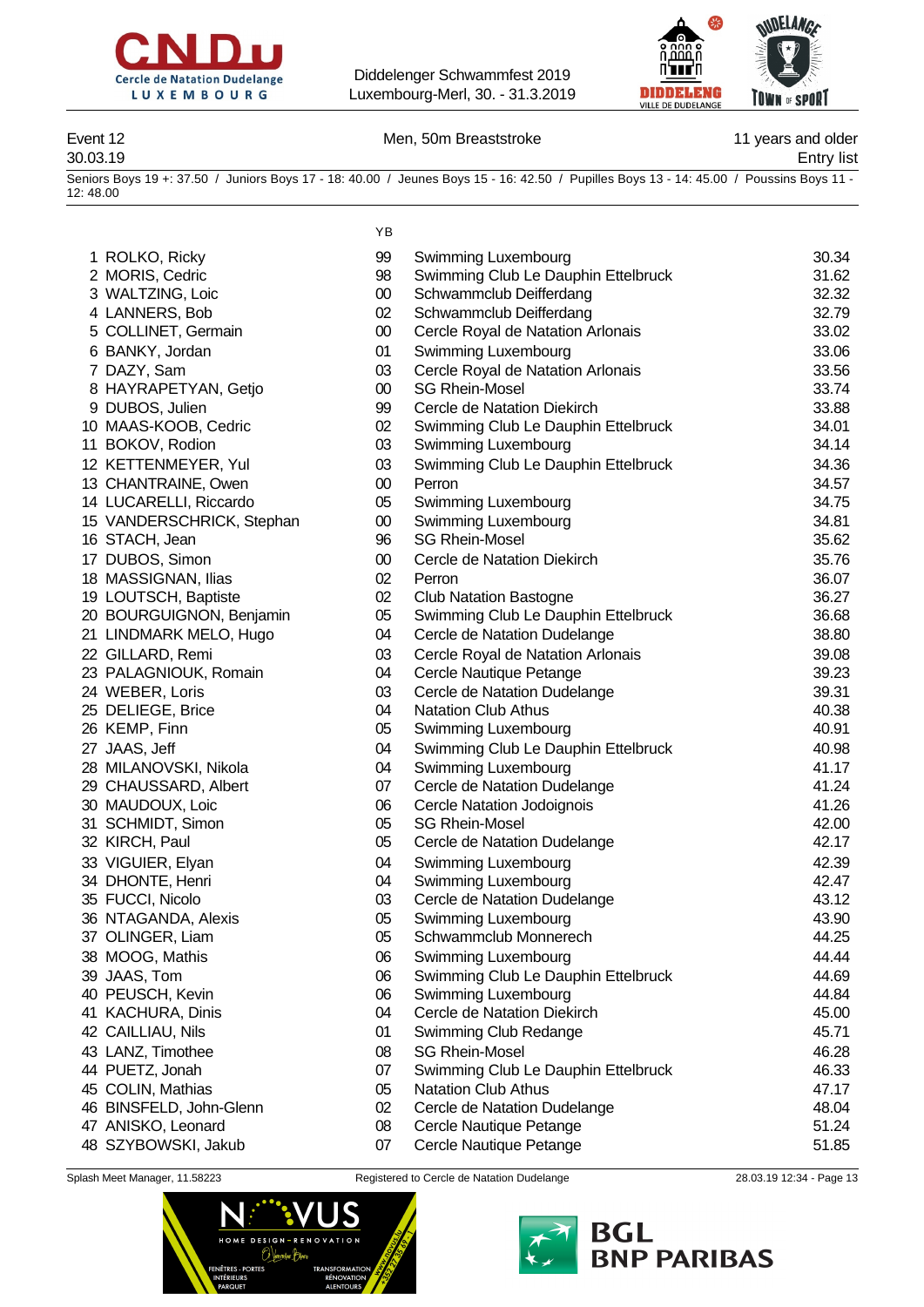



### Event 12 **Event 12** Men, 50m Breaststroke **11** years and older

30.03.19 Entry list

Seniors Boys 19 +: 37.50 / Juniors Boys 17 - 18: 40.00 / Jeunes Boys 15 - 16: 42.50 / Pupilles Boys 13 - 14: 45.00 / Poussins Boys 11 - 12: 48.00

YB

| 1 ROLKO, Ricky            | 99       | Swimming Luxembourg                                | 30.34 |
|---------------------------|----------|----------------------------------------------------|-------|
| 2 MORIS, Cedric           | 98       | Swimming Club Le Dauphin Ettelbruck                | 31.62 |
| 3 WALTZING, Loic          | $00\,$   | Schwammclub Deifferdang                            | 32.32 |
| 4 LANNERS, Bob            | 02       | Schwammclub Deifferdang                            | 32.79 |
| 5 COLLINET, Germain       | $00\,$   | Cercle Royal de Natation Arlonais                  | 33.02 |
| 6 BANKY, Jordan           | 01       | Swimming Luxembourg                                | 33.06 |
| 7 DAZY, Sam               | 03       | Cercle Royal de Natation Arlonais                  | 33.56 |
| 8 HAYRAPETYAN, Getjo      | $00\,$   | <b>SG Rhein-Mosel</b>                              | 33.74 |
| 9 DUBOS, Julien           | 99       | Cercle de Natation Diekirch                        | 33.88 |
| 10 MAAS-KOOB, Cedric      | 02       | Swimming Club Le Dauphin Ettelbruck                | 34.01 |
| 11 BOKOV, Rodion          | 03       | Swimming Luxembourg                                | 34.14 |
|                           |          |                                                    | 34.36 |
| 12 KETTENMEYER, Yul       | 03       | Swimming Club Le Dauphin Ettelbruck                |       |
| 13 CHANTRAINE, Owen       | 00       | Perron                                             | 34.57 |
| 14 LUCARELLI, Riccardo    | 05       | Swimming Luxembourg                                | 34.75 |
| 15 VANDERSCHRICK, Stephan | $00\,$   | Swimming Luxembourg                                | 34.81 |
| 16 STACH, Jean            | 96       | <b>SG Rhein-Mosel</b>                              | 35.62 |
| 17 DUBOS, Simon           | 00       | Cercle de Natation Diekirch                        | 35.76 |
| 18 MASSIGNAN, Ilias       | 02       | Perron                                             | 36.07 |
| 19 LOUTSCH, Baptiste      | 02       | <b>Club Natation Bastogne</b>                      | 36.27 |
| 20 BOURGUIGNON, Benjamin  | 05       | Swimming Club Le Dauphin Ettelbruck                | 36.68 |
| 21 LINDMARK MELO, Hugo    | 04       | Cercle de Natation Dudelange                       | 38.80 |
| 22 GILLARD, Remi          | 03       | Cercle Royal de Natation Arlonais                  | 39.08 |
| 23 PALAGNIOUK, Romain     | 04       | Cercle Nautique Petange                            | 39.23 |
| 24 WEBER, Loris           | 03       | Cercle de Natation Dudelange                       | 39.31 |
| 25 DELIEGE, Brice         | 04       | <b>Natation Club Athus</b>                         | 40.38 |
| 26 KEMP, Finn             | 05       | Swimming Luxembourg                                | 40.91 |
| 27 JAAS, Jeff             | 04       | Swimming Club Le Dauphin Ettelbruck                | 40.98 |
| 28 MILANOVSKI, Nikola     | 04       | Swimming Luxembourg                                | 41.17 |
| 29 CHAUSSARD, Albert      | 07       | Cercle de Natation Dudelange                       | 41.24 |
| 30 MAUDOUX, Loic          | 06       | <b>Cercle Natation Jodoignois</b>                  | 41.26 |
| 31 SCHMIDT, Simon         | 05       | <b>SG Rhein-Mosel</b>                              | 42.00 |
| 32 KIRCH, Paul            | 05       | Cercle de Natation Dudelange                       | 42.17 |
| 33 VIGUIER, Elyan         | 04       | Swimming Luxembourg                                | 42.39 |
| 34 DHONTE, Henri          | 04       | Swimming Luxembourg                                | 42.47 |
| 35 FUCCI, Nicolo          | 03       | Cercle de Natation Dudelange                       | 43.12 |
| 36 NTAGANDA, Alexis       | 05       | Swimming Luxembourg                                | 43.90 |
| 37 OLINGER, Liam          | 05       | Schwammclub Monnerech                              | 44.25 |
| 38 MOOG, Mathis           | 06       | Swimming Luxembourg                                | 44.44 |
| 39 JAAS, Tom              | 06       | Swimming Club Le Dauphin Ettelbruck                | 44.69 |
| 40 PEUSCH, Kevin          |          |                                                    | 44.84 |
|                           | 06<br>04 | Swimming Luxembourg<br>Cercle de Natation Diekirch |       |
| 41 KACHURA, Dinis         |          |                                                    | 45.00 |
| 42 CAILLIAU, Nils         | 01       | Swimming Club Redange                              | 45.71 |
| 43 LANZ, Timothee         | 08       | <b>SG Rhein-Mosel</b>                              | 46.28 |
| 44 PUETZ, Jonah           | 07       | Swimming Club Le Dauphin Ettelbruck                | 46.33 |
| 45 COLIN, Mathias         | 05       | <b>Natation Club Athus</b>                         | 47.17 |
| 46 BINSFELD, John-Glenn   | 02       | Cercle de Natation Dudelange                       | 48.04 |
| 47 ANISKO, Leonard        | 08       | Cercle Nautique Petange                            | 51.24 |
| 48 SZYBOWSKI, Jakub       | 07       | Cercle Nautique Petange                            | 51.85 |



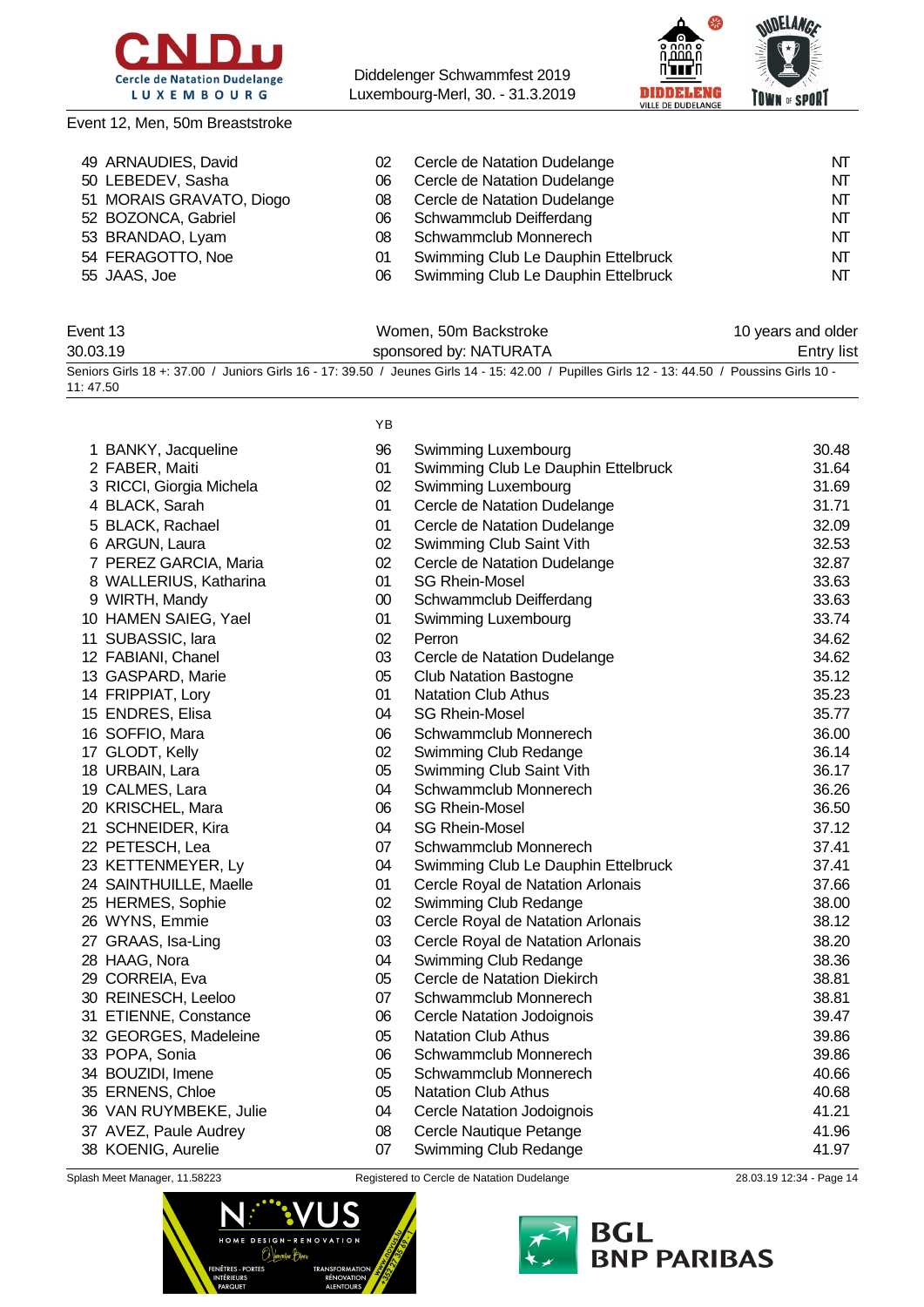

Event 12, Men, 50m Breaststroke

Diddelenger Schwammfest 2019 Luxembourg-Merl, 30. - 31.3.2019



### 49 ARNAUDIES, David 
20 Cercle de Natation Dudelange

NT 50 LEBEDEV, Sasha Cercle de Natation Dudelange NT 51 MORAIS GRAVATO, Diogo  $08$  Cercle de Natation Dudelange NT NT 52 BOZONCA, Gabriel **12 CONTER 100 SCHWAMMCLUA Deifferdang** NT BRANDAO, Lyam 08 Schwammclub Monnerech NT 54 FERAGOTTO, Noe  $\qquad \qquad$  01 Swimming Club Le Dauphin Ettelbruck NT 55 JAAS, Joe **18 Constructs Constructs Constructs** O6 Swimming Club Le Dauphin Ettelbruck NT

| Event 13 | Women, 50m Backstroke                                                                                                                        | 10 years and older |
|----------|----------------------------------------------------------------------------------------------------------------------------------------------|--------------------|
| 30.03.19 | sponsored by: NATURATA                                                                                                                       | Entry list         |
| 11:47.50 | Seniors Girls 18 +: 37.00 / Juniors Girls 16 - 17: 39.50 / Jeunes Girls 14 - 15: 42.00 / Pupilles Girls 12 - 13: 44.50 / Poussins Girls 10 - |                    |

YB

| 1 BANKY, Jacqueline      | 96     | Swimming Luxembourg                 | 30.48 |
|--------------------------|--------|-------------------------------------|-------|
| 2 FABER, Maiti           | 01     | Swimming Club Le Dauphin Ettelbruck | 31.64 |
| 3 RICCI, Giorgia Michela | 02     | Swimming Luxembourg                 | 31.69 |
| 4 BLACK, Sarah           | 01     | Cercle de Natation Dudelange        | 31.71 |
| 5 BLACK, Rachael         | 01     | Cercle de Natation Dudelange        | 32.09 |
| 6 ARGUN, Laura           | 02     | Swimming Club Saint Vith            | 32.53 |
| 7 PEREZ GARCIA, Maria    | 02     | Cercle de Natation Dudelange        | 32.87 |
| 8 WALLERIUS, Katharina   | 01     | <b>SG Rhein-Mosel</b>               | 33.63 |
| 9 WIRTH, Mandy           | $00\,$ | Schwammclub Deifferdang             | 33.63 |
| 10 HAMEN SAIEG, Yael     | 01     | Swimming Luxembourg                 | 33.74 |
| 11 SUBASSIC, lara        | 02     | Perron                              | 34.62 |
| 12 FABIANI, Chanel       | 03     | Cercle de Natation Dudelange        | 34.62 |
| 13 GASPARD, Marie        | 05     | <b>Club Natation Bastogne</b>       | 35.12 |
| 14 FRIPPIAT, Lory        | 01     | <b>Natation Club Athus</b>          | 35.23 |
| 15 ENDRES, Elisa         | 04     | <b>SG Rhein-Mosel</b>               | 35.77 |
| 16 SOFFIO, Mara          | 06     | Schwammclub Monnerech               | 36.00 |
| 17 GLODT, Kelly          | 02     | Swimming Club Redange               | 36.14 |
| 18 URBAIN, Lara          | 05     | Swimming Club Saint Vith            | 36.17 |
| 19 CALMES, Lara          | 04     | Schwammclub Monnerech               | 36.26 |
| 20 KRISCHEL, Mara        | 06     | <b>SG Rhein-Mosel</b>               | 36.50 |
| 21 SCHNEIDER, Kira       | 04     | <b>SG Rhein-Mosel</b>               | 37.12 |
| 22 PETESCH, Lea          | 07     | Schwammclub Monnerech               | 37.41 |
| 23 KETTENMEYER, Ly       | 04     | Swimming Club Le Dauphin Ettelbruck | 37.41 |
| 24 SAINTHUILLE, Maelle   | 01     | Cercle Royal de Natation Arlonais   | 37.66 |
| 25 HERMES, Sophie        | 02     | Swimming Club Redange               | 38.00 |
| 26 WYNS, Emmie           | 03     | Cercle Royal de Natation Arlonais   | 38.12 |
| 27 GRAAS, Isa-Ling       | 03     | Cercle Royal de Natation Arlonais   | 38.20 |
| 28 HAAG, Nora            | 04     | Swimming Club Redange               | 38.36 |
| 29 CORREIA, Eva          | 05     | Cercle de Natation Diekirch         | 38.81 |
| 30 REINESCH, Leeloo      | 07     | Schwammclub Monnerech               | 38.81 |
| 31 ETIENNE, Constance    | 06     | Cercle Natation Jodoignois          | 39.47 |
| 32 GEORGES, Madeleine    | 05     | <b>Natation Club Athus</b>          | 39.86 |
| 33 POPA, Sonia           | 06     | Schwammclub Monnerech               | 39.86 |
| 34 BOUZIDI, Imene        | 05     | Schwammclub Monnerech               | 40.66 |
| 35 ERNENS, Chloe         | 05     | <b>Natation Club Athus</b>          | 40.68 |
| 36 VAN RUYMBEKE, Julie   | 04     | <b>Cercle Natation Jodoignois</b>   | 41.21 |
| 37 AVEZ, Paule Audrey    | 08     | Cercle Nautique Petange             | 41.96 |
| 38 KOENIG, Aurelie       | 07     | Swimming Club Redange               | 41.97 |



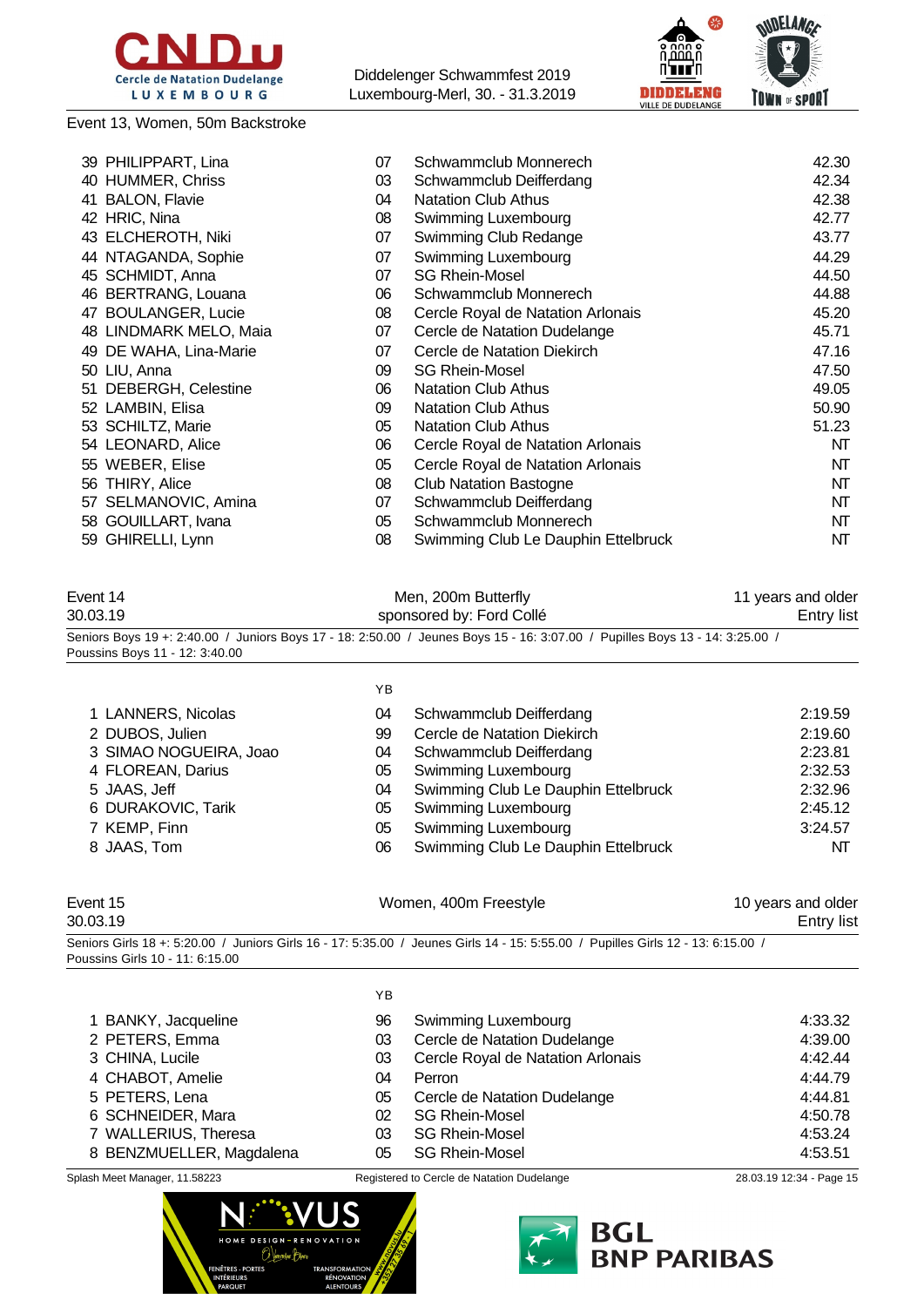

Event 13, Women, 50m Backstroke

Diddelenger Schwammfest 2019 Luxembourg-Merl, 30. - 31.3.2019



| 39 PHILIPPART, Lina           | 07 | Schwammclub Monnerech               | 42.30 |
|-------------------------------|----|-------------------------------------|-------|
| 40 HUMMER, Chriss             | 03 | Schwammclub Deifferdang             | 42.34 |
| <b>BALON, Flavie</b><br>41    | 04 | <b>Natation Club Athus</b>          | 42.38 |
| 42 HRIC, Nina                 | 08 | Swimming Luxembourg                 | 42.77 |
| 43 ELCHEROTH, Niki            | 07 | Swimming Club Redange               | 43.77 |
| 44 NTAGANDA, Sophie           | 07 | Swimming Luxembourg                 | 44.29 |
| SCHMIDT, Anna<br>45           | 07 | <b>SG Rhein-Mosel</b>               | 44.50 |
| 46 BERTRANG, Louana           | 06 | Schwammclub Monnerech               | 44.88 |
| <b>BOULANGER, Lucie</b><br>47 | 08 | Cercle Royal de Natation Arlonais   | 45.20 |
| 48 LINDMARK MELO, Maia        | 07 | Cercle de Natation Dudelange        | 45.71 |
| 49 DE WAHA, Lina-Marie        | 07 | Cercle de Natation Diekirch         | 47.16 |
| 50 LIU, Anna                  | 09 | <b>SG Rhein-Mosel</b>               | 47.50 |
| 51 DEBERGH, Celestine         | 06 | <b>Natation Club Athus</b>          | 49.05 |
| 52 LAMBIN, Elisa              | 09 | <b>Natation Club Athus</b>          | 50.90 |
| 53 SCHILTZ, Marie             | 05 | <b>Natation Club Athus</b>          | 51.23 |
| 54 LEONARD, Alice             | 06 | Cercle Royal de Natation Arlonais   | NT    |
| 55 WEBER, Elise               | 05 | Cercle Royal de Natation Arlonais   | NT    |
| 56 THIRY, Alice               | 08 | <b>Club Natation Bastogne</b>       | NT    |
| 57 SELMANOVIC, Amina          | 07 | Schwammclub Deifferdang             | NT    |
| 58 GOUILLART, Ivana           | 05 | Schwammclub Monnerech               | NT    |
| GHIRELLI, Lynn<br>59          | 08 | Swimming Club Le Dauphin Ettelbruck | NT    |
|                               |    |                                     |       |

| Event 14                       | Men, 200m Butterfly                                                                                                          | 11 years and older |
|--------------------------------|------------------------------------------------------------------------------------------------------------------------------|--------------------|
| 30.03.19                       | sponsored by: Ford Collé                                                                                                     | Entry list         |
|                                | Seniors Boys 19 +: 2:40.00 / Juniors Boys 17 - 18: 2:50.00 / Jeunes Boys 15 - 16: 3:07.00 / Pupilles Boys 13 - 14: 3:25.00 / |                    |
| Poussins Boys 11 - 12: 3:40.00 |                                                                                                                              |                    |

|                        | YB |                                     |         |
|------------------------|----|-------------------------------------|---------|
| 1 LANNERS, Nicolas     | 04 | Schwammclub Deifferdang             | 2:19.59 |
| 2 DUBOS, Julien        | 99 | Cercle de Natation Diekirch         | 2:19.60 |
| 3 SIMAO NOGUEIRA, Joao | 04 | Schwammclub Deifferdang             | 2:23.81 |
| 4 FLOREAN, Darius      | 05 | Swimming Luxembourg                 | 2:32.53 |
| 5 JAAS, Jeff           | 04 | Swimming Club Le Dauphin Ettelbruck | 2:32.96 |
| 6 DURAKOVIC, Tarik     | 05 | Swimming Luxembourg                 | 2:45.12 |
| 7 KEMP, Finn           | 05 | <b>Swimming Luxembourg</b>          | 3:24.57 |
| 8 JAAS, Tom            | 06 | Swimming Club Le Dauphin Ettelbruck | NT      |
|                        |    |                                     |         |
|                        |    |                                     |         |

| Event 15                        | Women, 400m Freestyle                                                                                                            | 10 years and older |
|---------------------------------|----------------------------------------------------------------------------------------------------------------------------------|--------------------|
| 30.03.19                        |                                                                                                                                  | <b>Entry list</b>  |
|                                 | Seniors Girls 18 +: 5:20.00 / Juniors Girls 16 - 17: 5:35.00 / Jeunes Girls 14 - 15: 5:55.00 / Pupilles Girls 12 - 13: 6:15.00 / |                    |
| Poussins Girls 10 - 11: 6:15.00 |                                                                                                                                  |                    |

|                          | YB |                                   |         |
|--------------------------|----|-----------------------------------|---------|
| 1 BANKY, Jacqueline      | 96 | Swimming Luxembourg               | 4:33.32 |
| 2 PETERS, Emma           | 03 | Cercle de Natation Dudelange      | 4:39.00 |
| 3 CHINA, Lucile          | 03 | Cercle Royal de Natation Arlonais | 4:42.44 |
| 4 CHABOT, Amelie         | 04 | Perron                            | 4:44.79 |
| 5 PETERS, Lena           | 05 | Cercle de Natation Dudelange      | 4:44.81 |
| 6 SCHNEIDER, Mara        | 02 | <b>SG Rhein-Mosel</b>             | 4:50.78 |
| 7 WALLERIUS, Theresa     | 03 | <b>SG Rhein-Mosel</b>             | 4:53.24 |
| 8 BENZMUELLER, Magdalena | 05 | <b>SG Rhein-Mosel</b>             | 4:53.51 |



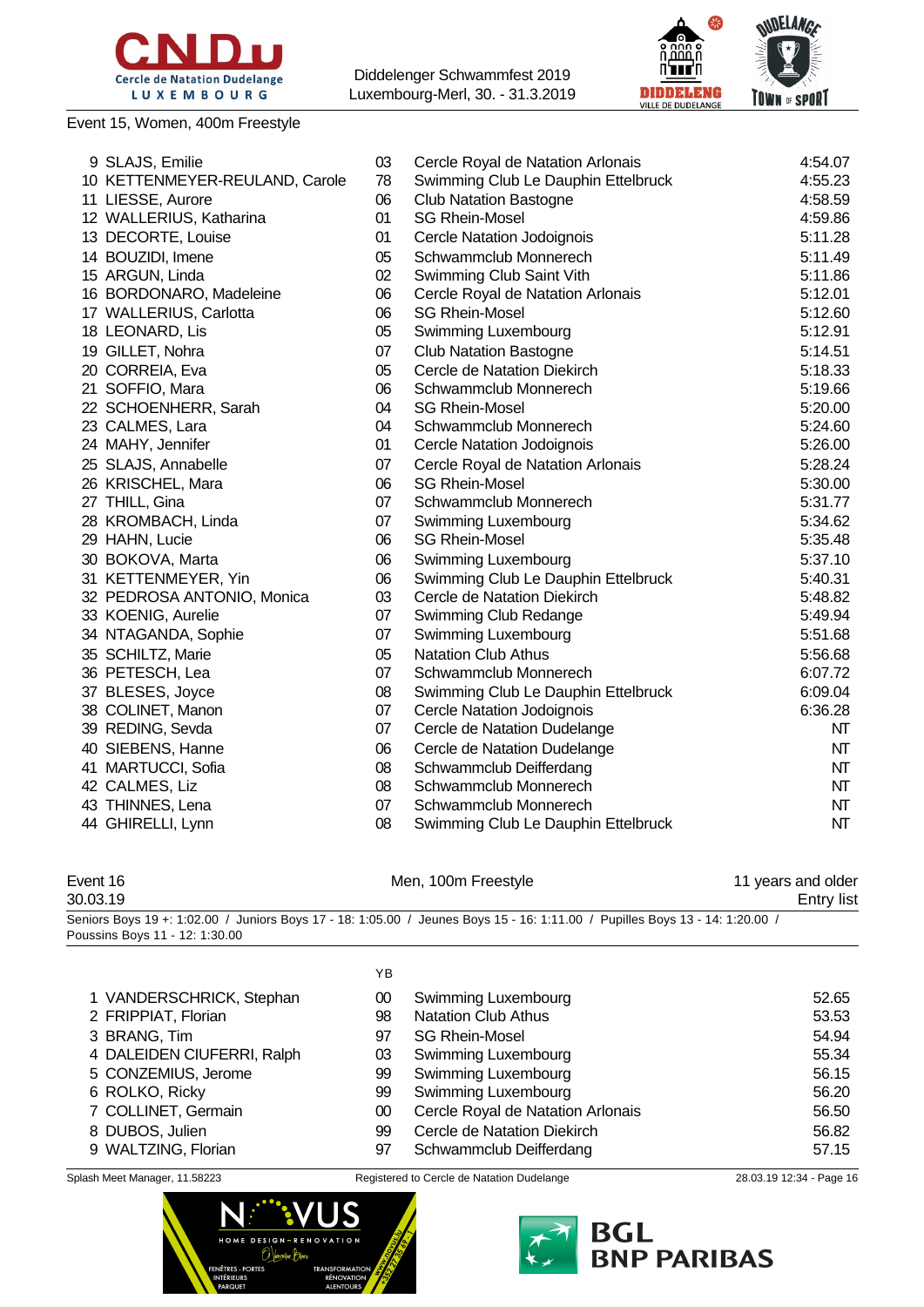

Event 15, Women, 400m Freestyle

Diddelenger Schwammfest 2019 Luxembourg-Merl, 30. - 31.3.2019



| 9 SLAJS, Emilie                | 03 | Cercle Royal de Natation Arlonais   | 4:54.07 |
|--------------------------------|----|-------------------------------------|---------|
| 10 KETTENMEYER-REULAND, Carole | 78 | Swimming Club Le Dauphin Ettelbruck | 4:55.23 |
| 11 LIESSE, Aurore              | 06 | <b>Club Natation Bastogne</b>       | 4:58.59 |
| 12 WALLERIUS, Katharina        | 01 | <b>SG Rhein-Mosel</b>               | 4:59.86 |
| 13 DECORTE, Louise             | 01 | Cercle Natation Jodoignois          | 5:11.28 |
| 14 BOUZIDI, Imene              | 05 | Schwammclub Monnerech               | 5:11.49 |
| 15 ARGUN, Linda                | 02 | Swimming Club Saint Vith            | 5:11.86 |
| 16 BORDONARO, Madeleine        | 06 | Cercle Royal de Natation Arlonais   | 5:12.01 |
| 17 WALLERIUS, Carlotta         | 06 | <b>SG Rhein-Mosel</b>               | 5:12.60 |
| 18 LEONARD, Lis                | 05 | Swimming Luxembourg                 | 5:12.91 |
| 19 GILLET, Nohra               | 07 | <b>Club Natation Bastogne</b>       | 5:14.51 |
| 20 CORREIA, Eva                | 05 | Cercle de Natation Diekirch         | 5:18.33 |
| 21 SOFFIO, Mara                | 06 | Schwammclub Monnerech               | 5:19.66 |
| 22 SCHOENHERR, Sarah           | 04 | <b>SG Rhein-Mosel</b>               | 5:20.00 |
| 23 CALMES, Lara                | 04 | Schwammclub Monnerech               | 5:24.60 |
| 24 MAHY, Jennifer              | 01 | Cercle Natation Jodoignois          | 5:26.00 |
| 25 SLAJS, Annabelle            | 07 | Cercle Royal de Natation Arlonais   | 5:28.24 |
| 26 KRISCHEL, Mara              | 06 | <b>SG Rhein-Mosel</b>               | 5:30.00 |
| 27 THILL, Gina                 | 07 | Schwammclub Monnerech               | 5:31.77 |
| 28 KROMBACH, Linda             | 07 | Swimming Luxembourg                 | 5:34.62 |
| 29 HAHN, Lucie                 | 06 | <b>SG Rhein-Mosel</b>               | 5:35.48 |
| 30 BOKOVA, Marta               | 06 | Swimming Luxembourg                 | 5:37.10 |
| 31 KETTENMEYER, Yin            | 06 | Swimming Club Le Dauphin Ettelbruck | 5:40.31 |
| 32 PEDROSA ANTONIO, Monica     | 03 | Cercle de Natation Diekirch         | 5:48.82 |
| 33 KOENIG, Aurelie             | 07 | Swimming Club Redange               | 5:49.94 |
| 34 NTAGANDA, Sophie            | 07 | Swimming Luxembourg                 | 5:51.68 |
| 35 SCHILTZ, Marie              | 05 | <b>Natation Club Athus</b>          | 5:56.68 |
| 36 PETESCH, Lea                | 07 | Schwammclub Monnerech               | 6:07.72 |
| 37 BLESES, Joyce               | 08 | Swimming Club Le Dauphin Ettelbruck | 6:09.04 |
| 38 COLINET, Manon              | 07 | <b>Cercle Natation Jodoignois</b>   | 6:36.28 |
| 39 REDING, Sevda               | 07 | Cercle de Natation Dudelange        | NT      |
| 40 SIEBENS, Hanne              | 06 | Cercle de Natation Dudelange        | NT      |
| 41 MARTUCCI, Sofia             | 08 | Schwammclub Deifferdang             | NT      |
| 42 CALMES, Liz                 | 08 | Schwammclub Monnerech               | NT      |
| 43 THINNES, Lena               | 07 | Schwammclub Monnerech               | NT      |
| 44 GHIRELLI, Lynn              | 08 | Swimming Club Le Dauphin Ettelbruck | NT      |

| Event 16                                                                                                                     | Men, 100m Freestyle | 11 years and older |
|------------------------------------------------------------------------------------------------------------------------------|---------------------|--------------------|
| 30.03.19                                                                                                                     |                     | Entry list         |
| / Seniors Boys 19 +: 1:02.00 / Juniors Boys 17 - 18: 1:05.00 / Jeunes Boys 15 - 16: 1:11.00 / Pupilles Boys 13 - 14: 1:20.00 |                     |                    |

Poussins Boys 11 - 12: 1:30.00

|                            | YB. |                                   |       |
|----------------------------|-----|-----------------------------------|-------|
| 1 VANDERSCHRICK, Stephan   | 00  | Swimming Luxembourg               | 52.65 |
| 2 FRIPPIAT, Florian        | 98  | <b>Natation Club Athus</b>        | 53.53 |
| 3 BRANG, Tim               | 97  | <b>SG Rhein-Mosel</b>             | 54.94 |
| 4 DALEIDEN CIUFERRI, Ralph | 03  | Swimming Luxembourg               | 55.34 |
| 5 CONZEMIUS, Jerome        | 99  | Swimming Luxembourg               | 56.15 |
| 6 ROLKO, Ricky             | 99  | Swimming Luxembourg               | 56.20 |
| 7 COLLINET, Germain        | 00  | Cercle Royal de Natation Arlonais | 56.50 |
| 8 DUBOS, Julien            | 99  | Cercle de Natation Diekirch       | 56.82 |
| 9 WALTZING, Florian        | 97  | Schwammclub Deifferdang           | 57.15 |



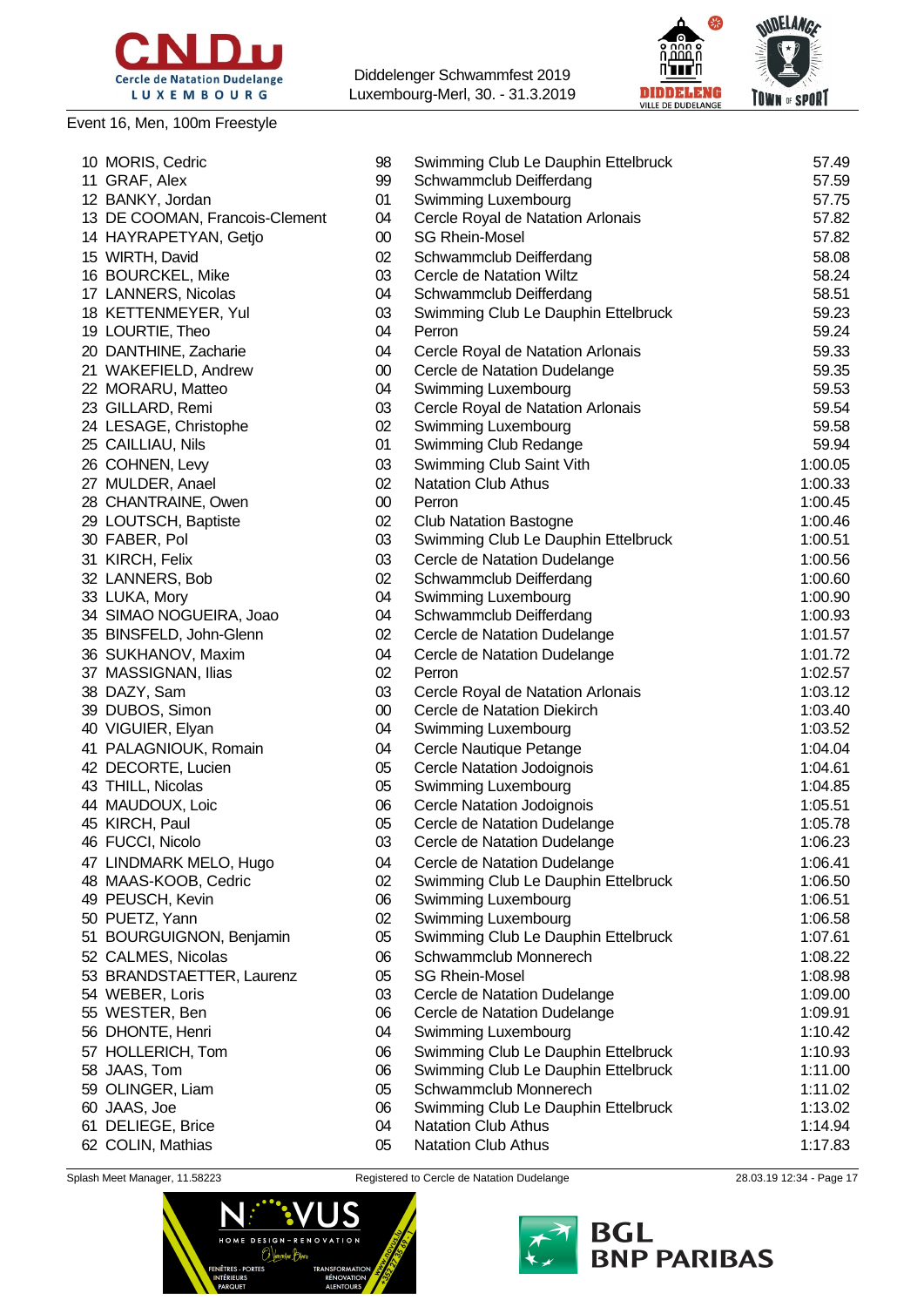

### Event 16, Men, 100m Freestyle

Diddelenger Schwammfest 2019 Luxembourg-Merl, 30. - 31.3.2019



|                                   | 98     |                                                | 57.49   |
|-----------------------------------|--------|------------------------------------------------|---------|
| 10 MORIS, Cedric<br>11 GRAF, Alex | 99     | Swimming Club Le Dauphin Ettelbruck            | 57.59   |
| 12 BANKY, Jordan                  | 01     | Schwammclub Deifferdang<br>Swimming Luxembourg | 57.75   |
|                                   | 04     |                                                | 57.82   |
| 13 DE COOMAN, Francois-Clement    |        | Cercle Royal de Natation Arlonais              |         |
| 14 HAYRAPETYAN, Getjo             | $00\,$ | <b>SG Rhein-Mosel</b>                          | 57.82   |
| 15 WIRTH, David                   | 02     | Schwammclub Deifferdang                        | 58.08   |
| 16 BOURCKEL, Mike                 | 03     | Cercle de Natation Wiltz                       | 58.24   |
| 17 LANNERS, Nicolas               | 04     | Schwammclub Deifferdang                        | 58.51   |
| 18 KETTENMEYER, Yul               | 03     | Swimming Club Le Dauphin Ettelbruck            | 59.23   |
| 19 LOURTIE, Theo                  | 04     | Perron                                         | 59.24   |
| 20 DANTHINE, Zacharie             | 04     | Cercle Royal de Natation Arlonais              | 59.33   |
| 21 WAKEFIELD, Andrew              | $00\,$ | Cercle de Natation Dudelange                   | 59.35   |
| 22 MORARU, Matteo                 | 04     | Swimming Luxembourg                            | 59.53   |
| 23 GILLARD, Remi                  | 03     | Cercle Royal de Natation Arlonais              | 59.54   |
| 24 LESAGE, Christophe             | 02     | Swimming Luxembourg                            | 59.58   |
| 25 CAILLIAU, Nils                 | 01     | Swimming Club Redange                          | 59.94   |
| 26 COHNEN, Levy                   | 03     | Swimming Club Saint Vith                       | 1:00.05 |
| 27 MULDER, Anael                  | 02     | <b>Natation Club Athus</b>                     | 1:00.33 |
| 28 CHANTRAINE, Owen               | $00\,$ | Perron                                         | 1:00.45 |
| 29 LOUTSCH, Baptiste              | 02     | <b>Club Natation Bastogne</b>                  | 1:00.46 |
| 30 FABER, Pol                     | 03     | Swimming Club Le Dauphin Ettelbruck            | 1:00.51 |
| 31 KIRCH, Felix                   | 03     | Cercle de Natation Dudelange                   | 1:00.56 |
| 32 LANNERS, Bob                   | 02     | Schwammclub Deifferdang                        | 1:00.60 |
| 33 LUKA, Mory                     | 04     | Swimming Luxembourg                            | 1:00.90 |
| 34 SIMAO NOGUEIRA, Joao           | 04     | Schwammclub Deifferdang                        | 1:00.93 |
| 35 BINSFELD, John-Glenn           | 02     | Cercle de Natation Dudelange                   | 1:01.57 |
| 36 SUKHANOV, Maxim                | 04     | Cercle de Natation Dudelange                   | 1:01.72 |
| 37 MASSIGNAN, Ilias               | 02     | Perron                                         | 1:02.57 |
| 38 DAZY, Sam                      | 03     | Cercle Royal de Natation Arlonais              | 1:03.12 |
| 39 DUBOS, Simon                   | $00\,$ | Cercle de Natation Diekirch                    | 1:03.40 |
| 40 VIGUIER, Elyan                 | 04     |                                                | 1:03.52 |
|                                   |        | Swimming Luxembourg                            |         |
| 41 PALAGNIOUK, Romain             | 04     | Cercle Nautique Petange                        | 1:04.04 |
| 42 DECORTE, Lucien                | 05     | Cercle Natation Jodoignois                     | 1:04.61 |
| 43 THILL, Nicolas                 | 05     | Swimming Luxembourg                            | 1:04.85 |
| 44 MAUDOUX, Loic                  | 06     | <b>Cercle Natation Jodoignois</b>              | 1:05.51 |
| 45 KIRCH, Paul                    | 05     | Cercle de Natation Dudelange                   | 1:05.78 |
| 46 FUCCI, Nicolo                  | 03     | Cercle de Natation Dudelange                   | 1:06.23 |
| 47 LINDMARK MELO, Hugo            | 04     | Cercle de Natation Dudelange                   | 1:06.41 |
| 48 MAAS-KOOB, Cedric              | 02     | Swimming Club Le Dauphin Ettelbruck            | 1:06.50 |
| 49 PEUSCH, Kevin                  | 06     | Swimming Luxembourg                            | 1:06.51 |
| 50 PUETZ, Yann                    | 02     | Swimming Luxembourg                            | 1:06.58 |
| 51 BOURGUIGNON, Benjamin          | 05     | Swimming Club Le Dauphin Ettelbruck            | 1:07.61 |
| 52 CALMES, Nicolas                | 06     | Schwammclub Monnerech                          | 1:08.22 |
| 53 BRANDSTAETTER, Laurenz         | 05     | <b>SG Rhein-Mosel</b>                          | 1:08.98 |
| 54 WEBER, Loris                   | 03     | Cercle de Natation Dudelange                   | 1:09.00 |
| 55 WESTER, Ben                    | 06     | Cercle de Natation Dudelange                   | 1:09.91 |
| 56 DHONTE, Henri                  | 04     | Swimming Luxembourg                            | 1:10.42 |
| 57 HOLLERICH, Tom                 | 06     | Swimming Club Le Dauphin Ettelbruck            | 1:10.93 |
| 58 JAAS, Tom                      | 06     | Swimming Club Le Dauphin Ettelbruck            | 1:11.00 |
| 59 OLINGER, Liam                  | 05     | Schwammclub Monnerech                          | 1:11.02 |
| 60 JAAS, Joe                      | 06     | Swimming Club Le Dauphin Ettelbruck            | 1:13.02 |
| 61 DELIEGE, Brice                 | 04     | <b>Natation Club Athus</b>                     | 1:14.94 |
| 62 COLIN, Mathias                 | 05     | <b>Natation Club Athus</b>                     | 1:17.83 |



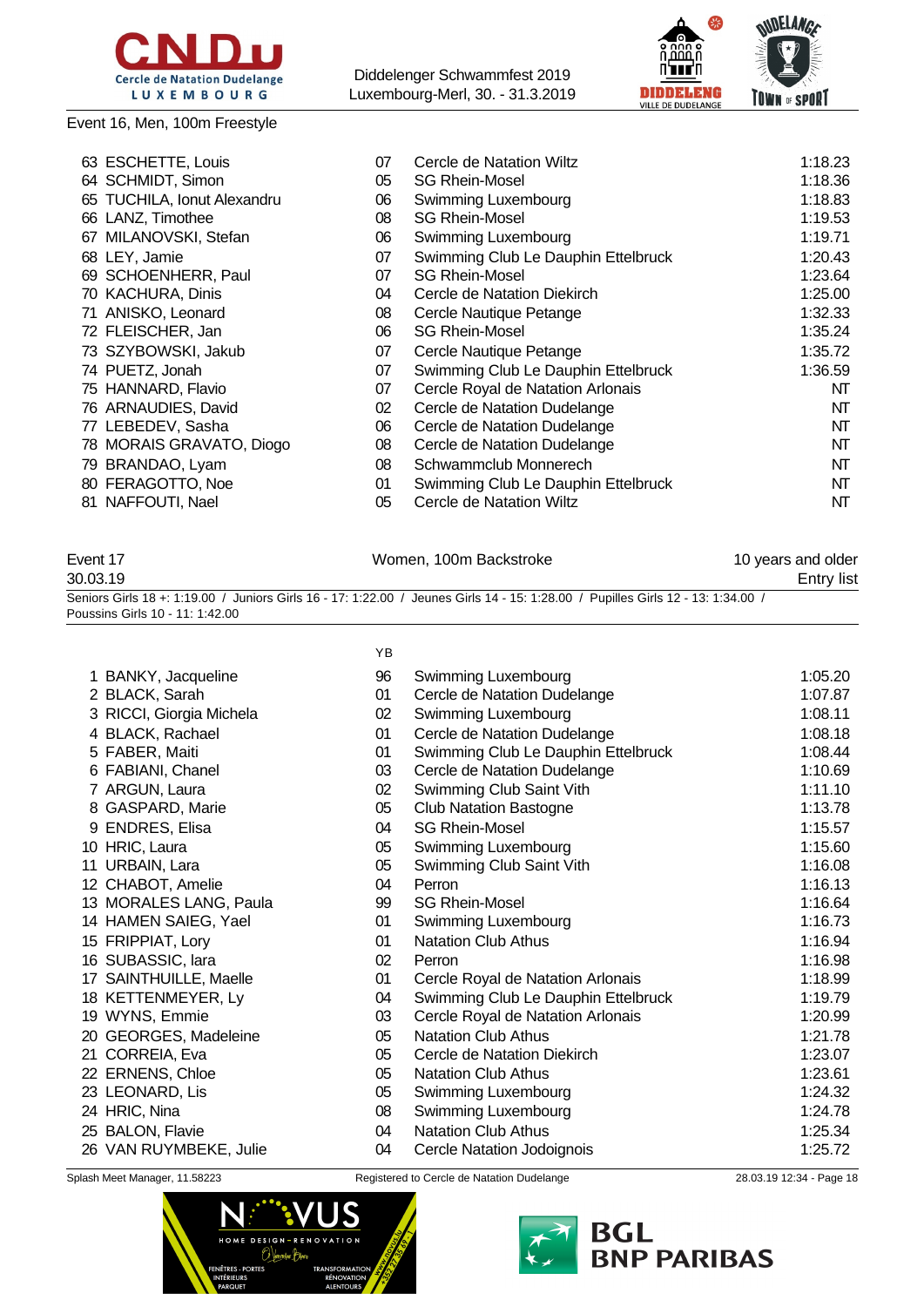

Event 16, Men, 100m Freestyle

Diddelenger Schwammfest 2019 Luxembourg-Merl, 30. - 31.3.2019



| 07                                                                                                                                                                                                                                                                                                                                                                                                                                 | Cercle de Natation Wiltz            | 1:18.23 |
|------------------------------------------------------------------------------------------------------------------------------------------------------------------------------------------------------------------------------------------------------------------------------------------------------------------------------------------------------------------------------------------------------------------------------------|-------------------------------------|---------|
| 05                                                                                                                                                                                                                                                                                                                                                                                                                                 | <b>SG Rhein-Mosel</b>               | 1:18.36 |
| 06                                                                                                                                                                                                                                                                                                                                                                                                                                 | Swimming Luxembourg                 | 1:18.83 |
| 08                                                                                                                                                                                                                                                                                                                                                                                                                                 | <b>SG Rhein-Mosel</b>               | 1:19.53 |
| 06                                                                                                                                                                                                                                                                                                                                                                                                                                 | Swimming Luxembourg                 | 1:19.71 |
| 07                                                                                                                                                                                                                                                                                                                                                                                                                                 | Swimming Club Le Dauphin Ettelbruck | 1:20.43 |
| 07                                                                                                                                                                                                                                                                                                                                                                                                                                 | <b>SG Rhein-Mosel</b>               | 1:23.64 |
| 04                                                                                                                                                                                                                                                                                                                                                                                                                                 | Cercle de Natation Diekirch         | 1:25.00 |
| 08                                                                                                                                                                                                                                                                                                                                                                                                                                 | Cercle Nautique Petange             | 1:32.33 |
| 06                                                                                                                                                                                                                                                                                                                                                                                                                                 | <b>SG Rhein-Mosel</b>               | 1:35.24 |
| 07                                                                                                                                                                                                                                                                                                                                                                                                                                 | Cercle Nautique Petange             | 1:35.72 |
| 07                                                                                                                                                                                                                                                                                                                                                                                                                                 | Swimming Club Le Dauphin Ettelbruck | 1:36.59 |
| 07                                                                                                                                                                                                                                                                                                                                                                                                                                 | Cercle Royal de Natation Arlonais   | NT      |
| 02                                                                                                                                                                                                                                                                                                                                                                                                                                 | Cercle de Natation Dudelange        | NT      |
| 06                                                                                                                                                                                                                                                                                                                                                                                                                                 | Cercle de Natation Dudelange        | NT      |
| 08                                                                                                                                                                                                                                                                                                                                                                                                                                 | Cercle de Natation Dudelange        | NT      |
| 08                                                                                                                                                                                                                                                                                                                                                                                                                                 | Schwammclub Monnerech               | NT      |
| 01                                                                                                                                                                                                                                                                                                                                                                                                                                 | Swimming Club Le Dauphin Ettelbruck | NT      |
| 05                                                                                                                                                                                                                                                                                                                                                                                                                                 | Cercle de Natation Wiltz            | NT      |
| 63 ESCHETTE, Louis<br>64 SCHMIDT, Simon<br>65 TUCHILA, Ionut Alexandru<br>66 LANZ, Timothee<br>67 MILANOVSKI, Stefan<br>68 LEY, Jamie<br>69 SCHOENHERR, Paul<br>70 KACHURA, Dinis<br>71 ANISKO, Leonard<br>72 FLEISCHER, Jan<br>73 SZYBOWSKI, Jakub<br>74 PUETZ, Jonah<br>75 HANNARD, Flavio<br>76 ARNAUDIES, David<br>77 LEBEDEV, Sasha<br>78 MORAIS GRAVATO, Diogo<br>79 BRANDAO, Lyam<br>80 FERAGOTTO, Noe<br>81 NAFFOUTI, Nael |                                     |         |

| Event 17                        | Women, 100m Backstroke                                                                                                           | 10 years and older |
|---------------------------------|----------------------------------------------------------------------------------------------------------------------------------|--------------------|
| 30.03.19                        |                                                                                                                                  | Entry list         |
| Poussins Girls 10 - 11: 1:42.00 | Seniors Girls 18 +: 1:19.00 / Juniors Girls 16 - 17: 1:22.00 / Jeunes Girls 14 - 15: 1:28.00 / Pupilles Girls 12 - 13: 1:34.00 / |                    |

|                           | ΥB |                                     |         |
|---------------------------|----|-------------------------------------|---------|
| 1 BANKY, Jacqueline       | 96 | Swimming Luxembourg                 | 1:05.20 |
| 2 BLACK, Sarah            | 01 | Cercle de Natation Dudelange        | 1:07.87 |
| 3 RICCI, Giorgia Michela  | 02 | Swimming Luxembourg                 | 1:08.11 |
| 4 BLACK, Rachael          | 01 | Cercle de Natation Dudelange        | 1:08.18 |
| 5 FABER, Maiti            | 01 | Swimming Club Le Dauphin Ettelbruck | 1:08.44 |
| 6 FABIANI, Chanel         | 03 | Cercle de Natation Dudelange        | 1:10.69 |
| 7 ARGUN, Laura            | 02 | Swimming Club Saint Vith            | 1:11.10 |
| 8 GASPARD, Marie          | 05 | <b>Club Natation Bastogne</b>       | 1:13.78 |
| 9 ENDRES, Elisa           | 04 | <b>SG Rhein-Mosel</b>               | 1:15.57 |
| 10 HRIC, Laura            | 05 | Swimming Luxembourg                 | 1:15.60 |
| 11 URBAIN, Lara           | 05 | Swimming Club Saint Vith            | 1:16.08 |
| CHABOT, Amelie<br>12.     | 04 | Perron                              | 1:16.13 |
| 13 MORALES LANG, Paula    | 99 | <b>SG Rhein-Mosel</b>               | 1:16.64 |
| 14 HAMEN SAIEG, Yael      | 01 | Swimming Luxembourg                 | 1:16.73 |
| 15 FRIPPIAT, Lory         | 01 | <b>Natation Club Athus</b>          | 1:16.94 |
| 16 SUBASSIC, lara         | 02 | Perron                              | 1:16.98 |
| SAINTHUILLE, Maelle<br>17 | 01 | Cercle Royal de Natation Arlonais   | 1:18.99 |
| 18 KETTENMEYER, Ly        | 04 | Swimming Club Le Dauphin Ettelbruck | 1:19.79 |
| 19 WYNS, Emmie            | 03 | Cercle Royal de Natation Arlonais   | 1:20.99 |
| GEORGES, Madeleine<br>20  | 05 | <b>Natation Club Athus</b>          | 1:21.78 |
| 21 CORREIA, Eva           | 05 | Cercle de Natation Diekirch         | 1:23.07 |
| 22 ERNENS, Chloe          | 05 | <b>Natation Club Athus</b>          | 1:23.61 |
| 23 LEONARD, Lis           | 05 | Swimming Luxembourg                 | 1:24.32 |
| 24 HRIC, Nina             | 08 | Swimming Luxembourg                 | 1:24.78 |
| 25 BALON, Flavie          | 04 | <b>Natation Club Athus</b>          | 1:25.34 |
| 26 VAN RUYMBEKE, Julie    | 04 | Cercle Natation Jodoignois          | 1:25.72 |
|                           |    |                                     |         |



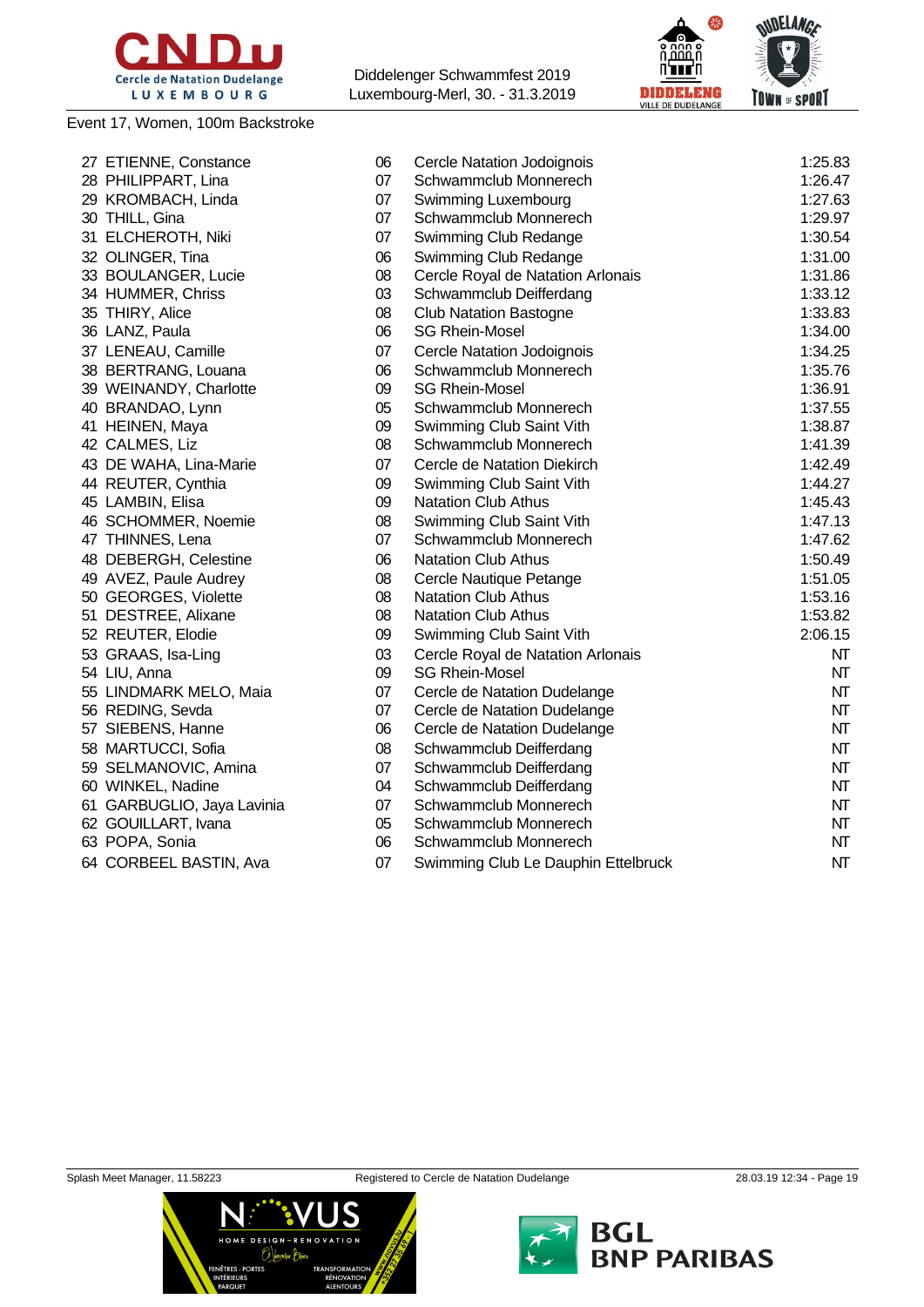

Event 17, Women, 100m Backstroke



| 27 ETIENNE, Constance      | 06 | Cercle Natation Jodoignois          | 1:25.83 |
|----------------------------|----|-------------------------------------|---------|
| 28 PHILIPPART, Lina        | 07 | Schwammclub Monnerech               | 1:26.47 |
| 29 KROMBACH, Linda         | 07 | Swimming Luxembourg                 | 1:27.63 |
| 30 THILL, Gina             | 07 | Schwammclub Monnerech               | 1:29.97 |
| 31 ELCHEROTH, Niki         | 07 | Swimming Club Redange               | 1:30.54 |
| 32 OLINGER, Tina           | 06 | Swimming Club Redange               | 1:31.00 |
| 33 BOULANGER, Lucie        | 08 | Cercle Royal de Natation Arlonais   | 1:31.86 |
| 34 HUMMER, Chriss          | 03 | Schwammclub Deifferdang             | 1:33.12 |
| 35 THIRY, Alice            | 08 | <b>Club Natation Bastogne</b>       | 1:33.83 |
| 36 LANZ, Paula             | 06 | <b>SG Rhein-Mosel</b>               | 1:34.00 |
| 37 LENEAU, Camille         | 07 | Cercle Natation Jodoignois          | 1:34.25 |
| 38 BERTRANG, Louana        | 06 | Schwammclub Monnerech               | 1:35.76 |
| 39 WEINANDY, Charlotte     | 09 | <b>SG Rhein-Mosel</b>               | 1:36.91 |
| 40 BRANDAO, Lynn           | 05 | Schwammclub Monnerech               | 1:37.55 |
| 41 HEINEN, Maya            | 09 | Swimming Club Saint Vith            | 1:38.87 |
| 42 CALMES, Liz             | 08 | Schwammclub Monnerech               | 1:41.39 |
| 43 DE WAHA, Lina-Marie     | 07 | Cercle de Natation Diekirch         | 1:42.49 |
| 44 REUTER, Cynthia         | 09 | Swimming Club Saint Vith            | 1:44.27 |
| 45 LAMBIN, Elisa           | 09 | <b>Natation Club Athus</b>          | 1:45.43 |
| 46 SCHOMMER, Noemie        | 08 | Swimming Club Saint Vith            | 1:47.13 |
| 47 THINNES, Lena           | 07 | Schwammclub Monnerech               | 1:47.62 |
| 48 DEBERGH, Celestine      | 06 | <b>Natation Club Athus</b>          | 1:50.49 |
| 49 AVEZ, Paule Audrey      | 08 | Cercle Nautique Petange             | 1:51.05 |
| 50 GEORGES, Violette       | 08 | <b>Natation Club Athus</b>          | 1:53.16 |
| 51 DESTREE, Alixane        | 08 | Natation Club Athus                 | 1:53.82 |
| 52 REUTER, Elodie          | 09 | Swimming Club Saint Vith            | 2:06.15 |
| 53 GRAAS, Isa-Ling         | 03 | Cercle Royal de Natation Arlonais   | NT      |
| 54 LIU, Anna               | 09 | <b>SG Rhein-Mosel</b>               | NT      |
| 55 LINDMARK MELO, Maia     | 07 | Cercle de Natation Dudelange        | NT      |
| 56 REDING, Sevda           | 07 | Cercle de Natation Dudelange        | NT      |
| 57 SIEBENS, Hanne          | 06 | Cercle de Natation Dudelange        | NT      |
| 58 MARTUCCI, Sofia         | 08 | Schwammclub Deifferdang             | NT      |
| 59 SELMANOVIC, Amina       | 07 | Schwammclub Deifferdang             | NT      |
| 60 WINKEL, Nadine          | 04 | Schwammclub Deifferdang             | NT      |
| 61 GARBUGLIO, Jaya Lavinia | 07 | Schwammclub Monnerech               | NT      |
| 62 GOUILLART, Ivana        | 05 | Schwammclub Monnerech               | NΤ      |
| 63 POPA, Sonia             | 06 | Schwammclub Monnerech               | NT      |
| 64 CORBEEL BASTIN, Ava     | 07 | Swimming Club Le Dauphin Ettelbruck | NT      |
|                            |    |                                     |         |





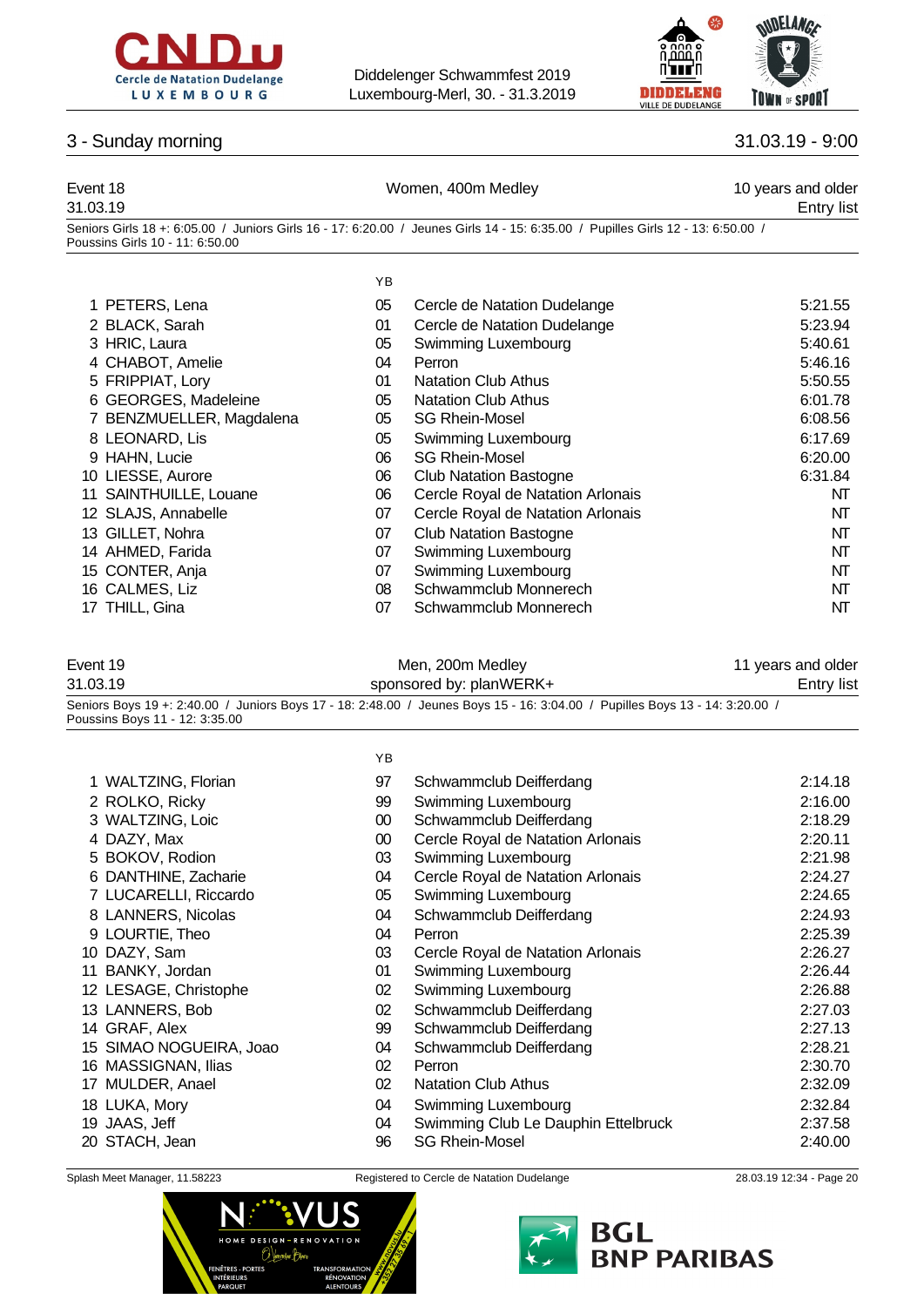



### 3 - Sunday morning 31.03.19 - 9:00

| Event 18<br>31.03.19 |                                 |    | Women, 400m Medley                                                                                                               | 10 years and older<br><b>Entry list</b> |
|----------------------|---------------------------------|----|----------------------------------------------------------------------------------------------------------------------------------|-----------------------------------------|
|                      | Poussins Girls 10 - 11: 6:50.00 |    | Seniors Girls 18 +: 6:05.00 / Juniors Girls 16 - 17: 6:20.00 / Jeunes Girls 14 - 15: 6:35.00 / Pupilles Girls 12 - 13: 6:50.00 / |                                         |
|                      |                                 | YB |                                                                                                                                  |                                         |
|                      | 1 PETERS, Lena                  | 05 | Cercle de Natation Dudelange                                                                                                     | 5:21.55                                 |
|                      | 2 BLACK, Sarah                  | 01 | Cercle de Natation Dudelange                                                                                                     | 5:23.94                                 |
|                      | 3 HRIC, Laura                   | 05 | Swimming Luxembourg                                                                                                              | 5:40.61                                 |
|                      | 4 CHABOT, Amelie                | 04 | Perron                                                                                                                           | 5:46.16                                 |
|                      | 5 FRIPPIAT, Lory                | 01 | <b>Natation Club Athus</b>                                                                                                       | 5:50.55                                 |
|                      | 6 GEORGES, Madeleine            | 05 | <b>Natation Club Athus</b>                                                                                                       | 6:01.78                                 |
|                      | 7 BENZMUELLER, Magdalena        | 05 | <b>SG Rhein-Mosel</b>                                                                                                            | 6:08.56                                 |
|                      | 8 LEONARD, Lis                  | 05 | Swimming Luxembourg                                                                                                              | 6:17.69                                 |
|                      | 9 HAHN, Lucie                   | 06 | <b>SG Rhein-Mosel</b>                                                                                                            | 6:20.00                                 |
|                      | 10 LIESSE, Aurore               | 06 | <b>Club Natation Bastogne</b>                                                                                                    | 6:31.84                                 |
|                      | 11 SAINTHUILLE, Louane          | 06 | Cercle Royal de Natation Arlonais                                                                                                | NT                                      |
|                      | 12 SLAJS, Annabelle             | 07 | Cercle Royal de Natation Arlonais                                                                                                | NT                                      |
|                      | 13 GILLET, Nohra                | 07 | <b>Club Natation Bastogne</b>                                                                                                    | NT                                      |
|                      | 14 AHMED, Farida                | 07 | Swimming Luxembourg                                                                                                              | NT                                      |
|                      | 15 CONTER, Anja                 | 07 | Swimming Luxembourg                                                                                                              | NT                                      |

- 16 CALMES, Liz 08 Schwammclub Monnerech NT
- 17 THILL, Gina **18 NT** CONDITENT OF Schwammclub Monnerech NT

|  | Event 19 |  |
|--|----------|--|
|  |          |  |

| Event 19 | Men, 200m Medley        | 11 years and older |
|----------|-------------------------|--------------------|
| 31.03.19 | sponsored by: planWERK+ | <b>Entry list</b>  |

Seniors Boys 19 +: 2:40.00 / Juniors Boys 17 - 18: 2:48.00 / Jeunes Boys 15 - 16: 3:04.00 / Pupilles Boys 13 - 14: 3:20.00 / Poussins Boys 11 - 12: 3:35.00

|                         | YB |                                     |         |
|-------------------------|----|-------------------------------------|---------|
| 1 WALTZING, Florian     | 97 | Schwammclub Deifferdang             | 2:14.18 |
| 2 ROLKO, Ricky          | 99 | Swimming Luxembourg                 | 2:16.00 |
| 3 WALTZING, Loic        | 00 | Schwammclub Deifferdang             | 2:18.29 |
| 4 DAZY, Max             | 00 | Cercle Royal de Natation Arlonais   | 2:20.11 |
| 5 BOKOV, Rodion         | 03 | Swimming Luxembourg                 | 2:21.98 |
| 6 DANTHINE, Zacharie    | 04 | Cercle Royal de Natation Arlonais   | 2:24.27 |
| 7 LUCARELLI, Riccardo   | 05 | Swimming Luxembourg                 | 2:24.65 |
| 8 LANNERS, Nicolas      | 04 | Schwammclub Deifferdang             | 2:24.93 |
| 9 LOURTIE, Theo         | 04 | Perron                              | 2:25.39 |
| 10 DAZY, Sam            | 03 | Cercle Royal de Natation Arlonais   | 2:26.27 |
| 11 BANKY, Jordan        | 01 | Swimming Luxembourg                 | 2:26.44 |
| 12 LESAGE, Christophe   | 02 | Swimming Luxembourg                 | 2:26.88 |
| 13 LANNERS, Bob         | 02 | Schwammclub Deifferdang             | 2:27.03 |
| 14 GRAF, Alex           | 99 | Schwammclub Deifferdang             | 2:27.13 |
| 15 SIMAO NOGUEIRA, Joao | 04 | Schwammclub Deifferdang             | 2:28.21 |
| 16 MASSIGNAN, Ilias     | 02 | Perron                              | 2:30.70 |
| 17 MULDER, Anael        | 02 | <b>Natation Club Athus</b>          | 2:32.09 |
| 18 LUKA, Mory           | 04 | Swimming Luxembourg                 | 2:32.84 |
| 19 JAAS, Jeff           | 04 | Swimming Club Le Dauphin Ettelbruck | 2:37.58 |

STACH, Jean 96 SG Rhein-Mosel 2:40.00



Splash Meet Manager, 11.58223 Registered to Cercle de Natation Dudelange 28.03.19 12:34 - Page 20

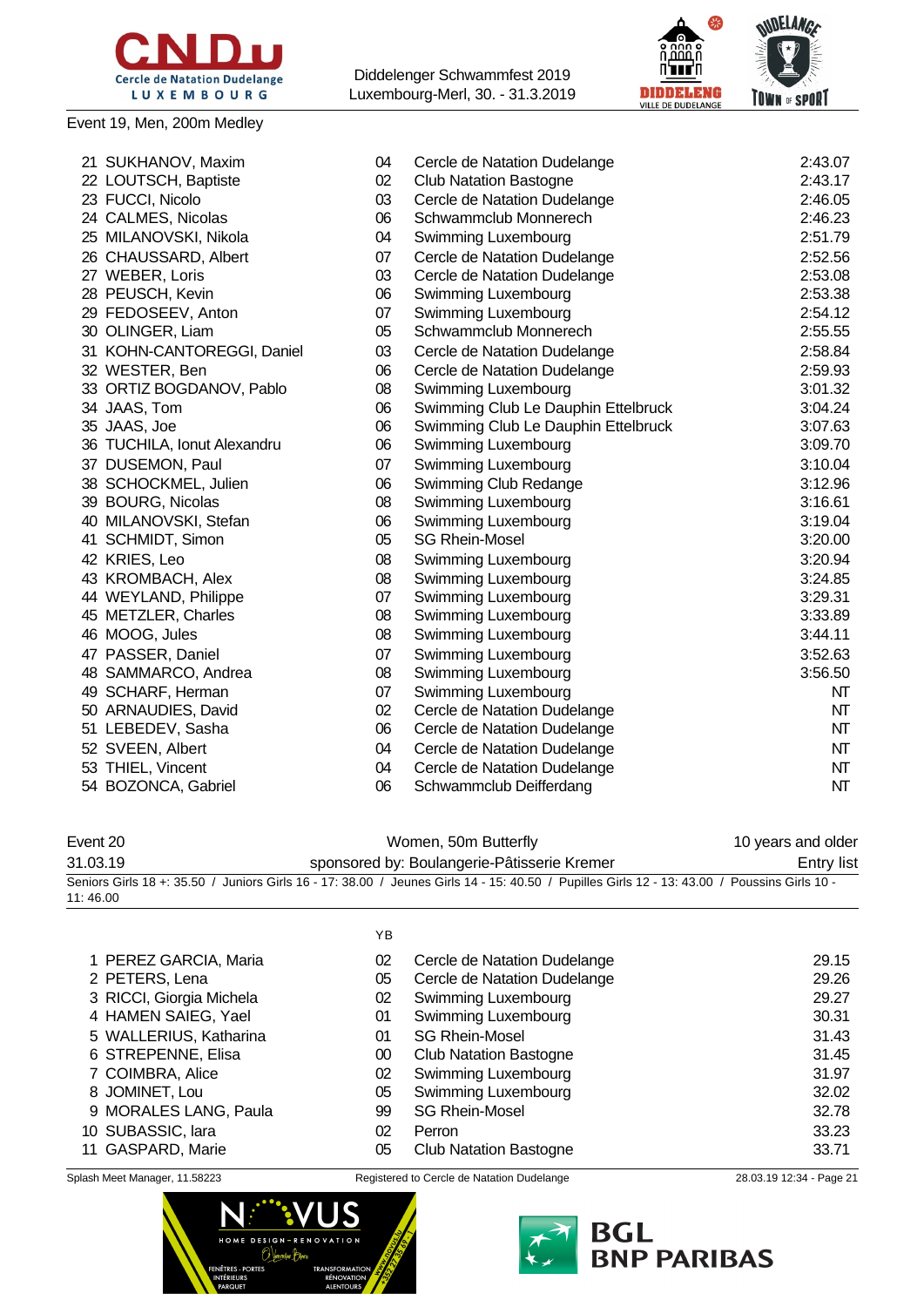

### Event 19, Men, 200m Medley

Diddelenger Schwammfest 2019 Luxembourg-Merl, 30. - 31.3.2019



| 21 SUKHANOV, Maxim          | 04 | Cercle de Natation Dudelange        | 2:43.07 |
|-----------------------------|----|-------------------------------------|---------|
| 22 LOUTSCH, Baptiste        | 02 | <b>Club Natation Bastogne</b>       | 2:43.17 |
| 23 FUCCI, Nicolo            | 03 | Cercle de Natation Dudelange        | 2:46.05 |
| 24 CALMES, Nicolas          | 06 | Schwammclub Monnerech               | 2:46.23 |
| 25 MILANOVSKI, Nikola       | 04 | Swimming Luxembourg                 | 2:51.79 |
| 26 CHAUSSARD, Albert        | 07 | Cercle de Natation Dudelange        | 2:52.56 |
| 27 WEBER, Loris             | 03 | Cercle de Natation Dudelange        | 2:53.08 |
| 28 PEUSCH, Kevin            | 06 | Swimming Luxembourg                 | 2:53.38 |
| 29 FEDOSEEV, Anton          | 07 | Swimming Luxembourg                 | 2:54.12 |
| 30 OLINGER, Liam            | 05 | Schwammclub Monnerech               | 2:55.55 |
| 31 KOHN-CANTOREGGI, Daniel  | 03 | Cercle de Natation Dudelange        | 2:58.84 |
| 32 WESTER, Ben              | 06 | Cercle de Natation Dudelange        | 2:59.93 |
| 33 ORTIZ BOGDANOV, Pablo    | 08 | Swimming Luxembourg                 | 3:01.32 |
| 34 JAAS, Tom                | 06 | Swimming Club Le Dauphin Ettelbruck | 3:04.24 |
| 35 JAAS, Joe                | 06 | Swimming Club Le Dauphin Ettelbruck | 3:07.63 |
| 36 TUCHILA, Ionut Alexandru | 06 | Swimming Luxembourg                 | 3:09.70 |
| 37 DUSEMON, Paul            | 07 | Swimming Luxembourg                 | 3:10.04 |
| 38 SCHOCKMEL, Julien        | 06 | Swimming Club Redange               | 3:12.96 |
| 39 BOURG, Nicolas           | 08 | Swimming Luxembourg                 | 3:16.61 |
| 40 MILANOVSKI, Stefan       | 06 | Swimming Luxembourg                 | 3:19.04 |
| 41 SCHMIDT, Simon           | 05 | <b>SG Rhein-Mosel</b>               | 3:20.00 |
| 42 KRIES, Leo               | 08 | Swimming Luxembourg                 | 3:20.94 |
| 43 KROMBACH, Alex           | 08 | Swimming Luxembourg                 | 3:24.85 |
| 44 WEYLAND, Philippe        | 07 | Swimming Luxembourg                 | 3:29.31 |
| 45 METZLER, Charles         | 08 | Swimming Luxembourg                 | 3:33.89 |
| 46 MOOG, Jules              | 08 | Swimming Luxembourg                 | 3:44.11 |
| 47 PASSER, Daniel           | 07 | Swimming Luxembourg                 | 3:52.63 |
| 48 SAMMARCO, Andrea         | 08 | Swimming Luxembourg                 | 3:56.50 |
| 49 SCHARF, Herman           | 07 | Swimming Luxembourg                 | NT      |
| 50 ARNAUDIES, David         | 02 | Cercle de Natation Dudelange        | NT      |
| 51 LEBEDEV, Sasha           | 06 | Cercle de Natation Dudelange        | NT      |
| 52 SVEEN, Albert            | 04 | Cercle de Natation Dudelange        | NT      |
| 53 THIEL, Vincent           | 04 | Cercle de Natation Dudelange        | NT      |
| 54 BOZONCA, Gabriel         | 06 | Schwammclub Deifferdang             | NT      |

| Event 20 | Women, 50m Butterfly                                                                                                                         | 10 years and older |
|----------|----------------------------------------------------------------------------------------------------------------------------------------------|--------------------|
| 31.03.19 | sponsored by: Boulangerie-Pâtisserie Kremer                                                                                                  | Entry list         |
|          | Seniors Girls 18 +: 35.50 / Juniors Girls 16 - 17: 38.00 / Jeunes Girls 14 - 15: 40.50 / Pupilles Girls 12 - 13: 43.00 / Poussins Girls 10 - |                    |
| 11:46.00 |                                                                                                                                              |                    |
|          |                                                                                                                                              |                    |

|                          | ΥB |                               |       |
|--------------------------|----|-------------------------------|-------|
| 1 PEREZ GARCIA, Maria    | 02 | Cercle de Natation Dudelange  | 29.15 |
| 2 PETERS, Lena           | 05 | Cercle de Natation Dudelange  | 29.26 |
| 3 RICCI, Giorgia Michela | 02 | Swimming Luxembourg           | 29.27 |
| 4 HAMEN SAIEG, Yael      | 01 | Swimming Luxembourg           | 30.31 |
| 5 WALLERIUS, Katharina   | 01 | <b>SG Rhein-Mosel</b>         | 31.43 |
| 6 STREPENNE, Elisa       | 00 | <b>Club Natation Bastogne</b> | 31.45 |
| 7 COIMBRA, Alice         | 02 | Swimming Luxembourg           | 31.97 |
| 8 JOMINET, Lou           | 05 | Swimming Luxembourg           | 32.02 |
| 9 MORALES LANG, Paula    | 99 | <b>SG Rhein-Mosel</b>         | 32.78 |
| 10 SUBASSIC, lara        | 02 | Perron                        | 33.23 |
| 11 GASPARD, Marie        | 05 | <b>Club Natation Bastogne</b> | 33.71 |





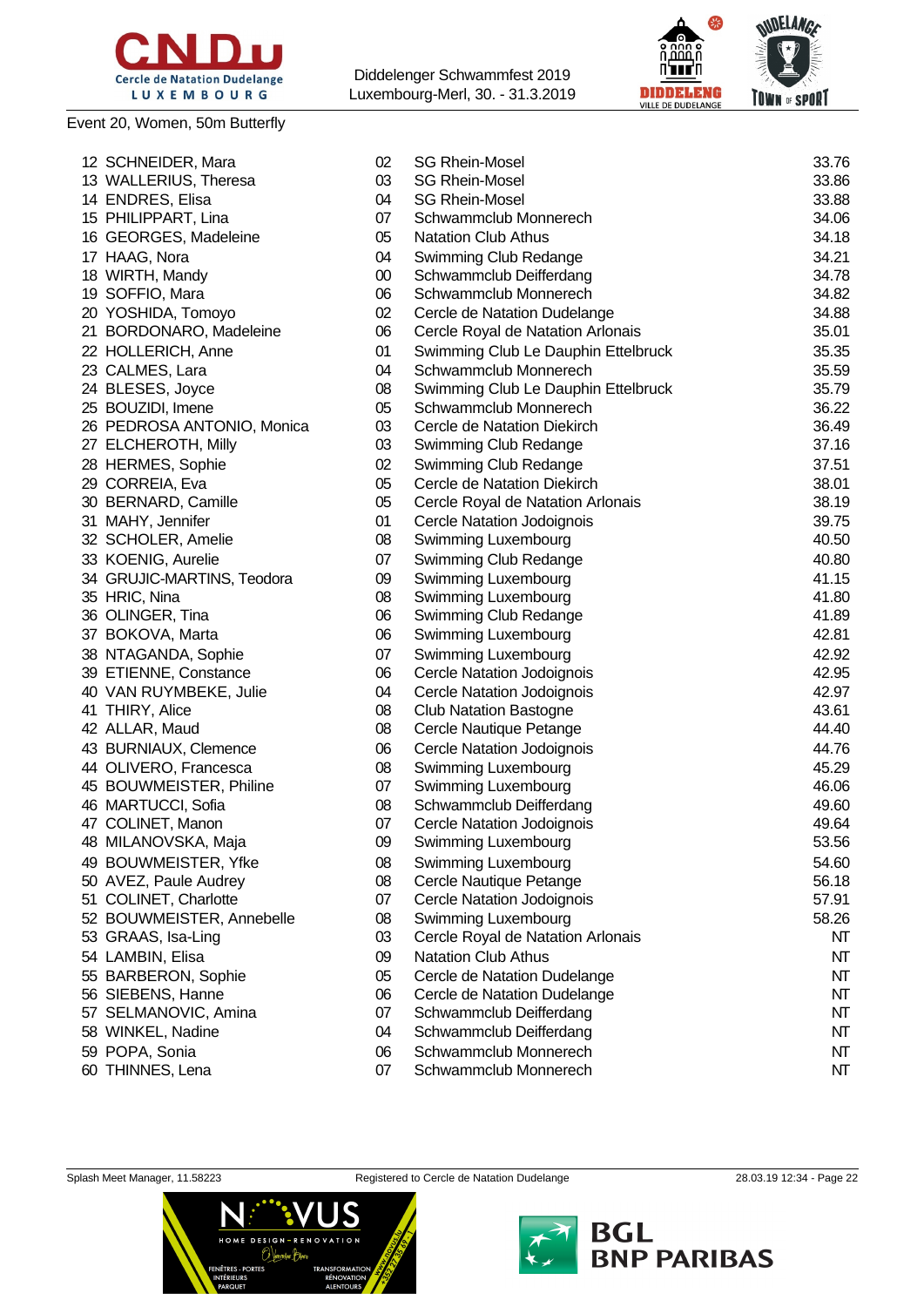

### Event 20, Women, 50m Butterfly

Diddelenger Schwammfest 2019 Luxembourg-Merl, 30. - 31.3.2019





| 12 SCHNEIDER, Mara         | 02       | <b>SG Rhein-Mosel</b>               | 33.76    |
|----------------------------|----------|-------------------------------------|----------|
| 13 WALLERIUS, Theresa      | 03       | <b>SG Rhein-Mosel</b>               | 33.86    |
| 14 ENDRES, Elisa           | 04       | <b>SG Rhein-Mosel</b>               | 33.88    |
| 15 PHILIPPART, Lina        | 07       | Schwammclub Monnerech               | 34.06    |
| 16 GEORGES, Madeleine      | 05       | <b>Natation Club Athus</b>          | 34.18    |
| 17 HAAG, Nora              | 04       | Swimming Club Redange               | 34.21    |
| 18 WIRTH, Mandy            | 00       | Schwammclub Deifferdang             | 34.78    |
| 19 SOFFIO, Mara            | 06       | Schwammclub Monnerech               | 34.82    |
| 20 YOSHIDA, Tomoyo         | 02       | Cercle de Natation Dudelange        | 34.88    |
| 21 BORDONARO, Madeleine    | 06       | Cercle Royal de Natation Arlonais   | 35.01    |
| 22 HOLLERICH, Anne         | 01       | Swimming Club Le Dauphin Ettelbruck | 35.35    |
| 23 CALMES, Lara            | 04       | Schwammclub Monnerech               | 35.59    |
| 24 BLESES, Joyce           | 08       | Swimming Club Le Dauphin Ettelbruck | 35.79    |
| 25 BOUZIDI, Imene          | 05       | Schwammclub Monnerech               | 36.22    |
| 26 PEDROSA ANTONIO, Monica | 03       | Cercle de Natation Diekirch         | 36.49    |
| 27 ELCHEROTH, Milly        | 03       | Swimming Club Redange               | 37.16    |
| 28 HERMES, Sophie          | 02       | Swimming Club Redange               | 37.51    |
| 29 CORREIA, Eva            | 05       | Cercle de Natation Diekirch         | 38.01    |
| 30 BERNARD, Camille        | 05       | Cercle Royal de Natation Arlonais   | 38.19    |
| 31 MAHY, Jennifer          | 01       | Cercle Natation Jodoignois          | 39.75    |
| 32 SCHOLER, Amelie         | 08       | Swimming Luxembourg                 | 40.50    |
| 33 KOENIG, Aurelie         | 07       | Swimming Club Redange               | 40.80    |
| 34 GRUJIC-MARTINS, Teodora | 09       | Swimming Luxembourg                 | 41.15    |
| 35 HRIC, Nina              | 08       | Swimming Luxembourg                 | 41.80    |
| 36 OLINGER, Tina           | 06       | Swimming Club Redange               | 41.89    |
| 37 BOKOVA, Marta           | 06       | Swimming Luxembourg                 | 42.81    |
| 38 NTAGANDA, Sophie        | 07       | Swimming Luxembourg                 | 42.92    |
| 39 ETIENNE, Constance      | 06       | Cercle Natation Jodoignois          | 42.95    |
| 40 VAN RUYMBEKE, Julie     | 04       | <b>Cercle Natation Jodoignois</b>   | 42.97    |
| 41 THIRY, Alice            | 08       | <b>Club Natation Bastogne</b>       | 43.61    |
| 42 ALLAR, Maud             | 08       | Cercle Nautique Petange             | 44.40    |
| 43 BURNIAUX, Clemence      | 06       | Cercle Natation Jodoignois          | 44.76    |
| 44 OLIVERO, Francesca      | 08       | Swimming Luxembourg                 | 45.29    |
| 45 BOUWMEISTER, Philine    | 07       | Swimming Luxembourg                 | 46.06    |
| 46 MARTUCCI, Sofia         | 08       | Schwammclub Deifferdang             | 49.60    |
| 47 COLINET, Manon          | 07       | Cercle Natation Jodoignois          | 49.64    |
| 48 MILANOVSKA, Maja        | 09       | Swimming Luxembourg                 | 53.56    |
| 49 BOUWMEISTER, Yfke       | 08       | Swimming Luxembourg                 | 54.60    |
| 50 AVEZ, Paule Audrey      | 08       | Cercle Nautique Petange             | 56.18    |
| 51 COLINET, Charlotte      | 07       | Cercle Natation Jodoignois          | 57.91    |
| 52 BOUWMEISTER, Annebelle  | 08       | Swimming Luxembourg                 | 58.26    |
| 53 GRAAS, Isa-Ling         | 03       | Cercle Royal de Natation Arlonais   | NT       |
| 54 LAMBIN, Elisa           | 09       | <b>Natation Club Athus</b>          | NT       |
| 55 BARBERON, Sophie        | 05       | Cercle de Natation Dudelange        | NT       |
| 56 SIEBENS, Hanne          | 06       | Cercle de Natation Dudelange        | NT       |
| 57 SELMANOVIC, Amina       | 07       | Schwammclub Deifferdang             | NT       |
| 58 WINKEL, Nadine          | 04       | Schwammclub Deifferdang             | NT       |
| 59 POPA, Sonia             |          | Schwammclub Monnerech               |          |
|                            | 06<br>07 | Schwammclub Monnerech               | NT<br>NT |
| 60 THINNES, Lena           |          |                                     |          |



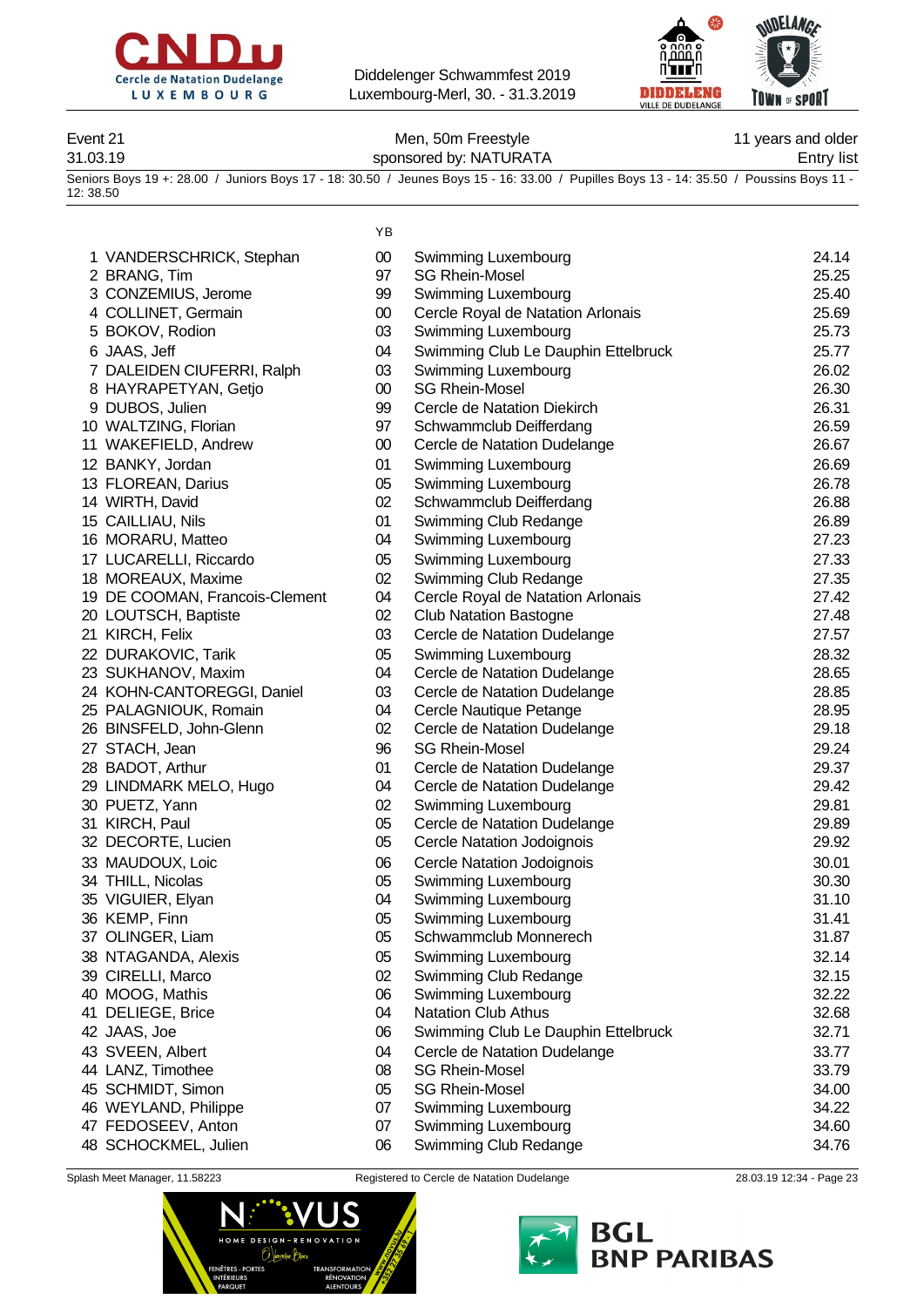



Event 21 **Event 21** Men, 50m Freestyle **11** years and older 31.03.19 sponsored by: NATURATA Entry list

Seniors Boys 19 +: 28.00 / Juniors Boys 17 - 18: 30.50 / Jeunes Boys 15 - 16: 33.00 / Pupilles Boys 13 - 14: 35.50 / Poussins Boys 11 - 12: 38.50

|                                | ΥB     |                                     |       |
|--------------------------------|--------|-------------------------------------|-------|
| 1 VANDERSCHRICK, Stephan       | $00\,$ | Swimming Luxembourg                 | 24.14 |
| 2 BRANG, Tim                   | 97     | <b>SG Rhein-Mosel</b>               | 25.25 |
| 3 CONZEMIUS, Jerome            | 99     | Swimming Luxembourg                 | 25.40 |
| 4 COLLINET, Germain            | $00\,$ | Cercle Royal de Natation Arlonais   | 25.69 |
| 5 BOKOV, Rodion                | 03     | Swimming Luxembourg                 | 25.73 |
| 6 JAAS, Jeff                   | 04     | Swimming Club Le Dauphin Ettelbruck | 25.77 |
| 7 DALEIDEN CIUFERRI, Ralph     | 03     | Swimming Luxembourg                 | 26.02 |
| 8 HAYRAPETYAN, Getjo           | $00\,$ | <b>SG Rhein-Mosel</b>               | 26.30 |
| 9 DUBOS, Julien                | 99     | Cercle de Natation Diekirch         | 26.31 |
| 10 WALTZING, Florian           | 97     | Schwammclub Deifferdang             | 26.59 |
| 11 WAKEFIELD, Andrew           | $00\,$ | Cercle de Natation Dudelange        | 26.67 |
| 12 BANKY, Jordan               | 01     | Swimming Luxembourg                 | 26.69 |
| 13 FLOREAN, Darius             | 05     | Swimming Luxembourg                 | 26.78 |
| 14 WIRTH, David                | 02     | Schwammclub Deifferdang             | 26.88 |
| 15 CAILLIAU, Nils              | 01     | Swimming Club Redange               | 26.89 |
| 16 MORARU, Matteo              | 04     | Swimming Luxembourg                 | 27.23 |
| 17 LUCARELLI, Riccardo         | 05     | Swimming Luxembourg                 | 27.33 |
| 18 MOREAUX, Maxime             | 02     | Swimming Club Redange               | 27.35 |
| 19 DE COOMAN, Francois-Clement | 04     | Cercle Royal de Natation Arlonais   | 27.42 |
| 20 LOUTSCH, Baptiste           | 02     | <b>Club Natation Bastogne</b>       | 27.48 |
| 21 KIRCH, Felix                | 03     | Cercle de Natation Dudelange        | 27.57 |
| 22 DURAKOVIC, Tarik            | 05     | Swimming Luxembourg                 | 28.32 |
| 23 SUKHANOV, Maxim             | 04     | Cercle de Natation Dudelange        | 28.65 |
| 24 KOHN-CANTOREGGI, Daniel     | 03     | Cercle de Natation Dudelange        | 28.85 |
| 25 PALAGNIOUK, Romain          | 04     | Cercle Nautique Petange             | 28.95 |
| 26 BINSFELD, John-Glenn        | 02     | Cercle de Natation Dudelange        | 29.18 |
| 27 STACH, Jean                 | 96     | <b>SG Rhein-Mosel</b>               | 29.24 |
| 28 BADOT, Arthur               | 01     | Cercle de Natation Dudelange        | 29.37 |
| 29 LINDMARK MELO, Hugo         | 04     | Cercle de Natation Dudelange        | 29.42 |
| 30 PUETZ, Yann                 | 02     | Swimming Luxembourg                 | 29.81 |
| 31 KIRCH, Paul                 | 05     | Cercle de Natation Dudelange        | 29.89 |
| 32 DECORTE, Lucien             | 05     | Cercle Natation Jodoignois          | 29.92 |
| 33 MAUDOUX, Loic               | 06     | Cercle Natation Jodoignois          | 30.01 |
| 34 THILL, Nicolas              | 05     | Swimming Luxembourg                 | 30.30 |
| 35 VIGUIER, Elyan              | 04     | Swimming Luxembourg                 | 31.10 |
| 36 KEMP, Finn                  | 05     | Swimming Luxembourg                 | 31.41 |
| 37 OLINGER, Liam               | 05     | Schwammclub Monnerech               | 31.87 |
| 38 NTAGANDA, Alexis            | 05     | Swimming Luxembourg                 | 32.14 |
| 39 CIRELLI, Marco              | 02     | Swimming Club Redange               | 32.15 |
| 40 MOOG, Mathis                | 06     | Swimming Luxembourg                 | 32.22 |
| 41 DELIEGE, Brice              | 04     | <b>Natation Club Athus</b>          | 32.68 |
| 42 JAAS, Joe                   | 06     | Swimming Club Le Dauphin Ettelbruck | 32.71 |
| 43 SVEEN, Albert               | 04     | Cercle de Natation Dudelange        | 33.77 |
| 44 LANZ, Timothee              | 08     | <b>SG Rhein-Mosel</b>               | 33.79 |
| 45 SCHMIDT, Simon              | 05     | <b>SG Rhein-Mosel</b>               | 34.00 |
| 46 WEYLAND, Philippe           | 07     | Swimming Luxembourg                 | 34.22 |
| 47 FEDOSEEV, Anton             | 07     | Swimming Luxembourg                 | 34.60 |
| 48 SCHOCKMEL, Julien           | 06     | Swimming Club Redange               | 34.76 |
|                                |        |                                     |       |



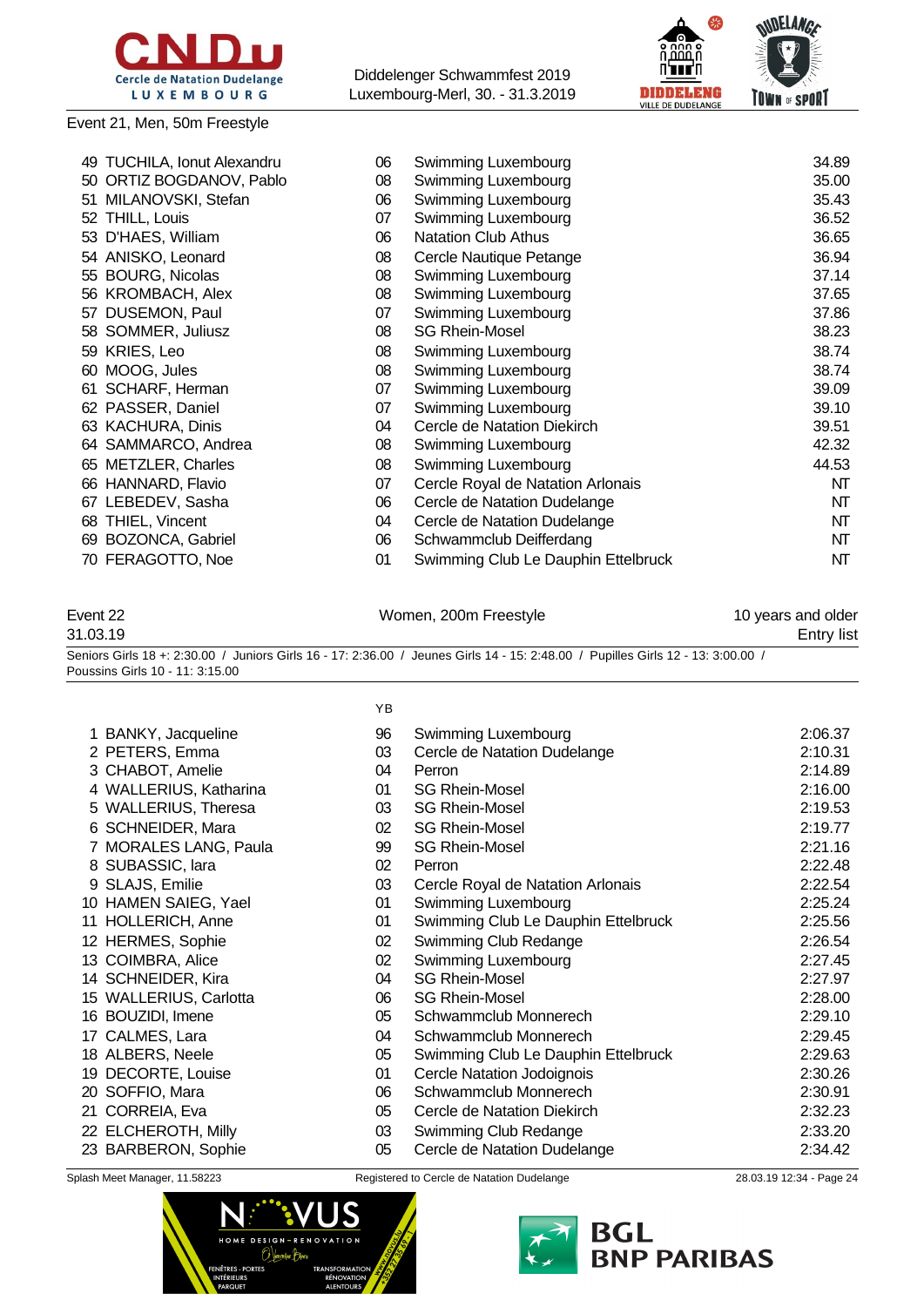

#### Event 21, Men, 50m Freestyle



|    | 49 TUCHILA, Ionut Alexandru | 06 | Swimming Luxembourg                 | 34.89 |
|----|-----------------------------|----|-------------------------------------|-------|
|    | 50 ORTIZ BOGDANOV, Pablo    | 08 | Swimming Luxembourg                 | 35.00 |
|    | 51 MILANOVSKI, Stefan       | 06 | Swimming Luxembourg                 | 35.43 |
|    | 52 THILL, Louis             | 07 | Swimming Luxembourg                 | 36.52 |
|    | 53 D'HAES, William          | 06 | <b>Natation Club Athus</b>          | 36.65 |
|    | 54 ANISKO, Leonard          | 08 | Cercle Nautique Petange             | 36.94 |
|    | 55 BOURG, Nicolas           | 08 | Swimming Luxembourg                 | 37.14 |
|    | 56 KROMBACH, Alex           | 08 | Swimming Luxembourg                 | 37.65 |
|    | 57 DUSEMON, Paul            | 07 | Swimming Luxembourg                 | 37.86 |
|    | 58 SOMMER, Juliusz          | 08 | <b>SG Rhein-Mosel</b>               | 38.23 |
|    | 59 KRIES, Leo               | 08 | Swimming Luxembourg                 | 38.74 |
| 60 | MOOG, Jules                 | 08 | Swimming Luxembourg                 | 38.74 |
| 61 | SCHARF, Herman              | 07 | Swimming Luxembourg                 | 39.09 |
|    | 62 PASSER, Daniel           | 07 | Swimming Luxembourg                 | 39.10 |
|    | 63 KACHURA, Dinis           | 04 | Cercle de Natation Diekirch         | 39.51 |
|    | 64 SAMMARCO, Andrea         | 08 | Swimming Luxembourg                 | 42.32 |
|    | 65 METZLER, Charles         | 08 | Swimming Luxembourg                 | 44.53 |
|    | 66 HANNARD, Flavio          | 07 | Cercle Royal de Natation Arlonais   | NT    |
|    | 67 LEBEDEV, Sasha           | 06 | Cercle de Natation Dudelange        | NT    |
| 68 | THIEL, Vincent              | 04 | Cercle de Natation Dudelange        | NT    |
| 69 | <b>BOZONCA, Gabriel</b>     | 06 | Schwammclub Deifferdang             | NT    |
|    | 70 FERAGOTTO, Noe           | 01 | Swimming Club Le Dauphin Ettelbruck | NT    |
|    |                             |    |                                     |       |

Event 22 **Event 22** Women, 200m Freestyle **10 years and older** 31.03.19 Entry list Seniors Girls 18 +: 2:30.00 / Juniors Girls 16 - 17: 2:36.00 / Jeunes Girls 14 - 15: 2:48.00 / Pupilles Girls 12 - 13: 3:00.00 / Poussins Girls 10 - 11: 3:15.00 YB

| 1 BANKY, Jacqueline    | 96 | Swimming Luxembourg                 | 2:06.37 |
|------------------------|----|-------------------------------------|---------|
| 2 PETERS, Emma         | 03 | Cercle de Natation Dudelange        | 2:10.31 |
| 3 CHABOT, Amelie       | 04 | Perron                              | 2:14.89 |
| 4 WALLERIUS, Katharina | 01 | <b>SG Rhein-Mosel</b>               | 2:16.00 |
| 5 WALLERIUS, Theresa   | 03 | <b>SG Rhein-Mosel</b>               | 2:19.53 |
| 6 SCHNEIDER, Mara      | 02 | <b>SG Rhein-Mosel</b>               | 2:19.77 |
| 7 MORALES LANG, Paula  | 99 | <b>SG Rhein-Mosel</b>               | 2:21.16 |
| 8 SUBASSIC, lara       | 02 | Perron                              | 2:22.48 |
| 9 SLAJS, Emilie        | 03 | Cercle Royal de Natation Arlonais   | 2:22.54 |
| 10 HAMEN SAIEG, Yael   | 01 | Swimming Luxembourg                 | 2:25.24 |
| 11 HOLLERICH, Anne     | 01 | Swimming Club Le Dauphin Ettelbruck | 2:25.56 |
| 12 HERMES, Sophie      | 02 | Swimming Club Redange               | 2:26.54 |
| 13 COIMBRA, Alice      | 02 | Swimming Luxembourg                 | 2:27.45 |
| 14 SCHNEIDER, Kira     | 04 | <b>SG Rhein-Mosel</b>               | 2:27.97 |
| 15 WALLERIUS, Carlotta | 06 | <b>SG Rhein-Mosel</b>               | 2:28.00 |
| 16 BOUZIDI, Imene      | 05 | Schwammclub Monnerech               | 2:29.10 |
| 17 CALMES, Lara        | 04 | Schwammclub Monnerech               | 2:29.45 |
| 18 ALBERS, Neele       | 05 | Swimming Club Le Dauphin Ettelbruck | 2:29.63 |
| 19 DECORTE, Louise     | 01 | Cercle Natation Jodoignois          | 2:30.26 |
| 20 SOFFIO, Mara        | 06 | Schwammclub Monnerech               | 2:30.91 |
| 21 CORREIA, Eva        | 05 | Cercle de Natation Diekirch         | 2:32.23 |
| 22 ELCHEROTH, Milly    | 03 | Swimming Club Redange               | 2:33.20 |
| 23 BARBERON, Sophie    | 05 | Cercle de Natation Dudelange        | 2:34.42 |
|                        |    |                                     |         |



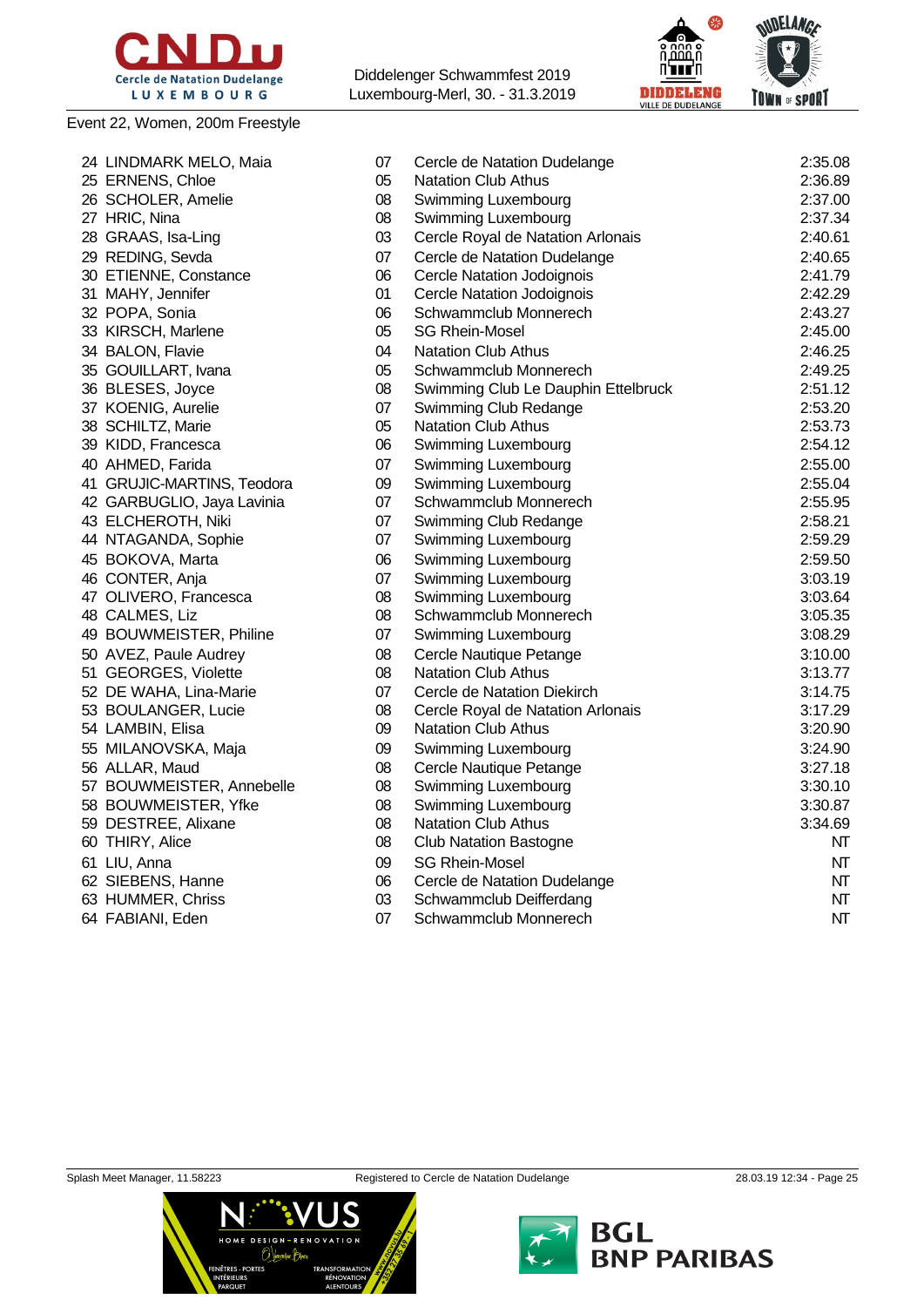

### Event 22, Women, 200m Freestyle

Diddelenger Schwammfest 2019 Luxembourg-Merl, 30. - 31.3.2019



| 24 LINDMARK MELO, Maia     | 07 | Cercle de Natation Dudelange        | 2:35.08 |
|----------------------------|----|-------------------------------------|---------|
| 25 ERNENS, Chloe           | 05 | <b>Natation Club Athus</b>          | 2:36.89 |
| 26 SCHOLER, Amelie         | 08 | Swimming Luxembourg                 | 2:37.00 |
| 27 HRIC, Nina              | 08 | Swimming Luxembourg                 | 2:37.34 |
| 28 GRAAS, Isa-Ling         | 03 | Cercle Royal de Natation Arlonais   | 2:40.61 |
| 29 REDING, Sevda           | 07 | Cercle de Natation Dudelange        | 2:40.65 |
| 30 ETIENNE, Constance      | 06 | <b>Cercle Natation Jodoignois</b>   | 2:41.79 |
| 31 MAHY, Jennifer          | 01 | <b>Cercle Natation Jodoignois</b>   | 2:42.29 |
| 32 POPA, Sonia             | 06 | Schwammclub Monnerech               | 2:43.27 |
| 33 KIRSCH, Marlene         | 05 | <b>SG Rhein-Mosel</b>               | 2:45.00 |
| 34 BALON, Flavie           | 04 | <b>Natation Club Athus</b>          | 2:46.25 |
| 35 GOUILLART, Ivana        | 05 | Schwammclub Monnerech               | 2:49.25 |
| 36 BLESES, Joyce           | 08 | Swimming Club Le Dauphin Ettelbruck | 2:51.12 |
| 37 KOENIG, Aurelie         | 07 | Swimming Club Redange               | 2:53.20 |
| 38 SCHILTZ, Marie          | 05 | <b>Natation Club Athus</b>          | 2:53.73 |
| 39 KIDD, Francesca         | 06 | Swimming Luxembourg                 | 2:54.12 |
| 40 AHMED, Farida           | 07 | Swimming Luxembourg                 | 2:55.00 |
| 41 GRUJIC-MARTINS, Teodora | 09 | Swimming Luxembourg                 | 2:55.04 |
| 42 GARBUGLIO, Jaya Lavinia | 07 | Schwammclub Monnerech               | 2:55.95 |
| 43 ELCHEROTH, Niki         | 07 | Swimming Club Redange               | 2:58.21 |
| 44 NTAGANDA, Sophie        | 07 | Swimming Luxembourg                 | 2:59.29 |
| 45 BOKOVA, Marta           | 06 | Swimming Luxembourg                 | 2:59.50 |
| 46 CONTER, Anja            | 07 | Swimming Luxembourg                 | 3:03.19 |
| 47 OLIVERO, Francesca      | 08 | Swimming Luxembourg                 | 3:03.64 |
| 48 CALMES, Liz             | 08 | Schwammclub Monnerech               | 3:05.35 |
| 49 BOUWMEISTER, Philine    | 07 | Swimming Luxembourg                 | 3:08.29 |
| 50 AVEZ, Paule Audrey      | 08 | Cercle Nautique Petange             | 3:10.00 |
| 51 GEORGES, Violette       | 08 | <b>Natation Club Athus</b>          | 3:13.77 |
| 52 DE WAHA, Lina-Marie     | 07 | Cercle de Natation Diekirch         | 3:14.75 |
| 53 BOULANGER, Lucie        | 08 | Cercle Royal de Natation Arlonais   | 3:17.29 |
| 54 LAMBIN, Elisa           | 09 | <b>Natation Club Athus</b>          | 3:20.90 |
| 55 MILANOVSKA, Maja        | 09 | Swimming Luxembourg                 | 3:24.90 |
| 56 ALLAR, Maud             | 08 | Cercle Nautique Petange             | 3:27.18 |
| 57 BOUWMEISTER, Annebelle  | 08 | Swimming Luxembourg                 | 3:30.10 |
| 58 BOUWMEISTER, Yfke       | 08 | Swimming Luxembourg                 | 3:30.87 |
| 59 DESTREE, Alixane        | 08 | <b>Natation Club Athus</b>          | 3:34.69 |
| 60 THIRY, Alice            | 08 | <b>Club Natation Bastogne</b>       | NT      |
| 61 LIU, Anna               | 09 | <b>SG Rhein-Mosel</b>               | NT      |
| 62 SIEBENS, Hanne          | 06 | Cercle de Natation Dudelange        | NT      |
| 63 HUMMER, Chriss          | 03 | Schwammclub Deifferdang             | NT      |
| 64 FABIANI, Eden           | 07 | Schwammclub Monnerech               | NT      |
|                            |    |                                     |         |





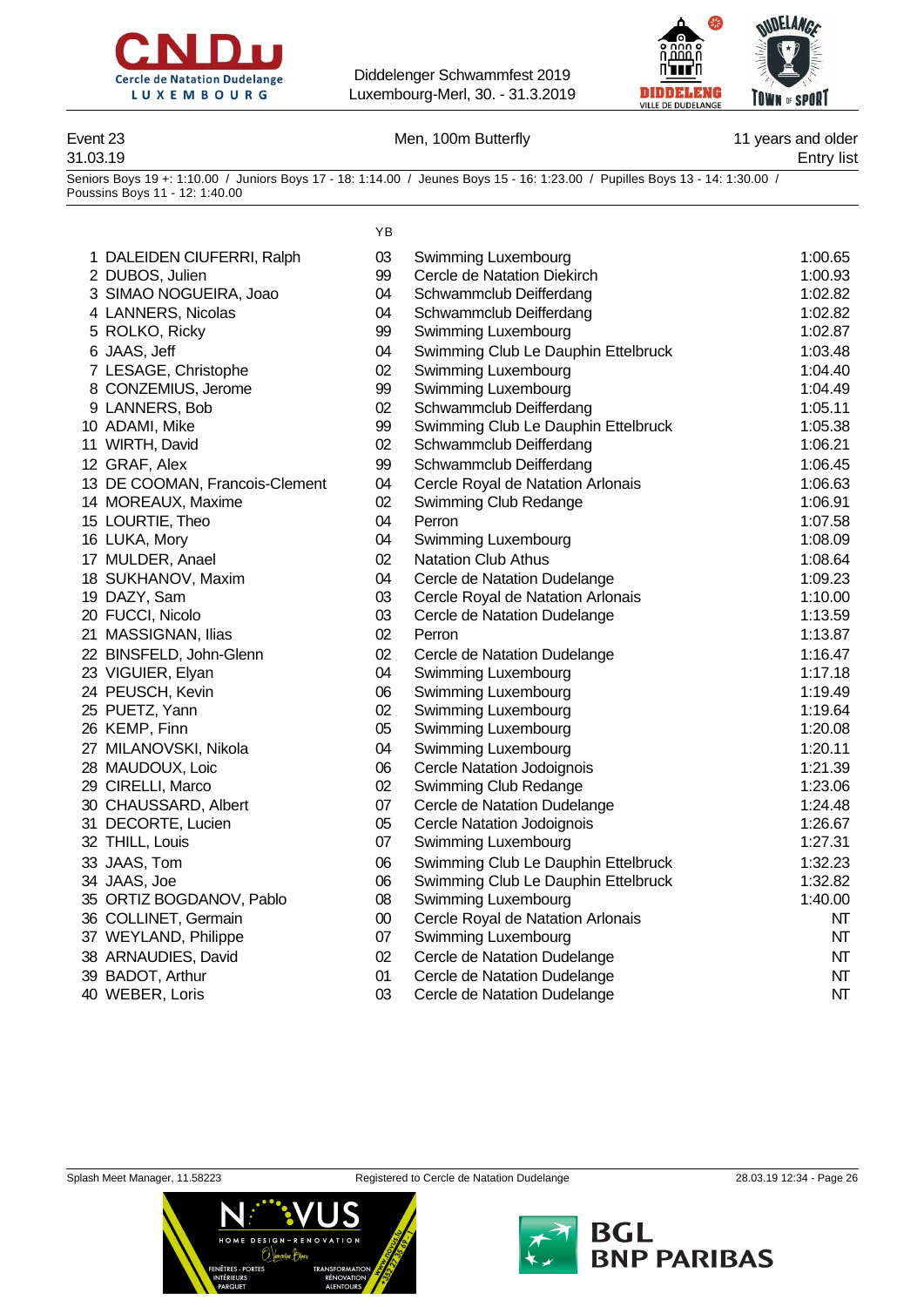



### Event 23 **Men, 100m Butterfly** 11 years and older

31.03.19 Entry list

Seniors Boys 19 +: 1:10.00 / Juniors Boys 17 - 18: 1:14.00 / Jeunes Boys 15 - 16: 1:23.00 / Pupilles Boys 13 - 14: 1:30.00 / Poussins Boys 11 - 12: 1:40.00

 $\overline{V}$ 

|                                | . ט    |                                     |         |
|--------------------------------|--------|-------------------------------------|---------|
| 1 DALEIDEN CIUFERRI, Ralph     | 03     | Swimming Luxembourg                 | 1:00.65 |
| 2 DUBOS, Julien                | 99     | Cercle de Natation Diekirch         | 1:00.93 |
| 3 SIMAO NOGUEIRA, Joao         | 04     | Schwammclub Deifferdang             | 1:02.82 |
| 4 LANNERS, Nicolas             | 04     | Schwammclub Deifferdang             | 1:02.82 |
| 5 ROLKO, Ricky                 | 99     | Swimming Luxembourg                 | 1:02.87 |
| 6 JAAS, Jeff                   | 04     | Swimming Club Le Dauphin Ettelbruck | 1:03.48 |
| 7 LESAGE, Christophe           | 02     | Swimming Luxembourg                 | 1:04.40 |
| 8 CONZEMIUS, Jerome            | 99     | Swimming Luxembourg                 | 1:04.49 |
| 9 LANNERS, Bob                 | 02     | Schwammclub Deifferdang             | 1:05.11 |
| 10 ADAMI, Mike                 | 99     | Swimming Club Le Dauphin Ettelbruck | 1:05.38 |
| 11 WIRTH, David                | 02     | Schwammclub Deifferdang             | 1:06.21 |
| 12 GRAF, Alex                  | 99     | Schwammclub Deifferdang             | 1:06.45 |
| 13 DE COOMAN, Francois-Clement | 04     | Cercle Royal de Natation Arlonais   | 1:06.63 |
| 14 MOREAUX, Maxime             | 02     | Swimming Club Redange               | 1:06.91 |
| 15 LOURTIE, Theo               | 04     | Perron                              | 1:07.58 |
| 16 LUKA, Mory                  | 04     | Swimming Luxembourg                 | 1:08.09 |
| 17 MULDER, Anael               | 02     | <b>Natation Club Athus</b>          | 1:08.64 |
| 18 SUKHANOV, Maxim             | 04     | Cercle de Natation Dudelange        | 1:09.23 |
| 19 DAZY, Sam                   | 03     | Cercle Royal de Natation Arlonais   | 1:10.00 |
| 20 FUCCI, Nicolo               | 03     | Cercle de Natation Dudelange        | 1:13.59 |
| 21 MASSIGNAN, Ilias            | 02     | Perron                              | 1:13.87 |
| 22 BINSFELD, John-Glenn        | 02     | Cercle de Natation Dudelange        | 1:16.47 |
| 23 VIGUIER, Elyan              | 04     | Swimming Luxembourg                 | 1:17.18 |
| 24 PEUSCH, Kevin               | 06     | Swimming Luxembourg                 | 1:19.49 |
| 25 PUETZ, Yann                 | 02     | Swimming Luxembourg                 | 1:19.64 |
| 26 KEMP, Finn                  | 05     | Swimming Luxembourg                 | 1:20.08 |
| 27 MILANOVSKI, Nikola          | 04     | Swimming Luxembourg                 | 1:20.11 |
| 28 MAUDOUX, Loic               | 06     | Cercle Natation Jodoignois          | 1:21.39 |
| 29 CIRELLI, Marco              | 02     | Swimming Club Redange               | 1:23.06 |
| 30 CHAUSSARD, Albert           | 07     | Cercle de Natation Dudelange        | 1:24.48 |
| 31 DECORTE, Lucien             | 05     | <b>Cercle Natation Jodoignois</b>   | 1:26.67 |
| 32 THILL, Louis                | 07     | Swimming Luxembourg                 | 1:27.31 |
| 33 JAAS, Tom                   | 06     | Swimming Club Le Dauphin Ettelbruck | 1:32.23 |
| 34 JAAS, Joe                   | 06     | Swimming Club Le Dauphin Ettelbruck | 1:32.82 |
| 35 ORTIZ BOGDANOV, Pablo       | 08     | Swimming Luxembourg                 | 1:40.00 |
| 36 COLLINET, Germain           | $00\,$ | Cercle Royal de Natation Arlonais   | NT      |
| 37 WEYLAND, Philippe           | 07     | Swimming Luxembourg                 | NT      |
| 38 ARNAUDIES, David            | 02     | Cercle de Natation Dudelange        | NT      |
| 39 BADOT, Arthur               | 01     | Cercle de Natation Dudelange        | NT      |

40 WEBER, Loris 603 Cercle de Natation Dudelange 10 MT



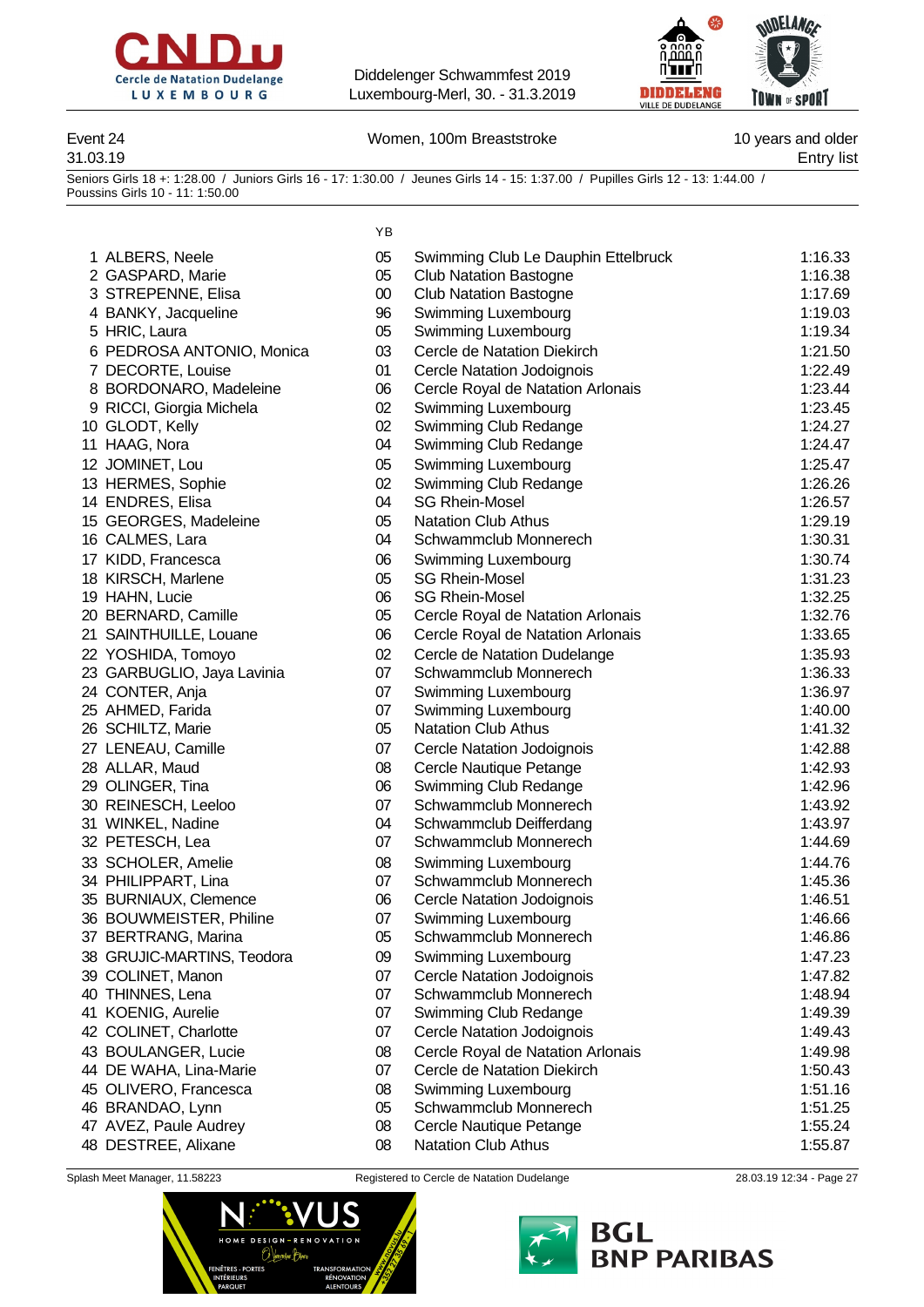



### Event 24 **Event 24** Momen, 100m Breaststroke 10 years and older

31.03.19 Entry list

Seniors Girls 18 +: 1:28.00 / Juniors Girls 16 - 17: 1:30.00 / Jeunes Girls 14 - 15: 1:37.00 / Pupilles Girls 12 - 13: 1:44.00 / Poussins Girls 10 - 11: 1:50.00

|                            | ΥB     |                                     |         |
|----------------------------|--------|-------------------------------------|---------|
| 1 ALBERS, Neele            | 05     | Swimming Club Le Dauphin Ettelbruck | 1:16.33 |
| 2 GASPARD, Marie           | 05     | <b>Club Natation Bastogne</b>       | 1:16.38 |
| 3 STREPENNE, Elisa         | $00\,$ | <b>Club Natation Bastogne</b>       | 1:17.69 |
| 4 BANKY, Jacqueline        | 96     | Swimming Luxembourg                 | 1:19.03 |
| 5 HRIC, Laura              | 05     | Swimming Luxembourg                 | 1:19.34 |
| 6 PEDROSA ANTONIO, Monica  | 03     | Cercle de Natation Diekirch         | 1:21.50 |
| 7 DECORTE, Louise          | 01     | <b>Cercle Natation Jodoignois</b>   | 1:22.49 |
| 8 BORDONARO, Madeleine     | 06     | Cercle Royal de Natation Arlonais   | 1:23.44 |
| 9 RICCI, Giorgia Michela   | 02     | Swimming Luxembourg                 | 1:23.45 |
| 10 GLODT, Kelly            | 02     | Swimming Club Redange               | 1:24.27 |
| 11 HAAG, Nora              | 04     | Swimming Club Redange               | 1:24.47 |
| 12 JOMINET, Lou            | 05     | Swimming Luxembourg                 | 1:25.47 |
| 13 HERMES, Sophie          | 02     | Swimming Club Redange               | 1:26.26 |
| 14 ENDRES, Elisa           | 04     | <b>SG Rhein-Mosel</b>               | 1:26.57 |
| 15 GEORGES, Madeleine      | 05     | <b>Natation Club Athus</b>          | 1:29.19 |
| 16 CALMES, Lara            | 04     | Schwammclub Monnerech               | 1:30.31 |
| 17 KIDD, Francesca         | 06     | Swimming Luxembourg                 | 1:30.74 |
| 18 KIRSCH, Marlene         | 05     | <b>SG Rhein-Mosel</b>               | 1:31.23 |
| 19 HAHN, Lucie             | 06     | <b>SG Rhein-Mosel</b>               | 1:32.25 |
| 20 BERNARD, Camille        | 05     | Cercle Royal de Natation Arlonais   | 1:32.76 |
| 21 SAINTHUILLE, Louane     | 06     | Cercle Royal de Natation Arlonais   | 1:33.65 |
| 22 YOSHIDA, Tomoyo         | 02     | Cercle de Natation Dudelange        | 1:35.93 |
| 23 GARBUGLIO, Jaya Lavinia | 07     | Schwammclub Monnerech               | 1:36.33 |
| 24 CONTER, Anja            | 07     | Swimming Luxembourg                 | 1:36.97 |
| 25 AHMED, Farida           | 07     | Swimming Luxembourg                 | 1:40.00 |
| 26 SCHILTZ, Marie          | 05     | <b>Natation Club Athus</b>          | 1:41.32 |
| 27 LENEAU, Camille         | 07     | Cercle Natation Jodoignois          | 1:42.88 |
| 28 ALLAR, Maud             | 08     | Cercle Nautique Petange             | 1:42.93 |
| 29 OLINGER, Tina           | 06     | Swimming Club Redange               | 1:42.96 |
| 30 REINESCH, Leeloo        | 07     | Schwammclub Monnerech               | 1:43.92 |
| 31 WINKEL, Nadine          | 04     | Schwammclub Deifferdang             | 1:43.97 |
| 32 PETESCH, Lea            | 07     | Schwammclub Monnerech               | 1:44.69 |
| 33 SCHOLER, Amelie         | 08     | Swimming Luxembourg                 | 1:44.76 |
| 34 PHILIPPART, Lina        | 07     | Schwammclub Monnerech               | 1:45.36 |
| 35 BURNIAUX, Clemence      | 06     | Cercle Natation Jodoignois          | 1:46.51 |
| 36 BOUWMEISTER, Philine    | 07     | Swimming Luxembourg                 | 1:46.66 |
| 37 BERTRANG, Marina        | 05     | Schwammclub Monnerech               | 1:46.86 |
| 38 GRUJIC-MARTINS, Teodora | 09     | Swimming Luxembourg                 | 1:47.23 |
| 39 COLINET, Manon          | 07     | Cercle Natation Jodoignois          | 1:47.82 |
| 40 THINNES, Lena           | 07     | Schwammclub Monnerech               | 1:48.94 |
| 41 KOENIG, Aurelie         | 07     | Swimming Club Redange               | 1:49.39 |
| 42 COLINET, Charlotte      | 07     | <b>Cercle Natation Jodoignois</b>   | 1:49.43 |
| 43 BOULANGER, Lucie        | 08     | Cercle Royal de Natation Arlonais   | 1:49.98 |
| 44 DE WAHA, Lina-Marie     | 07     | Cercle de Natation Diekirch         | 1:50.43 |
| 45 OLIVERO, Francesca      | 08     | Swimming Luxembourg                 | 1:51.16 |
| 46 BRANDAO, Lynn           | 05     | Schwammclub Monnerech               | 1:51.25 |
| 47 AVEZ, Paule Audrey      | 08     | Cercle Nautique Petange             | 1:55.24 |
| 48 DESTREE, Alixane        | 08     | <b>Natation Club Athus</b>          | 1:55.87 |



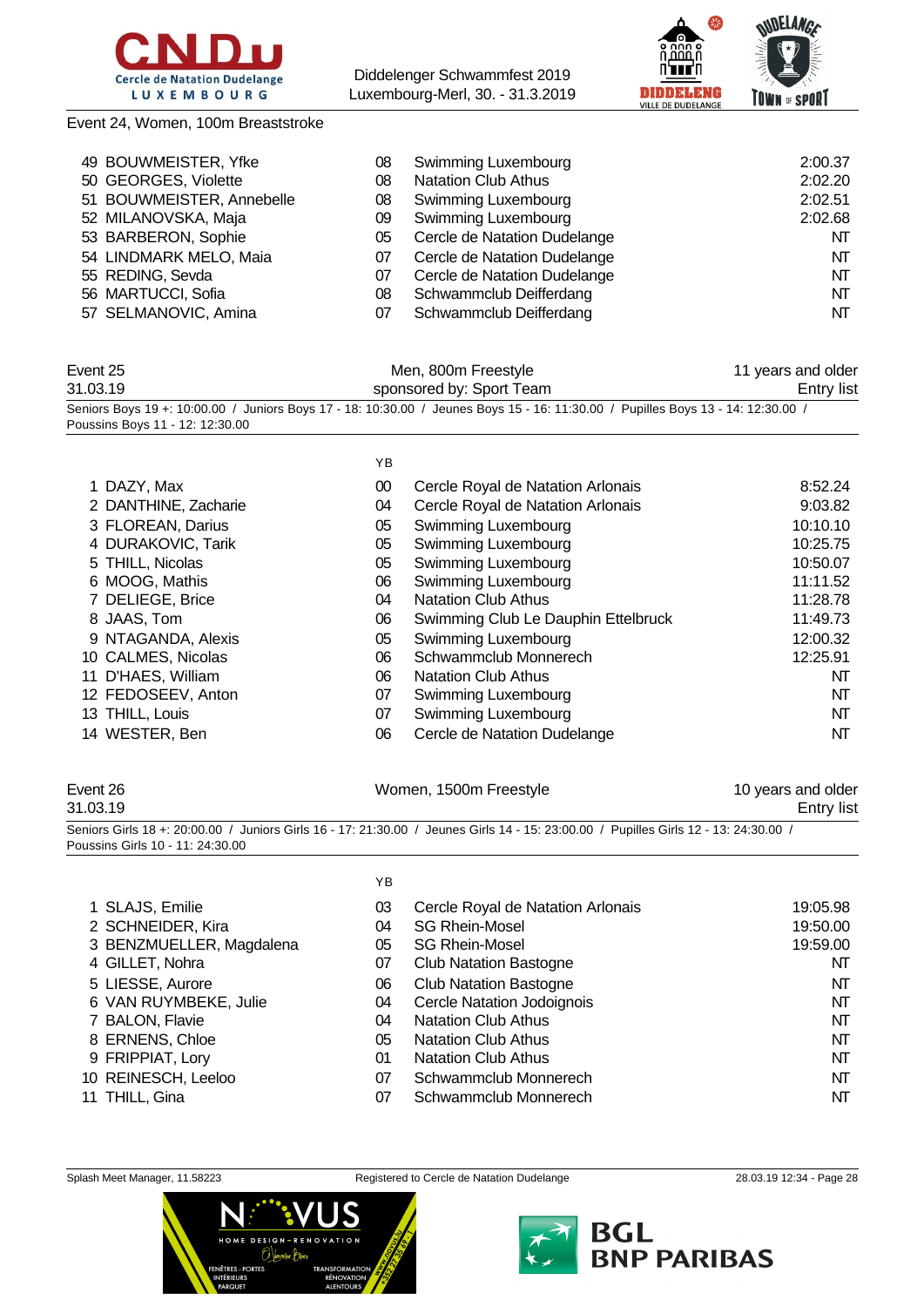

Event 24, Women, 100m Breaststroke

Diddelenger Schwammfest 2019 Luxembourg-Merl, 30. - 31.3.2019



| 49 BOUWMEISTER, Yfke      | 08 | <b>Swimming Luxembourg</b>   | 2:00.37 |
|---------------------------|----|------------------------------|---------|
| 50 GEORGES, Violette      | 08 | <b>Natation Club Athus</b>   | 2:02.20 |
| 51 BOUWMEISTER, Annebelle | 08 | <b>Swimming Luxembourg</b>   | 2:02.51 |
| 52 MILANOVSKA, Maja       | 09 | Swimming Luxembourg          | 2:02.68 |
| 53 BARBERON, Sophie       | 05 | Cercle de Natation Dudelange | NT      |
| 54 LINDMARK MELO, Maia    | 07 | Cercle de Natation Dudelange | NT      |
| 55 REDING, Sevda          | 07 | Cercle de Natation Dudelange | NT      |
| 56 MARTUCCI, Sofia        | 08 | Schwammclub Deifferdang      | NT      |
| 57 SELMANOVIC, Amina      | 07 | Schwammclub Deifferdang      | NT      |

| Event 25                        | Men, 800m Freestyle                                                                                                              | 11 years and older |
|---------------------------------|----------------------------------------------------------------------------------------------------------------------------------|--------------------|
| 31.03.19                        | sponsored by: Sport Team                                                                                                         | <b>Entry list</b>  |
|                                 | Seniors Boys 19 +: 10:00.00 / Juniors Boys 17 - 18: 10:30.00 / Jeunes Boys 15 - 16: 11:30.00 / Pupilles Boys 13 - 14: 12:30.00 / |                    |
| Poussins Boys 11 - 12: 12:30.00 |                                                                                                                                  |                    |

 $\sqrt{5}$ 

|                      | םז |                                     |          |
|----------------------|----|-------------------------------------|----------|
| 1 DAZY, Max          | 00 | Cercle Royal de Natation Arlonais   | 8:52.24  |
| 2 DANTHINE, Zacharie | 04 | Cercle Royal de Natation Arlonais   | 9:03.82  |
| 3 FLOREAN, Darius    | 05 | Swimming Luxembourg                 | 10:10.10 |
| 4 DURAKOVIC, Tarik   | 05 | Swimming Luxembourg                 | 10:25.75 |
| 5 THILL, Nicolas     | 05 | Swimming Luxembourg                 | 10:50.07 |
| 6 MOOG, Mathis       | 06 | Swimming Luxembourg                 | 11:11.52 |
| 7 DELIEGE, Brice     | 04 | <b>Natation Club Athus</b>          | 11:28.78 |
| 8 JAAS, Tom          | 06 | Swimming Club Le Dauphin Ettelbruck | 11:49.73 |
| 9 NTAGANDA, Alexis   | 05 | Swimming Luxembourg                 | 12:00.32 |
| 10 CALMES, Nicolas   | 06 | Schwammclub Monnerech               | 12:25.91 |
| 11 D'HAES, William   | 06 | <b>Natation Club Athus</b>          | NT       |
| 12 FEDOSEEV, Anton   | 07 | Swimming Luxembourg                 | NT       |
| 13 THILL, Louis      | 07 | Swimming Luxembourg                 | NT       |
| 14 WESTER, Ben       | 06 | Cercle de Natation Dudelange        | NT       |
|                      |    |                                     |          |

### Event 26 **Event 26** Women, 1500m Freestyle 10 years and older 31.03.19 Entry list Seniors Girls 18 +: 20:00.00 / Juniors Girls 16 - 17: 21:30.00 / Jeunes Girls 14 - 15: 23:00.00 / Pupilles Girls 12 - 13: 24:30.00 / Poussins Girls 10 - 11: 24:30.00

|                          | YΒ |                                   |          |
|--------------------------|----|-----------------------------------|----------|
| 1 SLAJS, Emilie          | 03 | Cercle Royal de Natation Arlonais | 19:05.98 |
| 2 SCHNEIDER, Kira        | 04 | <b>SG Rhein-Mosel</b>             | 19:50.00 |
| 3 BENZMUELLER, Magdalena | 05 | <b>SG Rhein-Mosel</b>             | 19:59.00 |
| 4 GILLET, Nohra          | 07 | <b>Club Natation Bastogne</b>     | NT       |
| 5 LIESSE, Aurore         | 06 | <b>Club Natation Bastogne</b>     | NΤ       |
| 6 VAN RUYMBEKE, Julie    | 04 | <b>Cercle Natation Jodoignois</b> | NΤ       |
| 7 BALON, Flavie          | 04 | <b>Natation Club Athus</b>        | NT       |
| 8 ERNENS, Chloe          | 05 | <b>Natation Club Athus</b>        | NΤ       |
| 9 FRIPPIAT, Lory         | 01 | <b>Natation Club Athus</b>        | NΤ       |
| 10 REINESCH, Leeloo      | 07 | Schwammclub Monnerech             | NΤ       |
| 11 THILL, Gina           | 07 | Schwammclub Monnerech             | NΤ       |



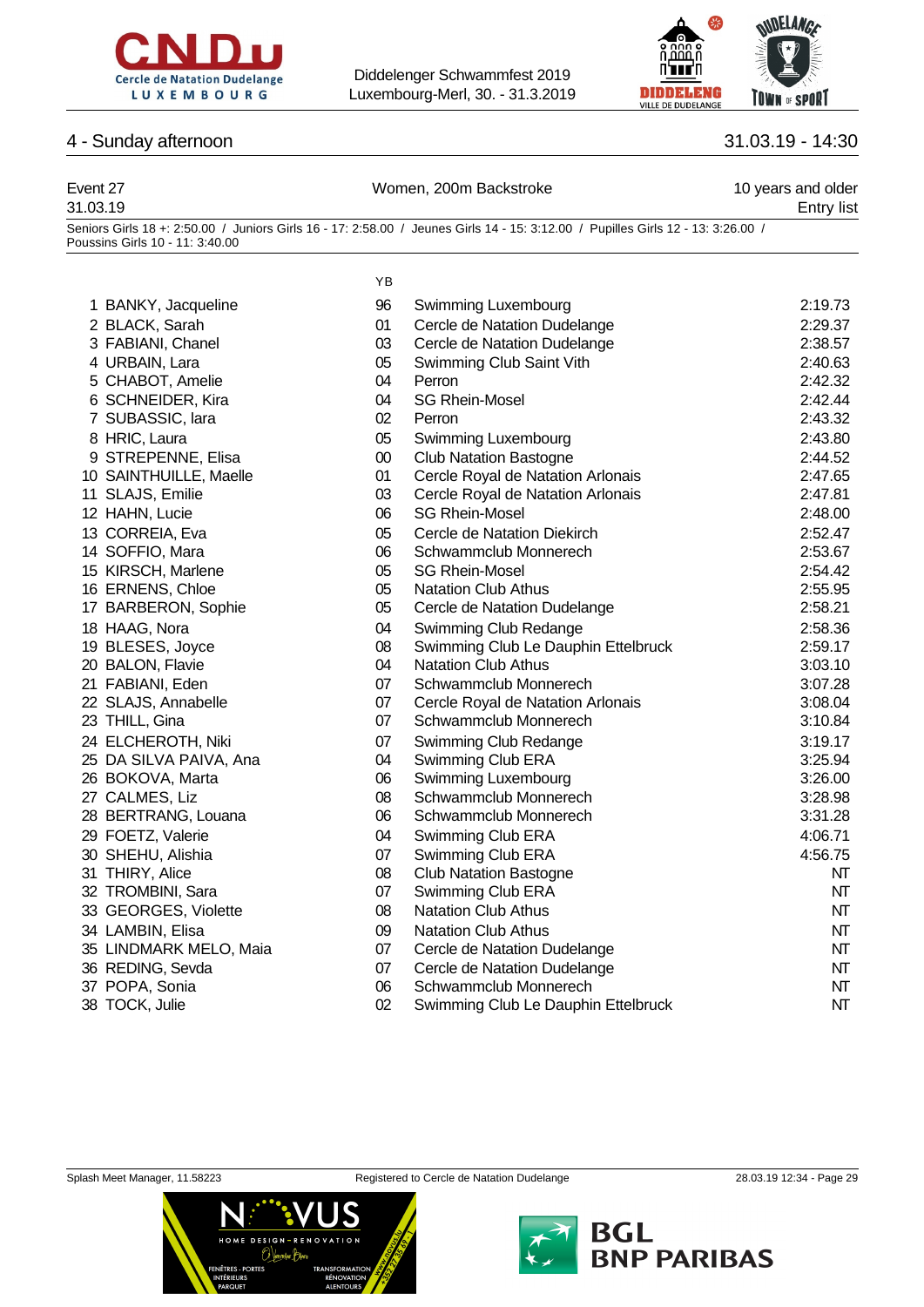



### 4 - Sunday afternoon 31.03.19 - 14:30

| Event 27<br>31.03.19 | Women, 200m Backstroke                                                                                                           | 10 years and older<br>Entry list |
|----------------------|----------------------------------------------------------------------------------------------------------------------------------|----------------------------------|
|                      | Seniors Girls 18 +: 2:50.00 / Juniors Girls 16 - 17: 2:58.00 / Jeunes Girls 14 - 15: 3:12.00 / Pupilles Girls 12 - 13: 3:26.00 / |                                  |

Poussins Girls 10 - 11: 3:40.00 2 BLACK, Sarah 3 FABIANI, Chanel 4 URBAIN, Lara 5 CHABOT, Amelie 6 SCHNEIDER, Kira 7 SUBASSIC, lara 8 HRIC, Laura 9 STREPENNE, Elisa 10 SAINTHUILLE, Maelle 11 SLAJS, Emilie 12 HAHN, Lucie 13 CORREIA, Eva 14 SOFFIO, Mara 15 KIRSCH, Marlene 16 ERNENS, Chloe 17 BARBERON, Sophie 18 HAAG, Nora 19 BLESES, Joyce 20 BALON, Flavie 21 FABIANI, Eden 22 SLAJS, Annabelle 23 THILL, Gina 24 ELCHEROTH, Niki 25 DA SILVA PAIVA, Ana 26 BOKOVA, Marta 27 CALMES, Liz 28 BERTRANG, Louana 29 FOETZ, Valerie 30 SHEHU, Alishia 31 THIRY, Alice

- 32 TROMBINI, Sara
- 33 GEORGES, Violette
- 34 LAMBIN, Elisa
- 35 LINDMARK MELO, Maia
- 36 REDING, Sevda
- 37 POPA, Sonia
- 38 TOCK, Julie

| 1 BANKY, Jacqueline    | 96     | Swimming Luxembourg                 | 2:19.73 |
|------------------------|--------|-------------------------------------|---------|
| 2 BLACK, Sarah         | 01     | Cercle de Natation Dudelange        | 2:29.37 |
| 3 FABIANI, Chanel      | 03     | Cercle de Natation Dudelange        | 2:38.57 |
| 4 URBAIN, Lara         | 05     | Swimming Club Saint Vith            | 2:40.63 |
| 5 CHABOT, Amelie       | 04     | Perron                              | 2:42.32 |
| 6 SCHNEIDER, Kira      | 04     | <b>SG Rhein-Mosel</b>               | 2:42.44 |
| 7 SUBASSIC, lara       | 02     | Perron                              | 2:43.32 |
| 8 HRIC, Laura          | 05     | Swimming Luxembourg                 | 2:43.80 |
| 9 STREPENNE, Elisa     | $00\,$ | <b>Club Natation Bastogne</b>       | 2:44.52 |
| 0 SAINTHUILLE, Maelle  | 01     | Cercle Royal de Natation Arlonais   | 2:47.65 |
| 1 SLAJS, Emilie        | 03     | Cercle Royal de Natation Arlonais   | 2:47.81 |
| 2 HAHN, Lucie          | 06     | <b>SG Rhein-Mosel</b>               | 2:48.00 |
| 3 CORREIA, Eva         | 05     | Cercle de Natation Diekirch         | 2:52.47 |
| 4 SOFFIO, Mara         | 06     | Schwammclub Monnerech               | 2:53.67 |
| 5 KIRSCH, Marlene      | 05     | <b>SG Rhein-Mosel</b>               | 2:54.42 |
| 6 ERNENS, Chloe        | 05     | <b>Natation Club Athus</b>          | 2:55.95 |
| 7 BARBERON, Sophie     | 05     | Cercle de Natation Dudelange        | 2:58.21 |
| 8 HAAG, Nora           | 04     | Swimming Club Redange               | 2:58.36 |
| 9 BLESES, Joyce        | 08     | Swimming Club Le Dauphin Ettelbruck | 2:59.17 |
| 20 BALON, Flavie       | 04     | <b>Natation Club Athus</b>          | 3:03.10 |
| 1 FABIANI, Eden        | 07     | Schwammclub Monnerech               | 3:07.28 |
| 2 SLAJS, Annabelle     | 07     | Cercle Royal de Natation Arlonais   | 3:08.04 |
| 23 THILL, Gina         | 07     | Schwammclub Monnerech               | 3:10.84 |
| 24 ELCHEROTH, Niki     | 07     | Swimming Club Redange               | 3:19.17 |
| 25 DA SILVA PAIVA, Ana | 04     | Swimming Club ERA                   | 3:25.94 |
| <b>6 BOKOVA, Marta</b> | 06     | Swimming Luxembourg                 | 3:26.00 |
| ?7 CALMES, Liz         | 08     | Schwammclub Monnerech               | 3:28.98 |
| 28 BERTRANG, Louana    | 06     | Schwammclub Monnerech               | 3:31.28 |
| 9 FOETZ, Valerie       | 04     | Swimming Club ERA                   | 4:06.71 |
| 80 SHEHU, Alishia      | 07     | Swimming Club ERA                   | 4:56.75 |
| 31 THIRY, Alice        | 08     | <b>Club Natation Bastogne</b>       | NT      |
| 32 TROMBINI, Sara      | 07     | Swimming Club ERA                   | NT      |
| 33 GEORGES, Violette   | 08     | <b>Natation Club Athus</b>          | NT      |
| 34 LAMBIN, Elisa       | 09     | <b>Natation Club Athus</b>          | NT      |
| 85 LINDMARK MELO, Maia | 07     | Cercle de Natation Dudelange        | NT      |
| 86 REDING, Sevda       | 07     | Cercle de Natation Dudelange        | NT      |
| 37 POPA, Sonia         | 06     | Schwammclub Monnerech               | NT      |
| 88 TOCK, Julie         | 02     | Swimming Club Le Dauphin Ettelbruck | NT      |





YB

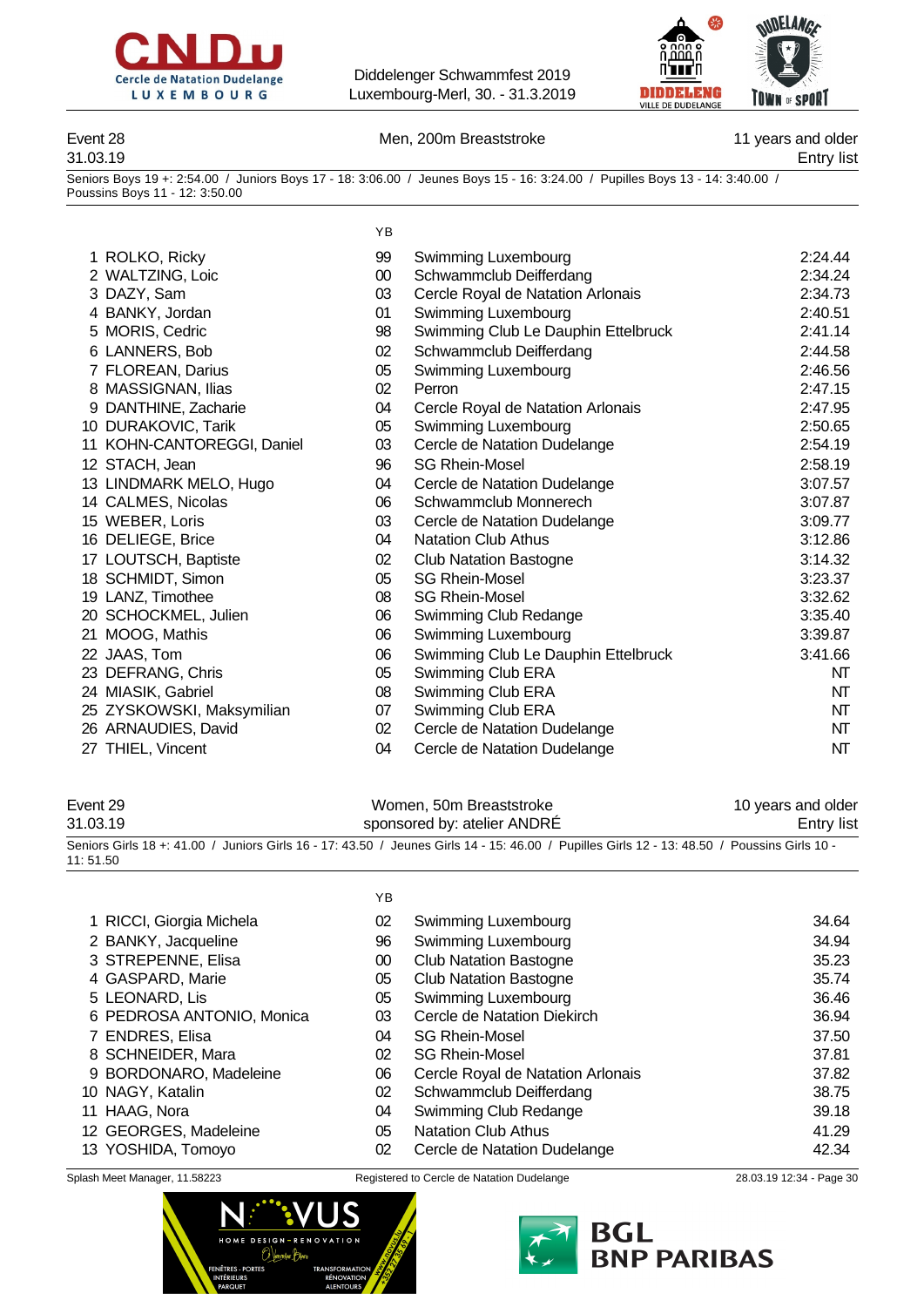



### Event 28 **Men, 200m Breaststroke** 11 years and older

31.03.19 Entry list

Seniors Boys 19 +: 2:54.00 / Juniors Boys 17 - 18: 3:06.00 / Jeunes Boys 15 - 16: 3:24.00 / Pupilles Boys 13 - 14: 3:40.00 / Poussins Boys 11 - 12: 3:50.00

|                            | YB     |                                     |         |
|----------------------------|--------|-------------------------------------|---------|
| 1 ROLKO, Ricky             | 99     | Swimming Luxembourg                 | 2:24.44 |
| 2 WALTZING, Loic           | $00\,$ | Schwammclub Deifferdang             | 2:34.24 |
| 3 DAZY, Sam                | 03     | Cercle Royal de Natation Arlonais   | 2:34.73 |
| 4 BANKY, Jordan            | 01     | Swimming Luxembourg                 | 2:40.51 |
| 5 MORIS, Cedric            | 98     | Swimming Club Le Dauphin Ettelbruck | 2:41.14 |
| 6 LANNERS, Bob             | 02     | Schwammclub Deifferdang             | 2:44.58 |
| 7 FLOREAN, Darius          | 05     | Swimming Luxembourg                 | 2:46.56 |
| 8 MASSIGNAN, Ilias         | 02     | Perron                              | 2:47.15 |
| 9 DANTHINE, Zacharie       | 04     | Cercle Royal de Natation Arlonais   | 2:47.95 |
| 10 DURAKOVIC, Tarik        | 05     | Swimming Luxembourg                 | 2:50.65 |
| 11 KOHN-CANTOREGGI, Daniel | 03     | Cercle de Natation Dudelange        | 2:54.19 |
| 12 STACH, Jean             | 96     | <b>SG Rhein-Mosel</b>               | 2:58.19 |
| 13 LINDMARK MELO, Hugo     | 04     | Cercle de Natation Dudelange        | 3:07.57 |
| 14 CALMES, Nicolas         | 06     | Schwammclub Monnerech               | 3:07.87 |
| 15 WEBER, Loris            | 03     | Cercle de Natation Dudelange        | 3:09.77 |
| 16 DELIEGE, Brice          | 04     | <b>Natation Club Athus</b>          | 3:12.86 |
| 17 LOUTSCH, Baptiste       | 02     | <b>Club Natation Bastogne</b>       | 3:14.32 |
| 18 SCHMIDT, Simon          | 05     | <b>SG Rhein-Mosel</b>               | 3:23.37 |
| 19 LANZ, Timothee          | 08     | <b>SG Rhein-Mosel</b>               | 3:32.62 |
| 20 SCHOCKMEL, Julien       | 06     | Swimming Club Redange               | 3:35.40 |
| MOOG, Mathis<br>21.        | 06     | Swimming Luxembourg                 | 3:39.87 |
| 22 JAAS, Tom               | 06     | Swimming Club Le Dauphin Ettelbruck | 3:41.66 |
| 23 DEFRANG, Chris          | 05     | Swimming Club ERA                   | NT      |
| 24 MIASIK, Gabriel         | 08     | Swimming Club ERA                   | NT      |
| 25 ZYSKOWSKI, Maksymilian  | 07     | Swimming Club ERA                   | NT      |
| 26 ARNAUDIES, David        | 02     | Cercle de Natation Dudelange        | NT      |
| 27 THIEL, Vincent          | 04     | Cercle de Natation Dudelange        | NT      |

| Event 29 | Women, 50m Breaststroke                                                                                                                      | 10 years and older |
|----------|----------------------------------------------------------------------------------------------------------------------------------------------|--------------------|
| 31.03.19 | sponsored by: atelier ANDRE                                                                                                                  | Entry list         |
|          | Seniors Girls 18 +: 41.00 / Juniors Girls 16 - 17: 43.50 / Jeunes Girls 14 - 15: 46.00 / Pupilles Girls 12 - 13: 48.50 / Poussins Girls 10 - |                    |

YB RICCI, Giorgia Michela 02 Swimming Luxembourg 34.64 BANKY, Jacqueline 96 Swimming Luxembourg 34.94 STREPENNE, Elisa 00 Club Natation Bastogne 35.23 GASPARD, Marie 05 Club Natation Bastogne 35.74 LEONARD, Lis 05 Swimming Luxembourg 36.46 PEDROSA ANTONIO, Monica 03 Cercle de Natation Diekirch 36.94 ENDRES, Elisa 04 SG Rhein-Mosel 37.50 SCHNEIDER, Mara 02 SG Rhein-Mosel 37.81 BORDONARO, Madeleine 06 Cercle Royal de Natation Arlonais 37.82 NAGY, Katalin 02 Schwammclub Deifferdang 38.75 HAAG, Nora 04 Swimming Club Redange 39.18 GEORGES, Madeleine 05 Natation Club Athus 41.29 YOSHIDA, Tomoyo 02 Cercle de Natation Dudelange 42.34

11: 51.50



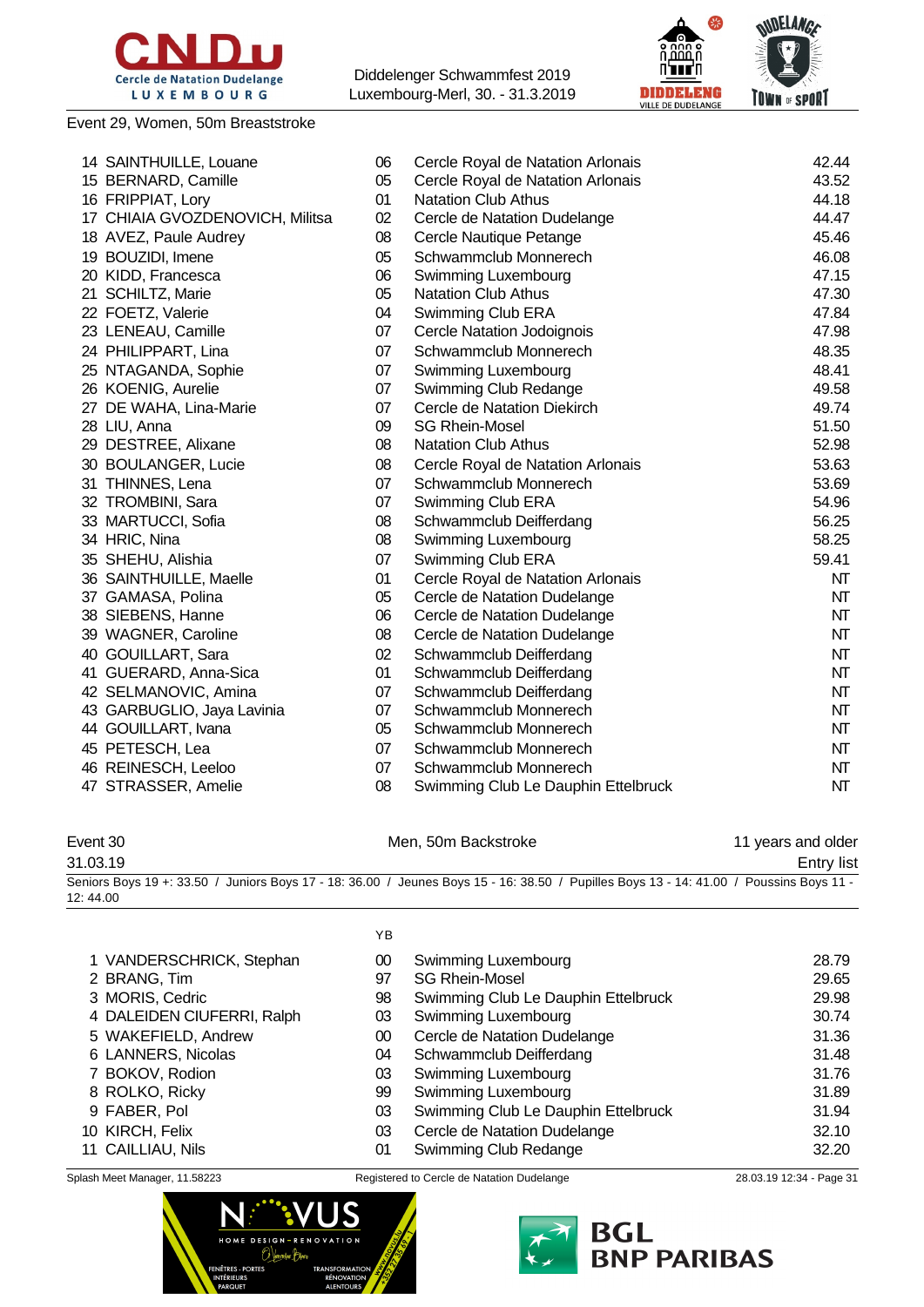

Event 29, Women, 50m Breaststroke

Diddelenger Schwammfest 2019 Luxembourg-Merl, 30. - 31.3.2019



| 14 SAINTHUILLE, Louane          | 06 | Cercle Royal de Natation Arlonais   | 42.44 |
|---------------------------------|----|-------------------------------------|-------|
| 15 BERNARD, Camille             | 05 | Cercle Royal de Natation Arlonais   | 43.52 |
| 16 FRIPPIAT, Lory               | 01 | <b>Natation Club Athus</b>          | 44.18 |
| 17 CHIAIA GVOZDENOVICH, Militsa | 02 | Cercle de Natation Dudelange        | 44.47 |
| 18 AVEZ, Paule Audrey           | 08 | Cercle Nautique Petange             | 45.46 |
| 19 BOUZIDI, Imene               | 05 | Schwammclub Monnerech               | 46.08 |
| 20 KIDD, Francesca              | 06 | Swimming Luxembourg                 | 47.15 |
| 21 SCHILTZ, Marie               | 05 | <b>Natation Club Athus</b>          | 47.30 |
| 22 FOETZ, Valerie               | 04 | Swimming Club ERA                   | 47.84 |
| 23 LENEAU, Camille              | 07 | Cercle Natation Jodoignois          | 47.98 |
| 24 PHILIPPART, Lina             | 07 | Schwammclub Monnerech               | 48.35 |
| 25 NTAGANDA, Sophie             | 07 | Swimming Luxembourg                 | 48.41 |
| 26 KOENIG, Aurelie              | 07 | Swimming Club Redange               | 49.58 |
| 27 DE WAHA, Lina-Marie          | 07 | Cercle de Natation Diekirch         | 49.74 |
| 28 LIU, Anna                    | 09 | <b>SG Rhein-Mosel</b>               | 51.50 |
| 29 DESTREE, Alixane             | 08 | <b>Natation Club Athus</b>          | 52.98 |
| 30 BOULANGER, Lucie             | 08 | Cercle Royal de Natation Arlonais   | 53.63 |
| 31 THINNES, Lena                | 07 | Schwammclub Monnerech               | 53.69 |
| 32 TROMBINI, Sara               | 07 | Swimming Club ERA                   | 54.96 |
| 33 MARTUCCI, Sofia              | 08 | Schwammclub Deifferdang             | 56.25 |
| 34 HRIC, Nina                   | 08 | Swimming Luxembourg                 | 58.25 |
| 35 SHEHU, Alishia               | 07 | Swimming Club ERA                   | 59.41 |
| 36 SAINTHUILLE, Maelle          | 01 | Cercle Royal de Natation Arlonais   | NΤ    |
| 37 GAMASA, Polina               | 05 | Cercle de Natation Dudelange        | NT    |
| 38 SIEBENS, Hanne               | 06 | Cercle de Natation Dudelange        | NT    |
| 39 WAGNER, Caroline             | 08 | Cercle de Natation Dudelange        | NT    |
| 40 GOUILLART, Sara              | 02 | Schwammclub Deifferdang             | NT    |
| 41 GUERARD, Anna-Sica           | 01 | Schwammclub Deifferdang             | NT    |
| 42 SELMANOVIC, Amina            | 07 | Schwammclub Deifferdang             | NT    |
| 43 GARBUGLIO, Jaya Lavinia      | 07 | Schwammclub Monnerech               | NT    |
| 44 GOUILLART, Ivana             | 05 | Schwammclub Monnerech               | NT    |
| 45 PETESCH, Lea                 | 07 | Schwammclub Monnerech               | NT    |
| 46 REINESCH, Leeloo             | 07 | Schwammclub Monnerech               | NT    |
| 47 STRASSER, Amelie             | 08 | Swimming Club Le Dauphin Ettelbruck | NΤ    |

Event 30 **Men**, 50m Backstroke 11 years and older

31.03.19 Entry list Seniors Boys 19 +: 33.50 / Juniors Boys 17 - 18: 36.00 / Jeunes Boys 15 - 16: 38.50 / Pupilles Boys 13 - 14: 41.00 / Poussins Boys 11 - 12: 44.00

YB

| 1 VANDERSCHRICK, Stephan   | 00 | Swimming Luxembourg                 | 28.79 |
|----------------------------|----|-------------------------------------|-------|
| 2 BRANG, Tim               | 97 | <b>SG Rhein-Mosel</b>               | 29.65 |
| 3 MORIS, Cedric            | 98 | Swimming Club Le Dauphin Ettelbruck | 29.98 |
| 4 DALEIDEN CIUFERRI, Ralph | 03 | Swimming Luxembourg                 | 30.74 |
| 5 WAKEFIELD, Andrew        | 00 | Cercle de Natation Dudelange        | 31.36 |
| 6 LANNERS, Nicolas         | 04 | Schwammclub Deifferdang             | 31.48 |
| 7 BOKOV, Rodion            | 03 | Swimming Luxembourg                 | 31.76 |
| 8 ROLKO, Ricky             | 99 | Swimming Luxembourg                 | 31.89 |
| 9 FABER, Pol               | 03 | Swimming Club Le Dauphin Ettelbruck | 31.94 |
| 10 KIRCH, Felix            | 03 | Cercle de Natation Dudelange        | 32.10 |
| 11 CAILLIAU, Nils          | 01 | Swimming Club Redange               | 32.20 |
|                            |    |                                     |       |



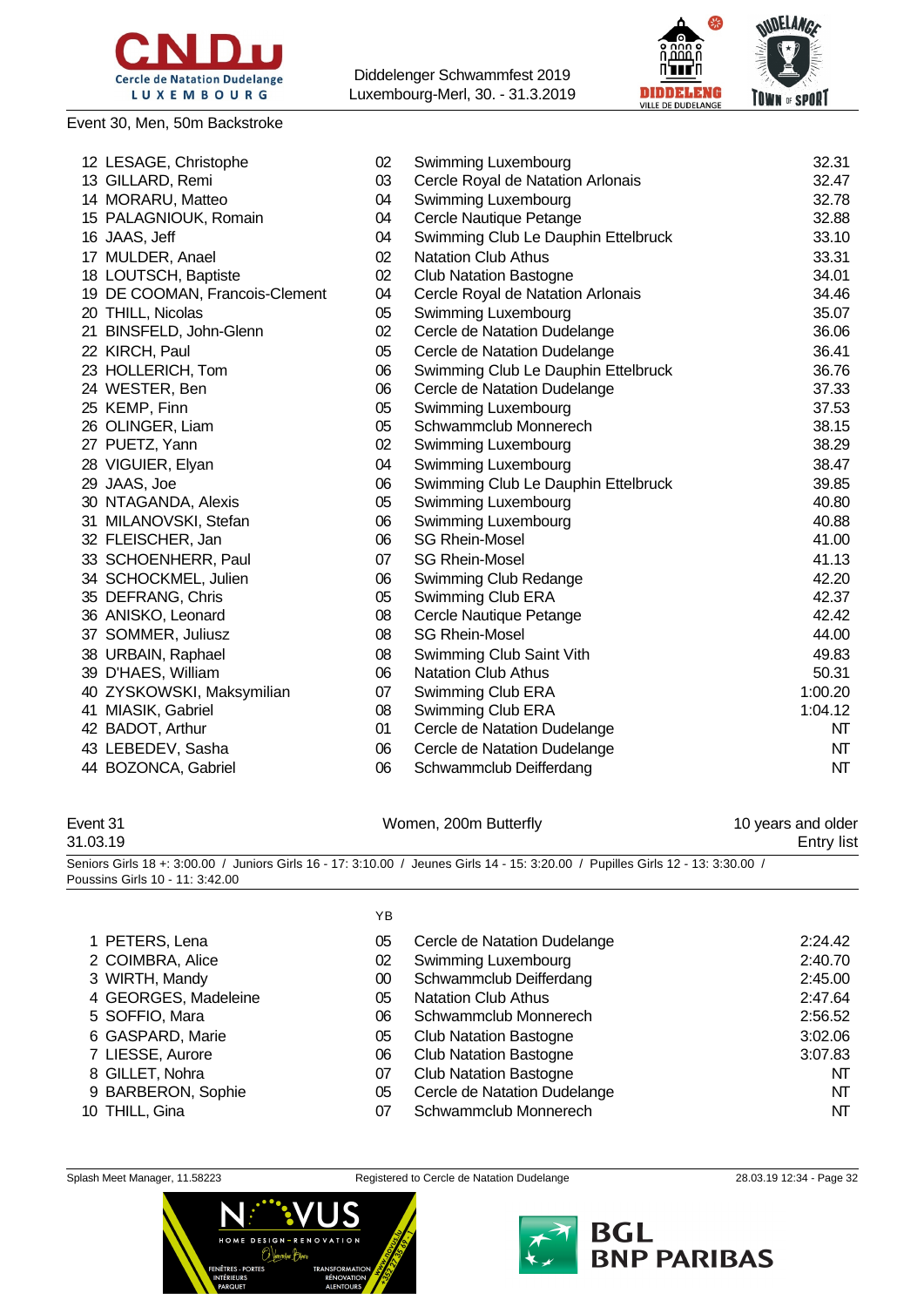

#### Event 30, Men, 50m Backstroke

Diddelenger Schwammfest 2019 Luxembourg-Merl, 30. - 31.3.2019



| 12 LESAGE, Christophe          | 02 | Swimming Luxembourg                 | 32.31   |
|--------------------------------|----|-------------------------------------|---------|
| 13 GILLARD, Remi               | 03 | Cercle Royal de Natation Arlonais   | 32.47   |
| 14 MORARU, Matteo              | 04 | Swimming Luxembourg                 | 32.78   |
| 15 PALAGNIOUK, Romain          | 04 | Cercle Nautique Petange             | 32.88   |
| 16 JAAS, Jeff                  | 04 | Swimming Club Le Dauphin Ettelbruck | 33.10   |
| 17 MULDER, Anael               | 02 | <b>Natation Club Athus</b>          | 33.31   |
| 18 LOUTSCH, Baptiste           | 02 | <b>Club Natation Bastogne</b>       | 34.01   |
| 19 DE COOMAN, Francois-Clement | 04 | Cercle Royal de Natation Arlonais   | 34.46   |
| 20 THILL, Nicolas              | 05 | Swimming Luxembourg                 | 35.07   |
| 21 BINSFELD, John-Glenn        | 02 | Cercle de Natation Dudelange        | 36.06   |
| 22 KIRCH, Paul                 | 05 | Cercle de Natation Dudelange        | 36.41   |
| 23 HOLLERICH, Tom              | 06 | Swimming Club Le Dauphin Ettelbruck | 36.76   |
| 24 WESTER, Ben                 | 06 | Cercle de Natation Dudelange        | 37.33   |
| 25 KEMP, Finn                  | 05 | Swimming Luxembourg                 | 37.53   |
| 26 OLINGER, Liam               | 05 | Schwammclub Monnerech               | 38.15   |
| 27 PUETZ, Yann                 | 02 | Swimming Luxembourg                 | 38.29   |
| 28 VIGUIER, Elyan              | 04 | Swimming Luxembourg                 | 38.47   |
| 29 JAAS, Joe                   | 06 | Swimming Club Le Dauphin Ettelbruck | 39.85   |
| 30 NTAGANDA, Alexis            | 05 | Swimming Luxembourg                 | 40.80   |
| 31 MILANOVSKI, Stefan          | 06 | Swimming Luxembourg                 | 40.88   |
| 32 FLEISCHER, Jan              | 06 | <b>SG Rhein-Mosel</b>               | 41.00   |
| 33 SCHOENHERR, Paul            | 07 | <b>SG Rhein-Mosel</b>               | 41.13   |
| 34 SCHOCKMEL, Julien           | 06 | Swimming Club Redange               | 42.20   |
| 35 DEFRANG, Chris              | 05 | Swimming Club ERA                   | 42.37   |
| 36 ANISKO, Leonard             | 08 | Cercle Nautique Petange             | 42.42   |
| 37 SOMMER, Juliusz             | 08 | <b>SG Rhein-Mosel</b>               | 44.00   |
| 38 URBAIN, Raphael             | 08 | Swimming Club Saint Vith            | 49.83   |
| 39 D'HAES, William             | 06 | Natation Club Athus                 | 50.31   |
| 40 ZYSKOWSKI, Maksymilian      | 07 | Swimming Club ERA                   | 1:00.20 |
| 41 MIASIK, Gabriel             | 08 | Swimming Club ERA                   | 1:04.12 |
| 42 BADOT, Arthur               | 01 | Cercle de Natation Dudelange        | NΤ      |
| 43 LEBEDEV, Sasha              | 06 | Cercle de Natation Dudelange        | NT      |
| 44 BOZONCA, Gabriel            | 06 | Schwammclub Deifferdang             | NT      |

### Event 31 North 200m Butterfly 10

| Event 31 | Women, 200m Butterfly | 10 years and older |
|----------|-----------------------|--------------------|
| 31.03.19 |                       | Entry list         |

Seniors Girls 18 +: 3:00.00 / Juniors Girls 16 - 17: 3:10.00 / Jeunes Girls 14 - 15: 3:20.00 / Pupilles Girls 12 - 13: 3:30.00 / Poussins Girls 10 - 11: 3:42.00

 $\sqrt{5}$ 

|                      | 1 D |                               |         |
|----------------------|-----|-------------------------------|---------|
| 1 PETERS, Lena       | 05  | Cercle de Natation Dudelange  | 2:24.42 |
| 2 COIMBRA, Alice     | 02  | Swimming Luxembourg           | 2:40.70 |
| 3 WIRTH, Mandy       | 00  | Schwammclub Deifferdang       | 2:45.00 |
| 4 GEORGES, Madeleine | 05  | <b>Natation Club Athus</b>    | 2:47.64 |
| 5 SOFFIO, Mara       | 06  | Schwammclub Monnerech         | 2:56.52 |
| 6 GASPARD, Marie     | 05  | <b>Club Natation Bastogne</b> | 3:02.06 |
| 7 LIESSE, Aurore     | 06  | <b>Club Natation Bastogne</b> | 3:07.83 |
| 8 GILLET, Nohra      | 07  | <b>Club Natation Bastogne</b> | NT      |
| 9 BARBERON, Sophie   | 05  | Cercle de Natation Dudelange  | NΤ      |
| 10 THILL, Gina       | 07  | Schwammclub Monnerech         | NΤ      |
|                      |     |                               |         |



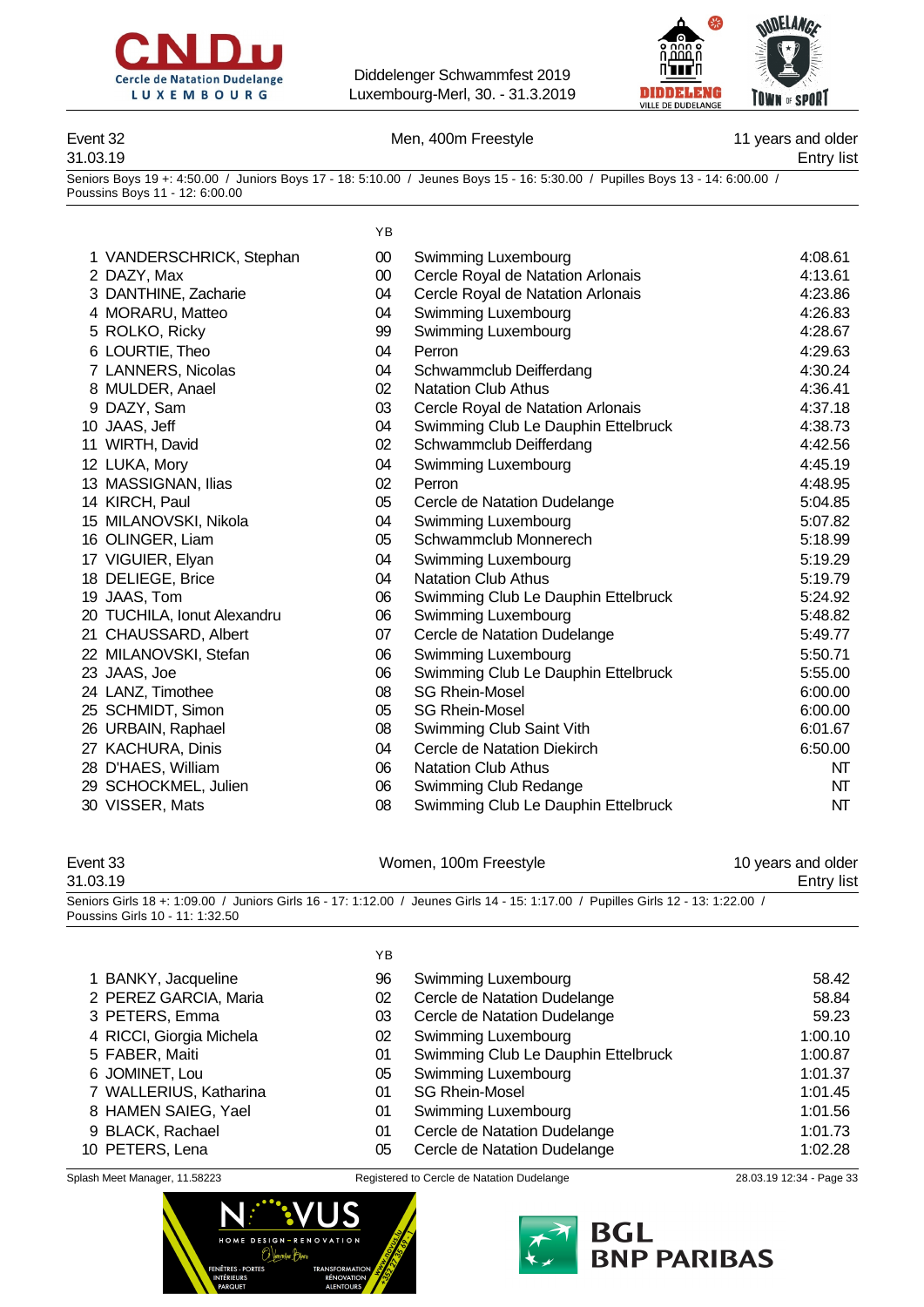



Event 32 Men, 400m Freestyle 11 years and older 31.03.19 Entry list

Seniors Boys 19 +: 4:50.00 / Juniors Boys 17 - 18: 5:10.00 / Jeunes Boys 15 - 16: 5:30.00 / Pupilles Boys 13 - 14: 6:00.00 / Poussins Boys 11 - 12: 6:00.00

YB

| 1 VANDERSCHRICK, Stephan    | $00\,$ | Swimming Luxembourg                 | 4:08.61 |
|-----------------------------|--------|-------------------------------------|---------|
| 2 DAZY, Max                 | $00\,$ | Cercle Royal de Natation Arlonais   | 4:13.61 |
| 3 DANTHINE, Zacharie        | 04     | Cercle Royal de Natation Arlonais   | 4:23.86 |
| 4 MORARU, Matteo            | 04     | Swimming Luxembourg                 | 4:26.83 |
| 5 ROLKO, Ricky              | 99     | Swimming Luxembourg                 | 4:28.67 |
| 6 LOURTIE, Theo             | 04     | Perron                              | 4:29.63 |
| 7 LANNERS, Nicolas          | 04     | Schwammclub Deifferdang             | 4:30.24 |
| 8 MULDER, Anael             | 02     | <b>Natation Club Athus</b>          | 4:36.41 |
| 9 DAZY, Sam                 | 03     | Cercle Royal de Natation Arlonais   | 4:37.18 |
| 10 JAAS, Jeff               | 04     | Swimming Club Le Dauphin Ettelbruck | 4:38.73 |
| 11 WIRTH, David             | 02     | Schwammclub Deifferdang             | 4:42.56 |
| 12 LUKA, Mory               | 04     | Swimming Luxembourg                 | 4:45.19 |
| 13 MASSIGNAN, Ilias         | 02     | Perron                              | 4:48.95 |
| 14 KIRCH, Paul              | 05     | Cercle de Natation Dudelange        | 5:04.85 |
| 15 MILANOVSKI, Nikola       | 04     | Swimming Luxembourg                 | 5:07.82 |
| 16 OLINGER, Liam            | 05     | Schwammclub Monnerech               | 5:18.99 |
| 17 VIGUIER, Elyan           | 04     | Swimming Luxembourg                 | 5:19.29 |
| 18 DELIEGE, Brice           | 04     | <b>Natation Club Athus</b>          | 5:19.79 |
| 19 JAAS, Tom                | 06     | Swimming Club Le Dauphin Ettelbruck | 5:24.92 |
| 20 TUCHILA, Ionut Alexandru | 06     | Swimming Luxembourg                 | 5:48.82 |
| 21 CHAUSSARD, Albert        | 07     | Cercle de Natation Dudelange        | 5:49.77 |
| 22 MILANOVSKI, Stefan       | 06     | Swimming Luxembourg                 | 5:50.71 |
| 23 JAAS, Joe                | 06     | Swimming Club Le Dauphin Ettelbruck | 5:55.00 |
| 24 LANZ, Timothee           | 08     | <b>SG Rhein-Mosel</b>               | 6:00.00 |
| 25 SCHMIDT, Simon           | 05     | <b>SG Rhein-Mosel</b>               | 6:00.00 |
| 26 URBAIN, Raphael          | 08     | Swimming Club Saint Vith            | 6:01.67 |
| 27 KACHURA, Dinis           | 04     | Cercle de Natation Diekirch         | 6:50.00 |
| 28 D'HAES, William          | 06     | <b>Natation Club Athus</b>          | NT      |
| 29 SCHOCKMEL, Julien        | 06     | Swimming Club Redange               | NT      |
| 30 VISSER, Mats             | 08     | Swimming Club Le Dauphin Ettelbruck | NT      |
|                             |        |                                     |         |

#### Event 33 **Event 33** Nomen, 100m Freestyle 10 years and older 31.03.19 Entry list Seniors Girls 18 +: 1:09.00 / Juniors Girls 16 - 17: 1:12.00 / Jeunes Girls 14 - 15: 1:17.00 / Pupilles Girls 12 - 13: 1:22.00 / Poussins Girls 10 - 11: 1:32.50

YB BANKY, Jacqueline 96 Swimming Luxembourg 58.42 PEREZ GARCIA, Maria 02 Cercle de Natation Dudelange 58.84 PETERS, Emma 03 Cercle de Natation Dudelange 59.23 RICCI, Giorgia Michela 02 Swimming Luxembourg 1:00.10 01 Swimming Club Le Dauphin Ettelbruck 1:00.87 JOMINET, Lou 05 Swimming Luxembourg 1:01.37 WALLERIUS, Katharina 01 SG Rhein-Mosel 1:01.45 8 HAMEN SAIEG, Yael **01** Swimming Luxembourg **1:01.56**  BLACK, Rachael 01 Cercle de Natation Dudelange 1:01.73 PETERS, Lena 05 Cercle de Natation Dudelange 1:02.28



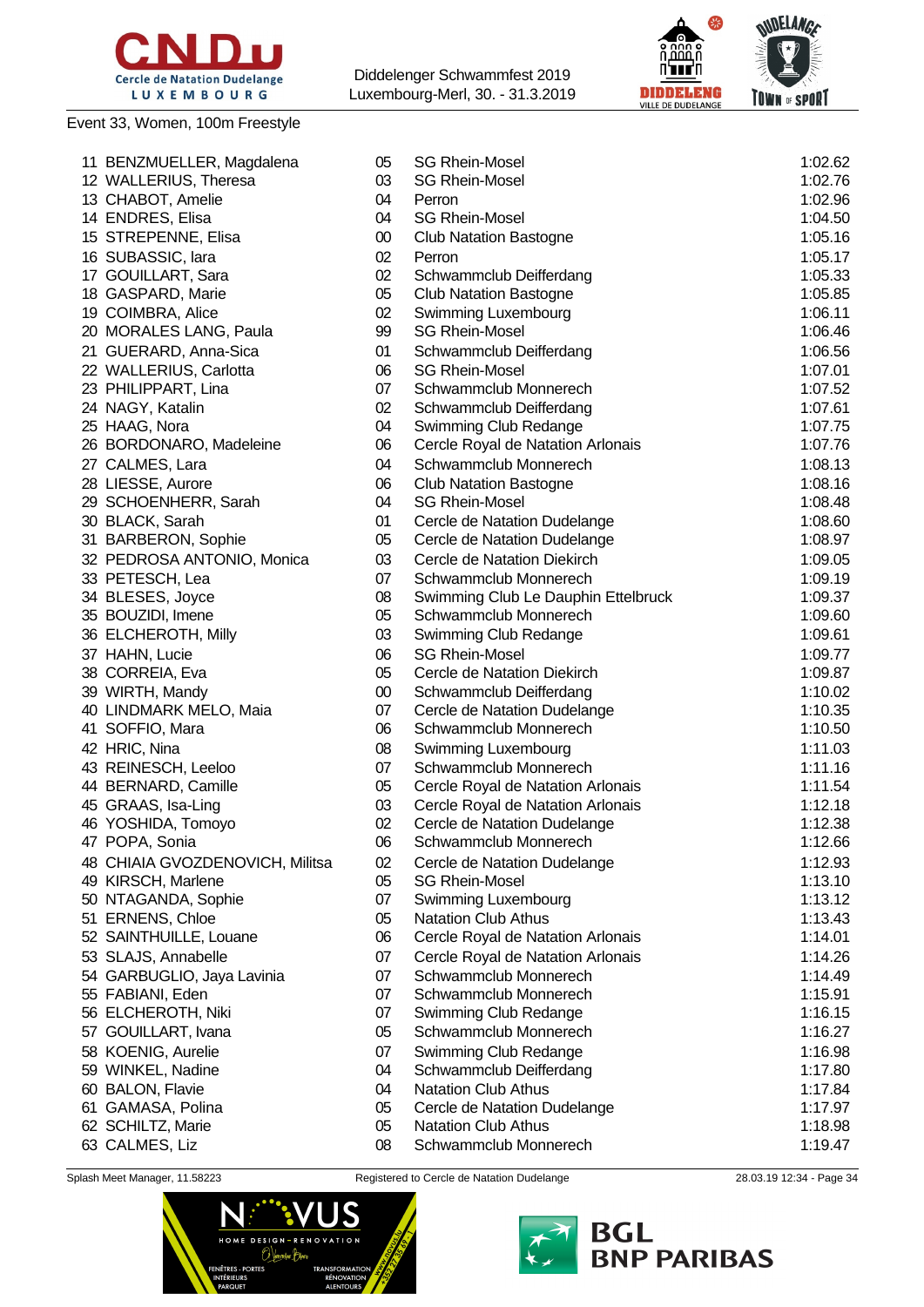

#### Event 33, Women, 100m Freestyle

Diddelenger Schwammfest 2019 Luxembourg-Merl, 30. - 31.3.2019





| 11 BENZMUELLER, Magdalena       | 05     | <b>SG Rhein-Mosel</b>               | 1:02.62 |
|---------------------------------|--------|-------------------------------------|---------|
| 12 WALLERIUS, Theresa           | 03     | <b>SG Rhein-Mosel</b>               | 1:02.76 |
| 13 CHABOT, Amelie               | 04     | Perron                              | 1:02.96 |
| 14 ENDRES, Elisa                | 04     | <b>SG Rhein-Mosel</b>               | 1:04.50 |
| 15 STREPENNE, Elisa             | 00     | <b>Club Natation Bastogne</b>       | 1:05.16 |
| 16 SUBASSIC, lara               | 02     | Perron                              | 1:05.17 |
| 17 GOUILLART, Sara              | 02     | Schwammclub Deifferdang             | 1:05.33 |
| 18 GASPARD, Marie               | 05     | <b>Club Natation Bastogne</b>       | 1:05.85 |
| 19 COIMBRA, Alice               | 02     | Swimming Luxembourg                 | 1:06.11 |
| 20 MORALES LANG, Paula          | 99     | <b>SG Rhein-Mosel</b>               | 1:06.46 |
| 21 GUERARD, Anna-Sica           | 01     | Schwammclub Deifferdang             | 1:06.56 |
| 22 WALLERIUS, Carlotta          | 06     | <b>SG Rhein-Mosel</b>               | 1:07.01 |
| 23 PHILIPPART, Lina             | 07     | Schwammclub Monnerech               | 1:07.52 |
| 24 NAGY, Katalin                | 02     | Schwammclub Deifferdang             | 1:07.61 |
| 25 HAAG, Nora                   | 04     | Swimming Club Redange               | 1:07.75 |
| 26 BORDONARO, Madeleine         | 06     | Cercle Royal de Natation Arlonais   | 1:07.76 |
| 27 CALMES, Lara                 | 04     | Schwammclub Monnerech               | 1:08.13 |
| 28 LIESSE, Aurore               | 06     | <b>Club Natation Bastogne</b>       | 1:08.16 |
| 29 SCHOENHERR, Sarah            | 04     | <b>SG Rhein-Mosel</b>               | 1:08.48 |
| 30 BLACK, Sarah                 | 01     | Cercle de Natation Dudelange        | 1:08.60 |
| 31 BARBERON, Sophie             | 05     | Cercle de Natation Dudelange        | 1:08.97 |
| 32 PEDROSA ANTONIO, Monica      | 03     | Cercle de Natation Diekirch         | 1:09.05 |
| 33 PETESCH, Lea                 | 07     | Schwammclub Monnerech               | 1:09.19 |
|                                 | 08     |                                     | 1:09.37 |
| 34 BLESES, Joyce                | 05     | Swimming Club Le Dauphin Ettelbruck |         |
| 35 BOUZIDI, Imene               | 03     | Schwammclub Monnerech               | 1:09.60 |
| 36 ELCHEROTH, Milly             |        | Swimming Club Redange               | 1:09.61 |
| 37 HAHN, Lucie                  | 06     | <b>SG Rhein-Mosel</b>               | 1:09.77 |
| 38 CORREIA, Eva                 | 05     | Cercle de Natation Diekirch         | 1:09.87 |
| 39 WIRTH, Mandy                 | $00\,$ | Schwammclub Deifferdang             | 1:10.02 |
| 40 LINDMARK MELO, Maia          | 07     | Cercle de Natation Dudelange        | 1:10.35 |
| 41 SOFFIO, Mara                 | 06     | Schwammclub Monnerech               | 1:10.50 |
| 42 HRIC, Nina                   | 08     | Swimming Luxembourg                 | 1:11.03 |
| 43 REINESCH, Leeloo             | 07     | Schwammclub Monnerech               | 1:11.16 |
| 44 BERNARD, Camille             | 05     | Cercle Royal de Natation Arlonais   | 1:11.54 |
| 45 GRAAS, Isa-Ling              | 03     | Cercle Royal de Natation Arlonais   | 1:12.18 |
| 46 YOSHIDA, Tomoyo              | 02     | Cercle de Natation Dudelange        | 1:12.38 |
| 47 POPA, Sonia                  | 06     | Schwammclub Monnerech               | 1:12.66 |
| 48 CHIAIA GVOZDENOVICH, Militsa | 02     | Cercle de Natation Dudelange        | 1:12.93 |
| 49 KIRSCH, Marlene              | 05     | <b>SG Rhein-Mosel</b>               | 1:13.10 |
| 50 NTAGANDA, Sophie             | 07     | Swimming Luxembourg                 | 1:13.12 |
| 51 ERNENS, Chloe                | 05     | <b>Natation Club Athus</b>          | 1:13.43 |
| 52 SAINTHUILLE, Louane          | 06     | Cercle Royal de Natation Arlonais   | 1:14.01 |
| 53 SLAJS, Annabelle             | 07     | Cercle Royal de Natation Arlonais   | 1:14.26 |
| 54 GARBUGLIO, Jaya Lavinia      | 07     | Schwammclub Monnerech               | 1:14.49 |
| 55 FABIANI, Eden                | 07     | Schwammclub Monnerech               | 1:15.91 |
| 56 ELCHEROTH, Niki              | 07     | Swimming Club Redange               | 1:16.15 |
| 57 GOUILLART, Ivana             | 05     | Schwammclub Monnerech               | 1:16.27 |
| 58 KOENIG, Aurelie              | 07     | Swimming Club Redange               | 1:16.98 |
| 59 WINKEL, Nadine               | 04     | Schwammclub Deifferdang             | 1:17.80 |
| 60 BALON, Flavie                | 04     | <b>Natation Club Athus</b>          | 1:17.84 |
| 61 GAMASA, Polina               | 05     | Cercle de Natation Dudelange        | 1:17.97 |
| 62 SCHILTZ, Marie               | 05     | <b>Natation Club Athus</b>          | 1:18.98 |
| 63 CALMES, Liz                  | 08     | Schwammclub Monnerech               | 1:19.47 |
|                                 |        |                                     |         |



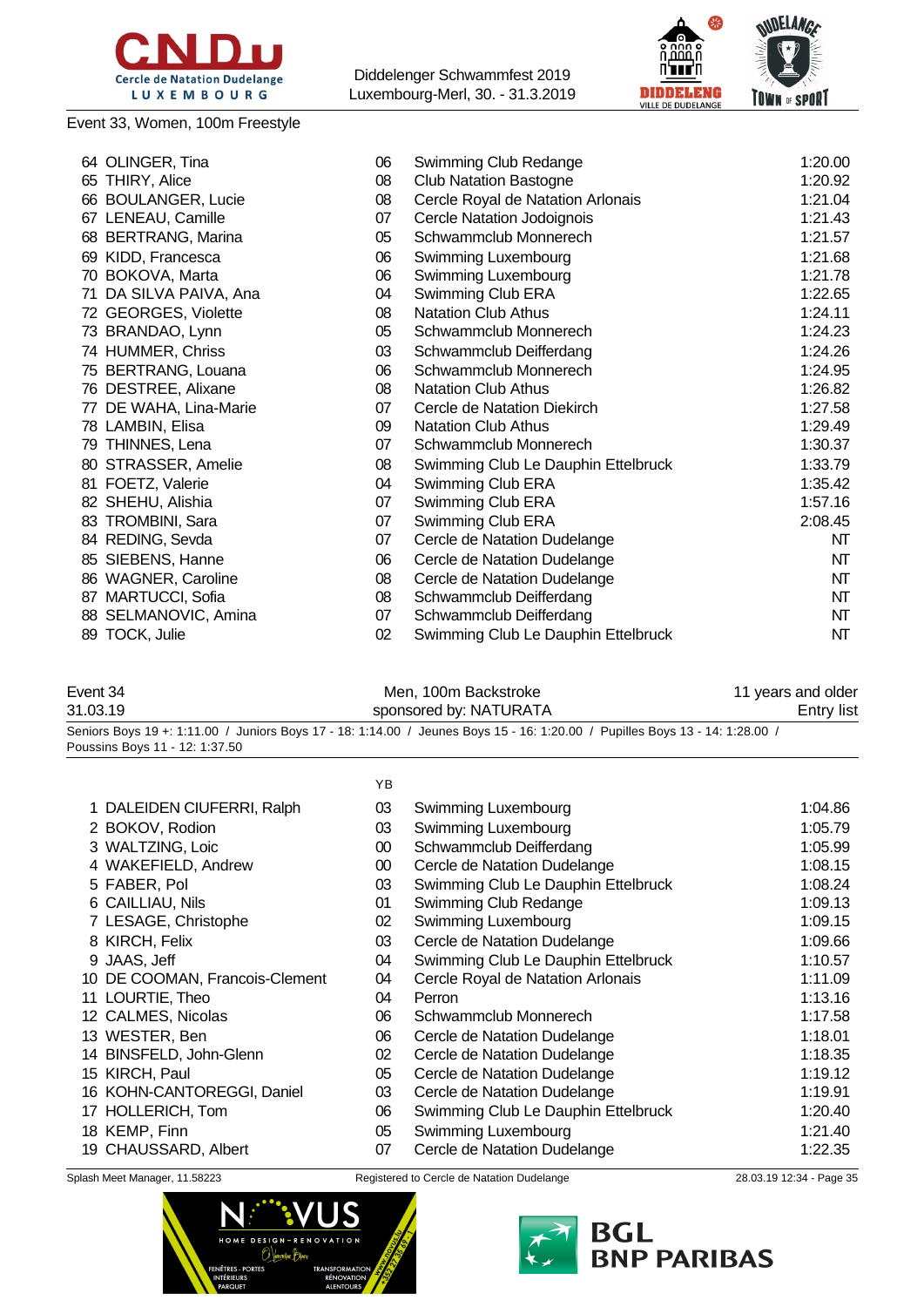

### Event 33, Women, 100m Freestyle

Diddelenger Schwammfest 2019 Luxembourg-Merl, 30. - 31.3.2019



| 64 OLINGER, Tina       | 06 | Swimming Club Redange               | 1:20.00 |
|------------------------|----|-------------------------------------|---------|
| 65 THIRY, Alice        | 08 | <b>Club Natation Bastogne</b>       | 1:20.92 |
| 66 BOULANGER, Lucie    | 08 | Cercle Royal de Natation Arlonais   | 1:21.04 |
| 67 LENEAU, Camille     | 07 | Cercle Natation Jodoignois          | 1:21.43 |
| 68 BERTRANG, Marina    | 05 | Schwammclub Monnerech               | 1:21.57 |
| 69 KIDD, Francesca     | 06 | Swimming Luxembourg                 | 1:21.68 |
| 70 BOKOVA, Marta       | 06 | Swimming Luxembourg                 | 1:21.78 |
| 71 DA SILVA PAIVA, Ana | 04 | Swimming Club ERA                   | 1:22.65 |
| 72 GEORGES, Violette   | 08 | <b>Natation Club Athus</b>          | 1:24.11 |
| 73 BRANDAO, Lynn       | 05 | Schwammclub Monnerech               | 1:24.23 |
| 74 HUMMER, Chriss      | 03 | Schwammclub Deifferdang             | 1:24.26 |
| 75 BERTRANG, Louana    | 06 | Schwammclub Monnerech               | 1:24.95 |
| 76 DESTREE, Alixane    | 08 | <b>Natation Club Athus</b>          | 1:26.82 |
| 77 DE WAHA, Lina-Marie | 07 | Cercle de Natation Diekirch         | 1:27.58 |
| 78 LAMBIN, Elisa       | 09 | <b>Natation Club Athus</b>          | 1:29.49 |
| 79 THINNES, Lena       | 07 | Schwammclub Monnerech               | 1:30.37 |
| 80 STRASSER, Amelie    | 08 | Swimming Club Le Dauphin Ettelbruck | 1:33.79 |
| 81 FOETZ, Valerie      | 04 | Swimming Club ERA                   | 1:35.42 |
| 82 SHEHU, Alishia      | 07 | Swimming Club ERA                   | 1:57.16 |
| 83 TROMBINI, Sara      | 07 | Swimming Club ERA                   | 2:08.45 |
| 84 REDING, Sevda       | 07 | Cercle de Natation Dudelange        | NT      |
| 85 SIEBENS, Hanne      | 06 | Cercle de Natation Dudelange        | NT      |
| 86 WAGNER, Caroline    | 08 | Cercle de Natation Dudelange        | NT      |
| 87 MARTUCCI, Sofia     | 08 | Schwammclub Deifferdang             | NT      |
| 88 SELMANOVIC, Amina   | 07 | Schwammclub Deifferdang             | NT      |
| 89 TOCK, Julie         | 02 | Swimming Club Le Dauphin Ettelbruck | NT      |
|                        |    |                                     |         |

| Event 34 | Men, 100m Backstroke                                                                                                         | 11 years and older |
|----------|------------------------------------------------------------------------------------------------------------------------------|--------------------|
| 31.03.19 | sponsored by: NATURATA                                                                                                       | <b>Entry list</b>  |
|          | Seniors Boys 19 +: 1:11.00 / Juniors Boys 17 - 18: 1:14.00 / Jeunes Boys 15 - 16: 1:20.00 / Pupilles Boys 13 - 14: 1:28.00 / |                    |

Poussins Boys 11 - 12: 1:37.50

| ۰. |
|----|
|----|

| 1 DALEIDEN CIUFERRI, Ralph     | 03     | Swimming Luxembourg                 | 1:04.86 |
|--------------------------------|--------|-------------------------------------|---------|
| 2 BOKOV, Rodion                | 03     | Swimming Luxembourg                 | 1:05.79 |
| 3 WALTZING, Loic               | 00     | Schwammclub Deifferdang             | 1:05.99 |
| 4 WAKEFIELD, Andrew            | $00\,$ | Cercle de Natation Dudelange        | 1:08.15 |
| 5 FABER, Pol                   | 03     | Swimming Club Le Dauphin Ettelbruck | 1:08.24 |
| 6 CAILLIAU, Nils               | 01     | Swimming Club Redange               | 1:09.13 |
| 7 LESAGE, Christophe           | 02     | Swimming Luxembourg                 | 1:09.15 |
| 8 KIRCH, Felix                 | 03     | Cercle de Natation Dudelange        | 1:09.66 |
| 9 JAAS, Jeff                   | 04     | Swimming Club Le Dauphin Ettelbruck | 1:10.57 |
| 10 DE COOMAN, Francois-Clement | 04     | Cercle Royal de Natation Arlonais   | 1:11.09 |
| 11 LOURTIE, Theo               | 04     | Perron                              | 1:13.16 |
| 12 CALMES, Nicolas             | 06     | Schwammclub Monnerech               | 1:17.58 |
| 13 WESTER, Ben                 | 06     | Cercle de Natation Dudelange        | 1:18.01 |
| 14 BINSFELD, John-Glenn        | 02     | Cercle de Natation Dudelange        | 1:18.35 |
| 15 KIRCH, Paul                 | 05     | Cercle de Natation Dudelange        | 1:19.12 |
| 16 KOHN-CANTOREGGI, Daniel     | 03     | Cercle de Natation Dudelange        | 1:19.91 |
| 17 HOLLERICH, Tom              | 06     | Swimming Club Le Dauphin Ettelbruck | 1:20.40 |
| 18 KEMP, Finn                  | 05     | Swimming Luxembourg                 | 1:21.40 |
| 19 CHAUSSARD, Albert           | 07     | Cercle de Natation Dudelange        | 1:22.35 |
|                                |        |                                     |         |